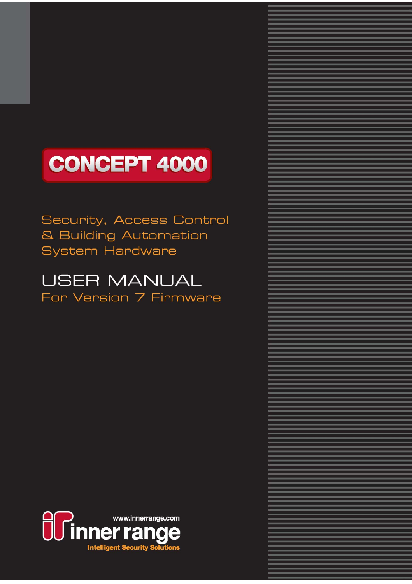# **CONCEPT 4000**

### Security, Access Control & Building Automation **System Hardware**

# **USER MANUAL** For Version 7 Firmware

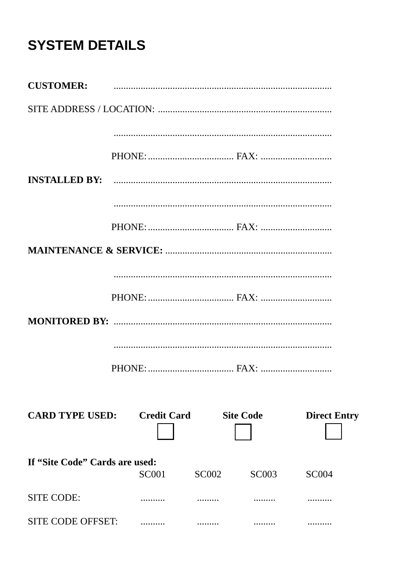# **SYSTEM DETAILS**

| <b>CUSTOMER:</b>                   |              |              |                  |                     |
|------------------------------------|--------------|--------------|------------------|---------------------|
|                                    |              |              |                  |                     |
|                                    |              |              |                  |                     |
|                                    |              |              |                  |                     |
| <b>INSTALLED BY:</b>               |              |              |                  |                     |
|                                    |              |              |                  |                     |
|                                    |              |              |                  |                     |
|                                    |              |              |                  |                     |
|                                    |              |              |                  |                     |
|                                    |              |              |                  |                     |
|                                    |              |              |                  |                     |
|                                    |              |              |                  |                     |
|                                    |              |              |                  |                     |
|                                    |              |              |                  |                     |
| <b>CARD TYPE USED:</b> Credit Card |              |              | <b>Site Code</b> | <b>Direct Entry</b> |
| If "Site Code" Cards are used:     |              |              |                  |                     |
|                                    | <b>SC001</b> | <b>SC002</b> | <b>SC003</b>     | <b>SC004</b>        |
| <b>SITE CODE:</b>                  | .            |              |                  |                     |
| <b>SITE CODE OFFSET:</b>           |              |              |                  |                     |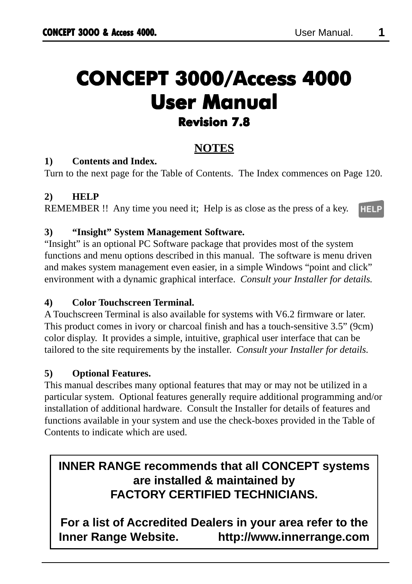# **CONCEPT 3000/Access 4000 CONCEPT 3000/Access 4000 User Manual User Manual Revision 7.8**

### **NOTES**

### **1) Contents and Index.**

Turn to the next page for the Table of Contents. The Index commences on Page 120.

### **2) HELP**

REMEMBER !! Any time you need it; Help is as close as the press of a key. **HELP** 

### **3) "Insight" System Management Software.**

"Insight" is an optional PC Software package that provides most of the system functions and menu options described in this manual. The software is menu driven and makes system management even easier, in a simple Windows "point and click" environment with a dynamic graphical interface. *Consult your Installer for details.*

### **4) Color Touchscreen Terminal.**

A Touchscreen Terminal is also available for systems with V6.2 firmware or later. This product comes in ivory or charcoal finish and has a touch-sensitive 3.5" (9cm) color display. It provides a simple, intuitive, graphical user interface that can be tailored to the site requirements by the installer. *Consult your Installer for details.*

### **5) Optional Features.**

This manual describes many optional features that may or may not be utilized in a particular system. Optional features generally require additional programming and/or installation of additional hardware. Consult the Installer for details of features and functions available in your system and use the check-boxes provided in the Table of Contents to indicate which are used.

### **INNER RANGE recommends that all CONCEPT systems are installed & maintained by FACTORY CERTIFIED TECHNICIANS.**

**For a list of Accredited Dealers in your area refer to the Inner Range Website. http://www.innerrange.com**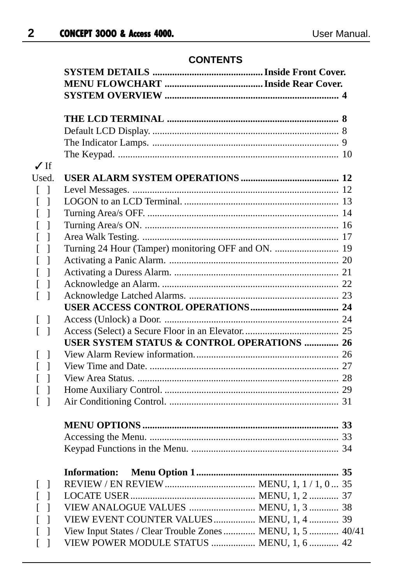### **CONTENTS**

| $\sqrt{If}$                                |                                                            |  |
|--------------------------------------------|------------------------------------------------------------|--|
| Used.                                      |                                                            |  |
| $\begin{bmatrix} 1 \end{bmatrix}$          |                                                            |  |
| $\lceil \rceil$                            |                                                            |  |
| $\overline{1}$<br>$\Gamma$                 |                                                            |  |
| $\Gamma$<br>$\overline{\phantom{a}}$       |                                                            |  |
| ſ<br>$\Box$                                |                                                            |  |
| $\lceil \rceil$                            | Turning 24 Hour (Tamper) monitoring OFF and ON.  19        |  |
| $\overline{\phantom{a}}$<br>L              |                                                            |  |
| $\overline{\phantom{a}}$<br>$\Gamma$       |                                                            |  |
| $\lceil \; \rceil$                         |                                                            |  |
| $\overline{a}$<br>$\overline{\phantom{a}}$ |                                                            |  |
|                                            |                                                            |  |
| $[\ ]$                                     |                                                            |  |
| $\lceil \cdot \rceil$                      |                                                            |  |
|                                            | USER SYSTEM STATUS & CONTROL OPERATIONS  26                |  |
| L<br>$\perp$                               |                                                            |  |
| $\lceil \rceil$                            |                                                            |  |
| $\lceil \rceil$                            |                                                            |  |
| $\lceil \cdot \rceil$                      |                                                            |  |
| L<br>$\overline{1}$                        |                                                            |  |
|                                            |                                                            |  |
|                                            |                                                            |  |
|                                            |                                                            |  |
|                                            |                                                            |  |
|                                            |                                                            |  |
|                                            | <b>Information:</b>                                        |  |
| $[\ ]$                                     |                                                            |  |
| $\begin{bmatrix} 1 \end{bmatrix}$          |                                                            |  |
| $\overline{\phantom{a}}$<br>ſ              | VIEW ANALOGUE VALUES  MENU, 1, 3  38                       |  |
| L<br>$\overline{1}$                        | VIEW EVENT COUNTER VALUES  MENU, 1, 4  39                  |  |
| L<br>$\overline{\phantom{a}}$              | View Input States / Clear Trouble Zones  MENU, 1, 5  40/41 |  |
| $\overline{[}$<br>$\overline{1}$           | VIEW POWER MODULE STATUS  MENU, 1, 6  42                   |  |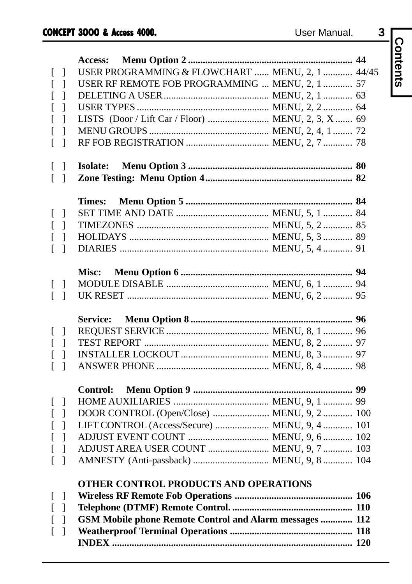| - 1   |
|-------|
|       |
| 44    |
| 44/45 |
| 57    |

|                                 | User Manual.<br><b>CONCEPT 3000 &amp; Access 4000.</b>  | 3 |          |
|---------------------------------|---------------------------------------------------------|---|----------|
|                                 |                                                         |   |          |
|                                 | Access:                                                 |   | Contents |
| -1<br>$\mathbf{I}$              | USER PROGRAMMING & FLOWCHART  MENU, 2, 1  44/45         |   |          |
| $\mathbf{I}$                    | USER RF REMOTE FOB PROGRAMMING  MENU, 2, 1  57          |   |          |
| I                               |                                                         |   |          |
| I                               |                                                         |   |          |
| I                               | LISTS (Door / Lift Car / Floor)  MENU, 2, 3, X  69      |   |          |
|                                 |                                                         |   |          |
| 1<br>$\mathbf{I}$               |                                                         |   |          |
| -1<br>$\mathbf{I}$              | <b>Isolate:</b>                                         |   |          |
| $\Box$                          |                                                         |   |          |
|                                 |                                                         |   |          |
|                                 | <b>Times:</b>                                           |   |          |
| -1<br>$\mathbf{L}$              |                                                         |   |          |
| $\mathbf{I}$                    |                                                         |   |          |
|                                 |                                                         |   |          |
| 1                               |                                                         |   |          |
|                                 | Misc:                                                   |   |          |
| $\perp$<br>$\mathbf{I}$         |                                                         |   |          |
| -1<br>$\mathbf{I}$              |                                                         |   |          |
|                                 | Service:                                                |   |          |
| -1<br>$\mathbf{I}$              |                                                         |   |          |
| $\mathbf{I}$                    |                                                         |   |          |
|                                 |                                                         |   |          |
| 1                               |                                                         |   |          |
|                                 | Control:                                                |   |          |
| -1<br>$\mathbf{I}$              |                                                         |   |          |
| 1                               | DOOR CONTROL (Open/Close)  MENU, 9, 2  100              |   |          |
| I                               | LIFT CONTROL (Access/Secure)  MENU, 9, 4  101           |   |          |
| <sup>1</sup>                    | ADJUST EVENT COUNT  MENU, 9, 6 102                      |   |          |
|                                 | ADJUST AREA USER COUNT  MENU, 9, 7  103                 |   |          |
| $\begin{bmatrix} \end{bmatrix}$ | AMNESTY (Anti-passback)  MENU, 9, 8  104                |   |          |
|                                 | <b>OTHER CONTROL PRODUCTS AND OPERATIONS</b>            |   |          |
| $\mathbf{I}$                    |                                                         |   |          |
| $\overline{1}$                  |                                                         |   |          |
| I                               | GSM Mobile phone Remote Control and Alarm messages  112 |   |          |
| 1                               |                                                         |   |          |
|                                 |                                                         |   |          |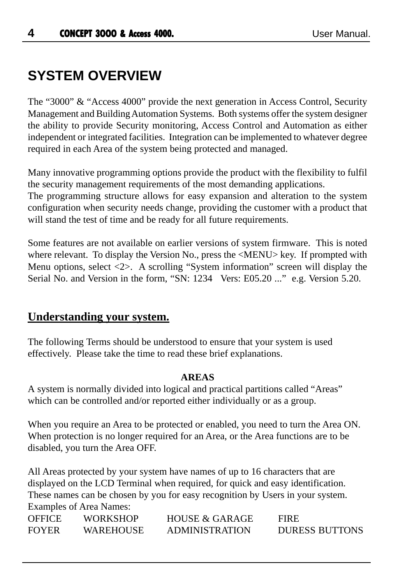## **SYSTEM OVERVIEW**

The "3000" & "Access 4000" provide the next generation in Access Control, Security Management and Building Automation Systems. Both systems offer the system designer the ability to provide Security monitoring, Access Control and Automation as either independent or integrated facilities. Integration can be implemented to whatever degree required in each Area of the system being protected and managed.

Many innovative programming options provide the product with the flexibility to fulfil the security management requirements of the most demanding applications.

The programming structure allows for easy expansion and alteration to the system configuration when security needs change, providing the customer with a product that will stand the test of time and be ready for all future requirements.

Some features are not available on earlier versions of system firmware. This is noted where relevant. To display the Version No., press the  $\leq MENU$  key. If prompted with Menu options, select  $\langle 2 \rangle$ . A scrolling "System information" screen will display the Serial No. and Version in the form, "SN: 1234 Vers: E05.20 ..." e.g. Version 5.20.

### **Understanding your system.**

The following Terms should be understood to ensure that your system is used effectively. Please take the time to read these brief explanations.

### **AREAS**

A system is normally divided into logical and practical partitions called "Areas" which can be controlled and/or reported either individually or as a group.

When you require an Area to be protected or enabled, you need to turn the Area ON. When protection is no longer required for an Area, or the Area functions are to be disabled, you turn the Area OFF.

All Areas protected by your system have names of up to 16 characters that are displayed on the LCD Terminal when required, for quick and easy identification. These names can be chosen by you for easy recognition by Users in your system. Examples of Area Names:

| <b>OFFICE</b> | <b>WORKSHOP</b>  | <b>HOUSE &amp; GARAGE</b> | <b>FIRE</b>           |
|---------------|------------------|---------------------------|-----------------------|
| <b>FOYER</b>  | <b>WAREHOUSE</b> | <b>ADMINISTRATION</b>     | <b>DURESS BUTTONS</b> |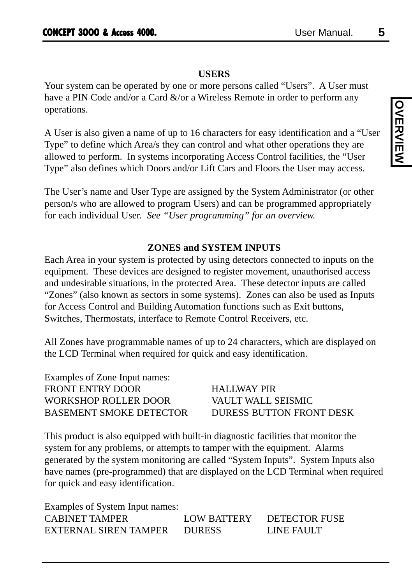### **USERS**

Your system can be operated by one or more persons called "Users". A User must have a PIN Code and/or a Card &/or a Wireless Remote in order to perform any operations.

A User is also given a name of up to 16 characters for easy identification and a "User Type" to define which Area/s they can control and what other operations they are allowed to perform. In systems incorporating Access Control facilities, the "User Type" also defines which Doors and/or Lift Cars and Floors the User may access.

The User's name and User Type are assigned by the System Administrator (or other person/s who are allowed to program Users) and can be programmed appropriately for each individual User. *See "User programming" for an overview.*

### **ZONES and SYSTEM INPUTS**

Each Area in your system is protected by using detectors connected to inputs on the equipment. These devices are designed to register movement, unauthorised access and undesirable situations, in the protected Area. These detector inputs are called "Zones" (also known as sectors in some systems). Zones can also be used as Inputs for Access Control and Building Automation functions such as Exit buttons, Switches, Thermostats, interface to Remote Control Receivers, etc.

All Zones have programmable names of up to 24 characters, which are displayed on the LCD Terminal when required for quick and easy identification.

Examples of Zone Input names: FRONT ENTRY DOOR HALLWAY PIR WORKSHOP ROLLER DOOR VAULT WALL SEISMIC BASEMENT SMOKE DETECTOR DURESS BUTTON FRONT DESK

This product is also equipped with built-in diagnostic facilities that monitor the system for any problems, or attempts to tamper with the equipment. Alarms generated by the system monitoring are called "System Inputs". System Inputs also have names (pre-programmed) that are displayed on the LCD Terminal when required for quick and easy identification.

Examples of System Input names: CABINET TAMPER LOW BATTERY DETECTOR FUSE EXTERNAL SIREN TAMPER DURESS LINE FAULT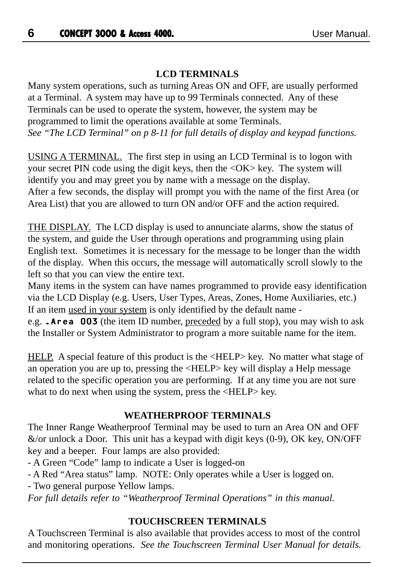### **LCD TERMINALS**

Many system operations, such as turning Areas ON and OFF, are usually performed at a Terminal. A system may have up to 99 Terminals connected. Any of these Terminals can be used to operate the system, however, the system may be programmed to limit the operations available at some Terminals. *See "The LCD Terminal" on p 8-11 for full details of display and keypad functions.*

USING A TERMINAL. The first step in using an LCD Terminal is to logon with your secret PIN code using the digit keys, then the <OK> key. The system will identify you and may greet you by name with a message on the display. After a few seconds, the display will prompt you with the name of the first Area (or Area List) that you are allowed to turn ON and/or OFF and the action required.

THE DISPLAY. The LCD display is used to annunciate alarms, show the status of the system, and guide the User through operations and programming using plain English text. Sometimes it is necessary for the message to be longer than the width of the display. When this occurs, the message will automatically scroll slowly to the left so that you can view the entire text.

Many items in the system can have names programmed to provide easy identification via the LCD Display (e.g. Users, User Types, Areas, Zones, Home Auxiliaries, etc.) If an item used in your system is only identified by the default name -

e.g. .Area 003 (the item ID number, preceded by a full stop), you may wish to ask the Installer or System Administrator to program a more suitable name for the item.

HELP. A special feature of this product is the <HELP> key. No matter what stage of an operation you are up to, pressing the <HELP> key will display a Help message related to the specific operation you are performing. If at any time you are not sure what to do next when using the system, press the  $\langle \text{HELP} \rangle$  key.

### **WEATHERPROOF TERMINALS**

The Inner Range Weatherproof Terminal may be used to turn an Area ON and OFF  $\&$ /or unlock a Door. This unit has a keypad with digit keys (0-9), OK key, ON/OFF key and a beeper. Four lamps are also provided:

- A Green "Code" lamp to indicate a User is logged-on

- A Red "Area status" lamp. NOTE: Only operates while a User is logged on. - Two general purpose Yellow lamps.

*For full details refer to "Weatherproof Terminal Operations" in this manual.*

### **TOUCHSCREEN TERMINALS**

A Touchscreen Terminal is also available that provides access to most of the control and monitoring operations. *See the Touchscreen Terminal User Manual for details.*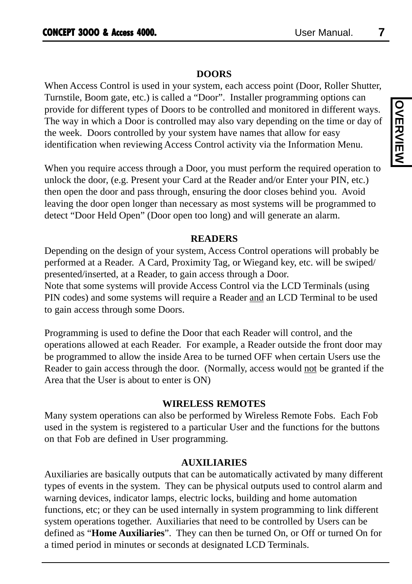### **DOORS**

When Access Control is used in your system, each access point (Door, Roller Shutter, Turnstile, Boom gate, etc.) is called a "Door". Installer programming options can provide for different types of Doors to be controlled and monitored in different ways. The way in which a Door is controlled may also vary depending on the time or day of the week. Doors controlled by your system have names that allow for easy identification when reviewing Access Control activity via the Information Menu.

When you require access through a Door, you must perform the required operation to unlock the door, (e.g. Present your Card at the Reader and/or Enter your PIN, etc.) then open the door and pass through, ensuring the door closes behind you. Avoid leaving the door open longer than necessary as most systems will be programmed to detect "Door Held Open" (Door open too long) and will generate an alarm.

### **READERS**

Depending on the design of your system, Access Control operations will probably be performed at a Reader. A Card, Proximity Tag, or Wiegand key, etc. will be swiped/ presented/inserted, at a Reader, to gain access through a Door. Note that some systems will provide Access Control via the LCD Terminals (using PIN codes) and some systems will require a Reader and an LCD Terminal to be used to gain access through some Doors.

Programming is used to define the Door that each Reader will control, and the operations allowed at each Reader. For example, a Reader outside the front door may be programmed to allow the inside Area to be turned OFF when certain Users use the Reader to gain access through the door. (Normally, access would not be granted if the Area that the User is about to enter is ON)

### **WIRELESS REMOTES**

Many system operations can also be performed by Wireless Remote Fobs. Each Fob used in the system is registered to a particular User and the functions for the buttons on that Fob are defined in User programming.

### **AUXILIARIES**

Auxiliaries are basically outputs that can be automatically activated by many different types of events in the system. They can be physical outputs used to control alarm and warning devices, indicator lamps, electric locks, building and home automation functions, etc; or they can be used internally in system programming to link different system operations together. Auxiliaries that need to be controlled by Users can be defined as "**Home Auxiliaries**". They can then be turned On, or Off or turned On for a timed period in minutes or seconds at designated LCD Terminals.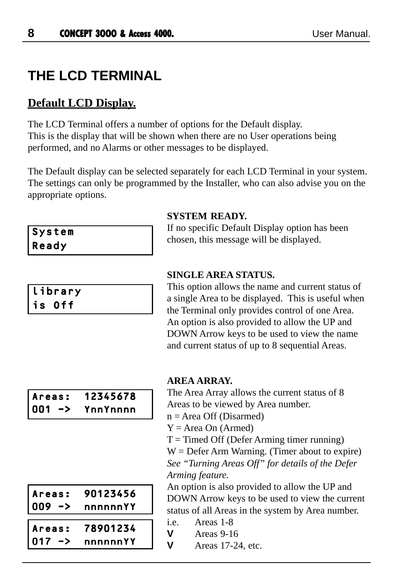## **THE LCD TERMINAL**

### **Default LCD Display.**

The LCD Terminal offers a number of options for the Default display. This is the display that will be shown when there are no User operations being performed, and no Alarms or other messages to be displayed.

The Default display can be selected separately for each LCD Terminal in your system. The settings can only be programmed by the Installer, who can also advise you on the appropriate options.

|       | System |
|-------|--------|
| Ready |        |

|  |        |  | library |  |
|--|--------|--|---------|--|
|  | is Off |  |         |  |

### **SYSTEM READY.**

If no specific Default Display option has been chosen, this message will be displayed.

### **SINGLE AREA STATUS.**

This option allows the name and current status of a single Area to be displayed. This is useful when the Terminal only provides control of one Area. An option is also provided to allow the UP and DOWN Arrow keys to be used to view the name and current status of up to 8 sequential Areas.

| Areas:    | 12345678 |
|-----------|----------|
| 001<br>-> | YnnYnnnn |

### **AREA ARRAY.**

The Area Array allows the current status of 8 Areas to be viewed by Area number.

 $n = Area$  Off (Disarmed)

 $Y = Area On (Armed)$ 

 $T =$ Timed Off (Defer Arming timer running)

 $W =$  Defer Arm Warning. (Timer about to expire) *See "Turning Areas Off" for details of the Defer Arming feature.*

An option is also provided to allow the UP and DOWN Arrow keys to be used to view the current status of all Areas in the system by Area number.

- i.e. Areas 1-8
- **V** Areas 9-16
- **V** Areas 17-24, etc.

|                     | 90123456 |
|---------------------|----------|
| Areas:<br>  009  -> | nnnnnnYY |
|                     |          |
|                     |          |
| Areas:<br>  017  -> | 78901234 |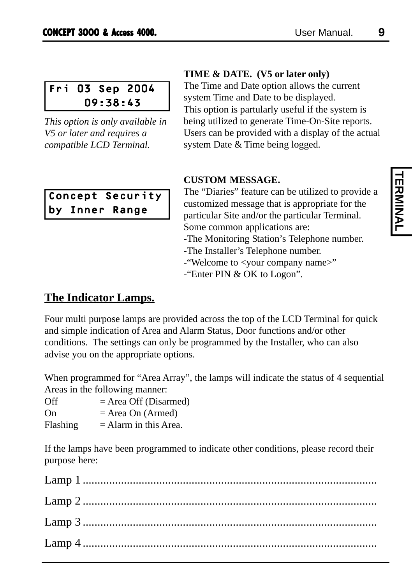Fri 03 Sep 2004 09:38:43

*This option is only available in V5 or later and requires a compatible LCD Terminal.*

### Concept Security by Inner Range

### **TIME & DATE. (V5 or later only)**

The Time and Date option allows the current system Time and Date to be displayed. This option is partularly useful if the system is being utilized to generate Time-On-Site reports. Users can be provided with a display of the actual system Date & Time being logged.

### **CUSTOM MESSAGE.**

The "Diaries" feature can be utilized to provide a customized message that is appropriate for the particular Site and/or the particular Terminal. Some common applications are: -The Monitoring Station's Telephone number.

-The Installer's Telephone number.

-"Welcome to <your company name>"

-"Enter PIN & OK to Logon".

### **The Indicator Lamps.**

Four multi purpose lamps are provided across the top of the LCD Terminal for quick and simple indication of Area and Alarm Status, Door functions and/or other conditions. The settings can only be programmed by the Installer, who can also advise you on the appropriate options.

When programmed for "Area Array", the lamps will indicate the status of 4 sequential Areas in the following manner:

| Off | $=$ Area Off (Disarmed) |
|-----|-------------------------|
| On  | $=$ Area On (Armed)     |
| --- |                         |

Flashing  $=$  Alarm in this Area.

If the lamps have been programmed to indicate other conditions, please record their purpose here: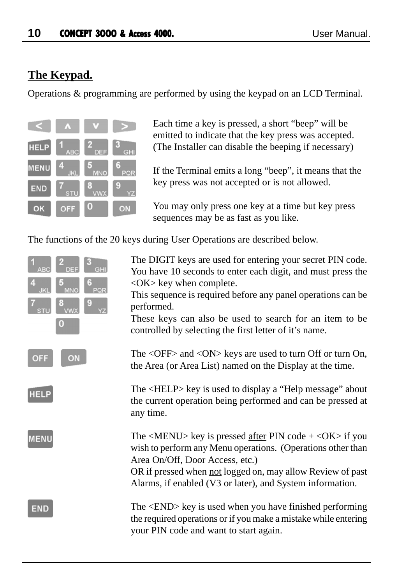### **The Keypad.**

Operations & programming are performed by using the keypad on an LCD Terminal.



Each time a key is pressed, a short "beep" will be emitted to indicate that the key press was accepted. (The Installer can disable the beeping if necessary)

If the Terminal emits a long "beep", it means that the key press was not accepted or is not allowed.

You may only press one key at a time but key press sequences may be as fast as you like.

The functions of the 20 keys during User Operations are described below.



The DIGIT keys are used for entering your secret PIN code. You have 10 seconds to enter each digit, and must press the <OK> key when complete.

This sequence is required before any panel operations can be performed.

These keys can also be used to search for an item to be controlled by selecting the first letter of it's name.

The <OFF> and <ON> keys are used to turn Off or turn On, the Area (or Area List) named on the Display at the time.

The <HELP> key is used to display a "Help message" about the current operation being performed and can be pressed at any time.

The  $\langle \text{MEM} \rangle$  key is pressed after PIN code +  $\langle \text{OK} \rangle$  if you wish to perform any Menu operations. (Operations other than Area On/Off, Door Access, etc.)

OR if pressed when not logged on, may allow Review of past Alarms, if enabled (V3 or later), and System information.

The <END> key is used when you have finished performing the required operations or if you make a mistake while entering your PIN code and want to start again.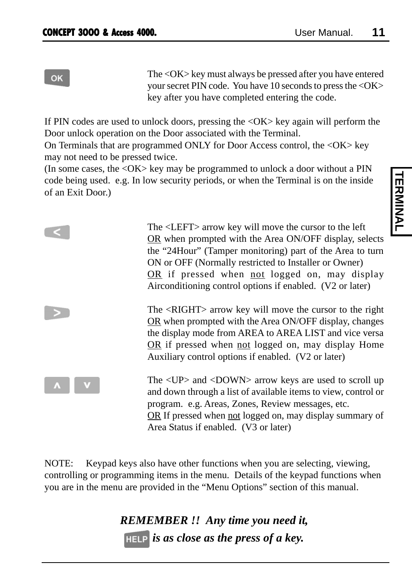OK

The <OK> key must always be pressed after you have entered your secret PIN code. You have 10 seconds to press the <OK> key after you have completed entering the code.

If PIN codes are used to unlock doors, pressing the <OK> key again will perform the Door unlock operation on the Door associated with the Terminal.

On Terminals that are programmed ONLY for Door Access control, the <OK> key may not need to be pressed twice.

(In some cases, the <OK> key may be programmed to unlock a door without a PIN code being used. e.g. In low security periods, or when the Terminal is on the inside of an Exit Door.)

| The <left> arrow key will move the cursor to the left<br/>OR when prompted with the Area ON/OFF display, selects<br/>the "24Hour" (Tamper monitoring) part of the Area to turn<br/>ON or OFF (Normally restricted to Installer or Owner)<br/><math>OR</math> if pressed when not logged on, may display<br/>Airconditioning control options if enabled. (V2 or later)</left> |
|------------------------------------------------------------------------------------------------------------------------------------------------------------------------------------------------------------------------------------------------------------------------------------------------------------------------------------------------------------------------------|
| The <right> arrow key will move the cursor to the right<br/>OR when prompted with the Area ON/OFF display, changes<br/>the display mode from AREA to AREA LIST and vice versa<br/>OR if pressed when not logged on, may display Home<br/>Auxiliary control options if enabled. (V2 or later)</right>                                                                         |
| The $\langle UP \rangle$ and $\langle DOMN \rangle$ arrow keys are used to scroll up<br>and down through a list of available items to view, control or<br>program. e.g. Areas, Zones, Review messages, etc.<br>OR If pressed when not logged on, may display summary of<br>Area Status if enabled. (V3 or later)                                                             |

NOTE: Keypad keys also have other functions when you are selecting, viewing, controlling or programming items in the menu. Details of the keypad functions when you are in the menu are provided in the "Menu Options" section of this manual.

> *REMEMBER !! Any time you need it, is as close as the press of a key.*

# **TERMINAL TERMINAL**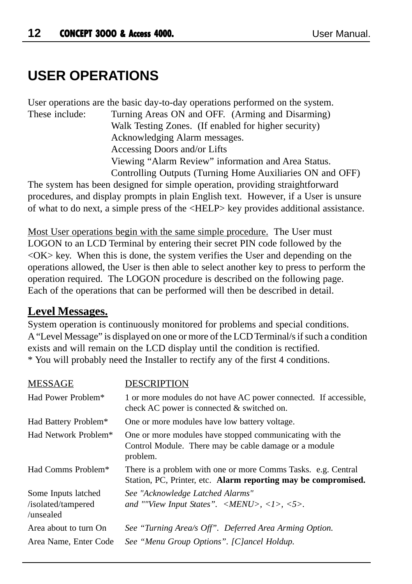## **USER OPERATIONS**

User operations are the basic day-to-day operations performed on the system. These include: Turning Areas ON and OFF. (Arming and Disarming) Walk Testing Zones. (If enabled for higher security) Acknowledging Alarm messages. Accessing Doors and/or Lifts Viewing "Alarm Review" information and Area Status. Controlling Outputs (Turning Home Auxiliaries ON and OFF)

The system has been designed for simple operation, providing straightforward procedures, and display prompts in plain English text. However, if a User is unsure of what to do next, a simple press of the <HELP> key provides additional assistance.

Most User operations begin with the same simple procedure. The User must LOGON to an LCD Terminal by entering their secret PIN code followed by the  $\langle$  OK $>$  key. When this is done, the system verifies the User and depending on the operations allowed, the User is then able to select another key to press to perform the operation required. The LOGON procedure is described on the following page. Each of the operations that can be performed will then be described in detail.

### **Level Messages.**

System operation is continuously monitored for problems and special conditions. A "Level Message" is displayed on one or more of the LCD Terminal/s if such a condition exists and will remain on the LCD display until the condition is rectified. \* You will probably need the Installer to rectify any of the first 4 conditions.

| <b>MESSAGE</b>                                         | DESCRIPTION                                                                                                                                           |
|--------------------------------------------------------|-------------------------------------------------------------------------------------------------------------------------------------------------------|
| Had Power Problem*                                     | 1 or more modules do not have AC power connected. If accessible,<br>check AC power is connected $\&$ switched on.                                     |
| Had Battery Problem*                                   | One or more modules have low battery voltage.                                                                                                         |
| Had Network Problem*                                   | One or more modules have stopped communicating with the<br>Control Module. There may be cable damage or a module<br>problem.                          |
| Had Comms Problem*                                     | There is a problem with one or more Comms Tasks. e.g. Central<br>Station, PC, Printer, etc. Alarm reporting may be compromised.                       |
| Some Inputs latched<br>/isolated/tampered<br>/unsealed | See "Acknowledge Latched Alarms"<br>and ""View Input States". $\langle \text{MENU} \rangle$ , $\langle \text{1}\rangle$ , $\langle \text{5}\rangle$ . |
| Area about to turn On                                  | See "Turning Area/s Off". Deferred Area Arming Option.                                                                                                |
| Area Name, Enter Code                                  | See "Menu Group Options". [C]ancel Holdup.                                                                                                            |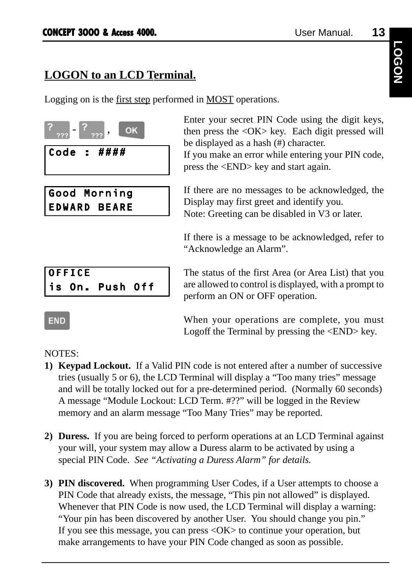### **LOGON to an LCD Terminal.**

Logging on is the first step performed in MOST operations.



```
OFFICE
is On. Push Off
```
 $\begin{array}{c|c} \hline \text{?} \\ \hline \text{?} \\ \text{OK} \end{array}$ , OK Enter your secret PIN Code using the digit keys, then press the <OK> key. Each digit pressed will be displayed as a hash (#) character.

> If you make an error while entering your PIN code, press the <END> key and start again.

> If there are no messages to be acknowledged, the Display may first greet and identify you. Note: Greeting can be disabled in V3 or later.

> If there is a message to be acknowledged, refer to "Acknowledge an Alarm".

> The status of the first Area (or Area List) that you are allowed to control is displayed, with a prompt to perform an ON or OFF operation.

> When your operations are complete, you must Logoff the Terminal by pressing the <END> key.

NOTES:

**END** 

- **1) Keypad Lockout.** If a Valid PIN code is not entered after a number of successive tries (usually 5 or 6), the LCD Terminal will display a "Too many tries" message and will be totally locked out for a pre-determined period. (Normally 60 seconds) A message "Module Lockout: LCD Term. #??" will be logged in the Review memory and an alarm message "Too Many Tries" may be reported.
- **2) Duress.** If you are being forced to perform operations at an LCD Terminal against your will, your system may allow a Duress alarm to be activated by using a special PIN Code. *See "Activating a Duress Alarm" for details.*
- **3) PIN discovered.** When programming User Codes, if a User attempts to choose a PIN Code that already exists, the message, "This pin not allowed" is displayed. Whenever that PIN Code is now used, the LCD Terminal will display a warning: "Your pin has been discovered by another User. You should change you pin." If you see this message, you can press  $\langle OK \rangle$  to continue your operation, but make arrangements to have your PIN Code changed as soon as possible.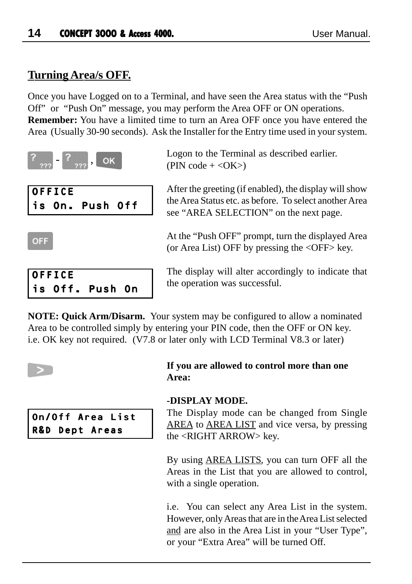### **Turning Area/s OFF.**

Once you have Logged on to a Terminal, and have seen the Area status with the "Push Off" or "Push On" message, you may perform the Area OFF or ON operations. **Remember:** You have a limited time to turn an Area OFF once you have entered the Area (Usually 30-90 seconds). Ask the Installer for the Entry time used in your system.



Logon to the Terminal as described earlier.  $(PIN \; code + )$ 

After the greeting (if enabled), the display will show the Area Status etc. as before. To select another Area see "AREA SELECTION" on the next page.

At the "Push OFF" prompt, turn the displayed Area (or Area List) OFF by pressing the  $\langle$ OFF $>$  key.



The display will alter accordingly to indicate that the operation was successful.

**NOTE: Quick Arm/Disarm.** Your system may be configured to allow a nominated Area to be controlled simply by entering your PIN code, then the OFF or ON key. i.e. OK key not required. (V7.8 or later only with LCD Terminal V8.3 or later)

**OFF** 

### On/Off Area List R&D Dept Areas

### **If you are allowed to control more than one Area:**

### **-DISPLAY MODE.**

The Display mode can be changed from Single AREA to AREA LIST and vice versa, by pressing the <RIGHT ARROW> key.

By using AREA LISTS, you can turn OFF all the Areas in the List that you are allowed to control, with a single operation.

i.e. You can select any Area List in the system. However, only Areas that are in the Area List selected and are also in the Area List in your "User Type", or your "Extra Area" will be turned Off.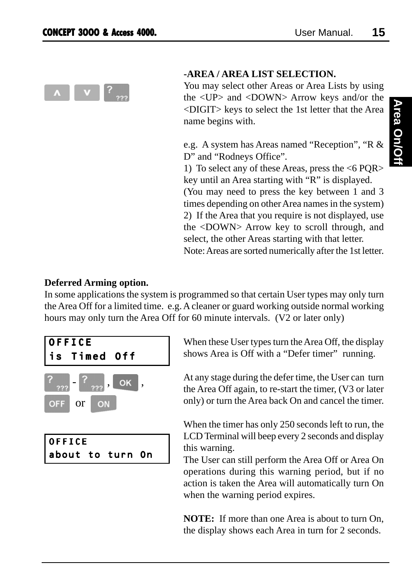

### **-AREA / AREA LIST SELECTION.**

You may select other Areas or Area Lists by using the <UP> and <DOWN> Arrow keys and/or the <DIGIT> keys to select the 1st letter that the Area name begins with.

e.g. A system has Areas named "Reception", "R & D" and "Rodneys Office".

1) To select any of these Areas, press the <6 PQR> key until an Area starting with "R" is displayed. (You may need to press the key between 1 and 3 times depending on other Area names in the system) 2) If the Area that you require is not displayed, use the <DOWN> Arrow key to scroll through, and select, the other Areas starting with that letter.

Note: Areas are sorted numerically after the 1st letter.

### **Deferred Arming option.**

In some applications the system is programmed so that certain User types may only turn the Area Off for a limited time. e.g. A cleaner or guard working outside normal working hours may only turn the Area Off for 60 minute intervals. (V2 or later only)



OFFICE about to turn On When these User types turn the Area Off, the display shows Area is Off with a "Defer timer" running.

At any stage during the defer time, the User can turn the Area Off again, to re-start the timer, (V3 or later only) or turn the Area back On and cancel the timer.

When the timer has only 250 seconds left to run, the LCD Terminal will beep every 2 seconds and display this warning.

The User can still perform the Area Off or Area On operations during this warning period, but if no action is taken the Area will automatically turn On when the warning period expires.

**NOTE:** If more than one Area is about to turn On, the display shows each Area in turn for 2 seconds.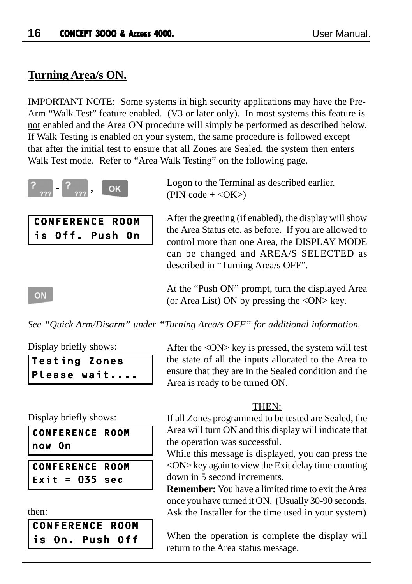### **Turning Area/s ON.**

IMPORTANT NOTE: Some systems in high security applications may have the Pre-Arm "Walk Test" feature enabled. (V3 or later only). In most systems this feature is not enabled and the Area ON procedure will simply be performed as described below. If Walk Testing is enabled on your system, the same procedure is followed except that after the initial test to ensure that all Zones are Sealed, the system then enters Walk Test mode. Refer to "Area Walk Testing" on the following page.



CONFERENCE ROOM is Off. Push On Logon to the Terminal as described earlier.  $(PIN \ code + )$ 

After the greeting (if enabled), the display will show the Area Status etc. as before. If you are allowed to control more than one Area, the DISPLAY MODE can be changed and AREA/S SELECTED as described in "Turning Area/s OFF".

At the "Push ON" prompt, turn the displayed Area (or Area List) ON by pressing the  $\langle ON \rangle$  key.

*See "Quick Arm/Disarm" under "Turning Area/s OFF" for additional information.*

Display briefly shows:

ON

| <b>Testing Zones</b> |             |
|----------------------|-------------|
|                      | Please wait |

After the <ON> key is pressed, the system will test the state of all the inputs allocated to the Area to ensure that they are in the Sealed condition and the Area is ready to be turned ON.

### THEN:

If all Zones programmed to be tested are Sealed, the Area will turn ON and this display will indicate that the operation was successful.

While this message is displayed, you can press the  $\langle ON \rangle$  key again to view the Exit delay time counting down in 5 second increments.

**Remember:** You have a limited time to exit the Area once you have turned it ON. (Usually 30-90 seconds. Ask the Installer for the time used in your system)

When the operation is complete the display will return to the Area status message.

Display briefly shows:

CONFERENCE ROOM now On

CONFERENCE ROOM Exit =  $035$  sec

```
then:
```

|  | <b>CONFERENCE ROOM</b> |  |
|--|------------------------|--|
|  | is On. Push Off        |  |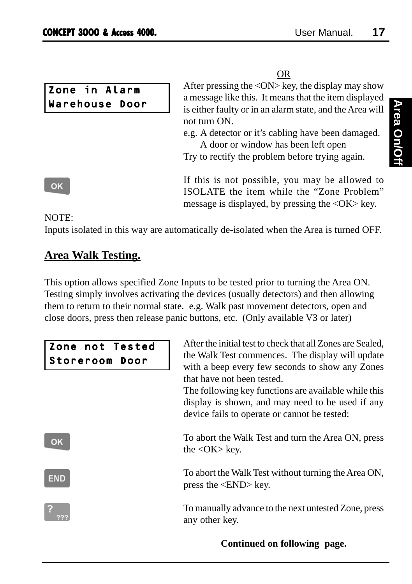| Zone in Alarm  |  |  |
|----------------|--|--|
| Warehouse Door |  |  |

OR After pressing the  $\langle ON \rangle$  key, the display may show a message like this. It means that the item displayed is either faulty or in an alarm state, and the Area will not turn ON.

e.g. A detector or it's cabling have been damaged. A door or window has been left open Try to rectify the problem before trying again.

If this is not possible, you may be allowed to ISOLATE the item while the "Zone Problem" message is displayed, by pressing the <OK> key.

NOTE:

OK

Inputs isolated in this way are automatically de-isolated when the Area is turned OFF.

### **Area Walk Testing.**

This option allows specified Zone Inputs to be tested prior to turning the Area ON. Testing simply involves activating the devices (usually detectors) and then allowing them to return to their normal state. e.g. Walk past movement detectors, open and close doors, press then release panic buttons, etc. (Only available V3 or later)

| Zone not Tested<br>Storeroom Door | After the initial test to check that all Zones are Sealed,<br>the Walk Test commences. The display will update<br>with a beep every few seconds to show any Zones<br>that have not been tested.<br>The following key functions are available while this<br>display is shown, and may need to be used if any<br>device fails to operate or cannot be tested: |
|-----------------------------------|-------------------------------------------------------------------------------------------------------------------------------------------------------------------------------------------------------------------------------------------------------------------------------------------------------------------------------------------------------------|
| OK                                | To abort the Walk Test and turn the Area ON, press<br>the $\langle$ OK $>$ key.                                                                                                                                                                                                                                                                             |
| <b>END</b>                        | To abort the Walk Test without turning the Area ON,<br>press the $\langle$ END $>$ key.                                                                                                                                                                                                                                                                     |
|                                   | To manually advance to the next untested Zone, press<br>any other key.                                                                                                                                                                                                                                                                                      |

### **Continued on following page.**

# **Area On/Off Area On/Off**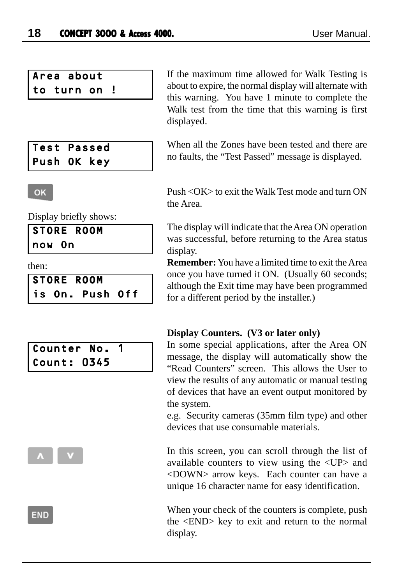### Area about to turn on !

| Test Passed |  |  |
|-------------|--|--|
| Push OK key |  |  |

### If the maximum time allowed for Walk Testing is about to expire, the normal display will alternate with this warning. You have 1 minute to complete the Walk test from the time that this warning is first displayed.

When all the Zones have been tested and there are no faults, the "Test Passed" message is displayed.

Push <OK> to exit the Walk Test mode and turn ON the Area.

The display will indicate that the Area ON operation was successful, before returning to the Area status display.

**Remember:** You have a limited time to exit the Area once you have turned it ON. (Usually 60 seconds; although the Exit time may have been programmed for a different period by the installer.)

### **Display Counters. (V3 or later only)**

In some special applications, after the Area ON message, the display will automatically show the "Read Counters" screen. This allows the User to view the results of any automatic or manual testing of devices that have an event output monitored by the system.

e.g. Security cameras (35mm film type) and other devices that use consumable materials.

In this screen, you can scroll through the list of available counters to view using the <UP> and <DOWN> arrow keys. Each counter can have a unique 16 character name for easy identification.

When your check of the counters is complete, push the <END> key to exit and return to the normal display.

#### **OK**

Display briefly shows:

| <b>STORE</b> | <b>ROOM</b> |
|--------------|-------------|
|--------------|-------------|

now On

then:

|  | <b>STORE ROOM</b> |  |
|--|-------------------|--|
|  | is On. Push Off   |  |

### Counter No. 1 Count: 0345



END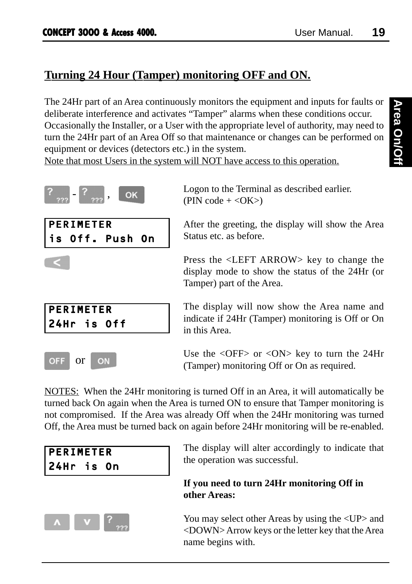### **Turning 24 Hour (Tamper) monitoring OFF and ON.**

The 24Hr part of an Area continuously monitors the equipment and inputs for faults or deliberate interference and activates "Tamper" alarms when these conditions occur. Occasionally the Installer, or a User with the appropriate level of authority, may need to turn the 24Hr part of an Area Off so that maintenance or changes can be performed on equipment or devices (detectors etc.) in the system.

Note that most Users in the system will NOT have access to this operation.











Logon to the Terminal as described earlier.  $(PIN \; code + <\!\!OK\!\!>)$ 

After the greeting, the display will show the Area Status etc. as before.

Press the <LEFT ARROW> key to change the display mode to show the status of the 24Hr (or Tamper) part of the Area.

The display will now show the Area name and indicate if 24Hr (Tamper) monitoring is Off or On in this Area.

Use the  $\langle$ OFF $>$  or  $\langle$ ON $>$  key to turn the 24Hr (Tamper) monitoring Off or On as required.

NOTES: When the 24Hr monitoring is turned Off in an Area, it will automatically be turned back On again when the Area is turned ON to ensure that Tamper monitoring is not compromised. If the Area was already Off when the 24Hr monitoring was turned Off, the Area must be turned back on again before 24Hr monitoring will be re-enabled.

| PERIMETER  |  |  |
|------------|--|--|
| 24Hr is On |  |  |



The display will alter accordingly to indicate that the operation was successful.

### **If you need to turn 24Hr monitoring Off in other Areas:**

You may select other Areas by using the  $\langle UP \rangle$  and <DOWN> Arrow keys or the letter key that the Area name begins with.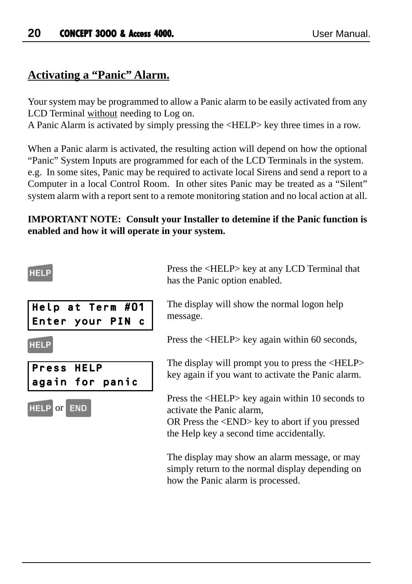### **Activating a "Panic" Alarm.**

Your system may be programmed to allow a Panic alarm to be easily activated from any LCD Terminal without needing to Log on.

A Panic Alarm is activated by simply pressing the <HELP> key three times in a row.

When a Panic alarm is activated, the resulting action will depend on how the optional "Panic" System Inputs are programmed for each of the LCD Terminals in the system. e.g. In some sites, Panic may be required to activate local Sirens and send a report to a Computer in a local Control Room. In other sites Panic may be treated as a "Silent" system alarm with a report sent to a remote monitoring station and no local action at all.

### **IMPORTANT NOTE: Consult your Installer to detemine if the Panic function is enabled and how it will operate in your system.**

### **HELF**

Press HELP

**HELP** or END

again for panic

| Help at Term #01 | The disp  |
|------------------|-----------|
| Enter your PIN c | message   |
| <b>HELP</b>      | Press the |

Press the <HELP> key at any LCD Terminal that has the Panic option enabled.

play will show the normal logon help message.

 $e$  <HELP> key again within 60 seconds,

The display will prompt you to press the <HELP> key again if you want to activate the Panic alarm.

Press the <HELP> key again within 10 seconds to activate the Panic alarm,

OR Press the <END> key to abort if you pressed the Help key a second time accidentally.

The display may show an alarm message, or may simply return to the normal display depending on how the Panic alarm is processed.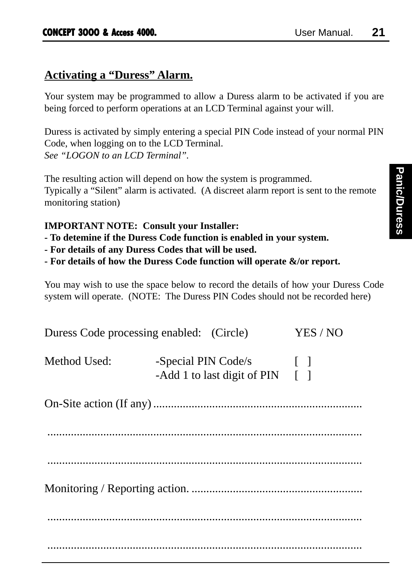### **Activating a "Duress" Alarm.**

Your system may be programmed to allow a Duress alarm to be activated if you are being forced to perform operations at an LCD Terminal against your will.

Duress is activated by simply entering a special PIN Code instead of your normal PIN Code, when logging on to the LCD Terminal. *See "LOGON to an LCD Terminal".*

The resulting action will depend on how the system is programmed. Typically a "Silent" alarm is activated. (A discreet alarm report is sent to the remote monitoring station)

### **IMPORTANT NOTE: Consult your Installer:**

- **To detemine if the Duress Code function is enabled in your system.**
- **For details of any Duress Codes that will be used.**
- **For details of how the Duress Code function will operate &/or report.**

You may wish to use the space below to record the details of how your Duress Code system will operate. (NOTE: The Duress PIN Codes should not be recorded here)

| Duress Code processing enabled: (Circle) |                     |                                             | YES / NO     |
|------------------------------------------|---------------------|---------------------------------------------|--------------|
| Method Used:                             | -Special PIN Code/s | -Add 1 to last digit of PIN $\lceil \rceil$ | $\mathbf{L}$ |
|                                          |                     |                                             |              |
|                                          |                     |                                             |              |
|                                          |                     |                                             |              |
|                                          |                     |                                             |              |
|                                          |                     |                                             |              |
|                                          |                     |                                             |              |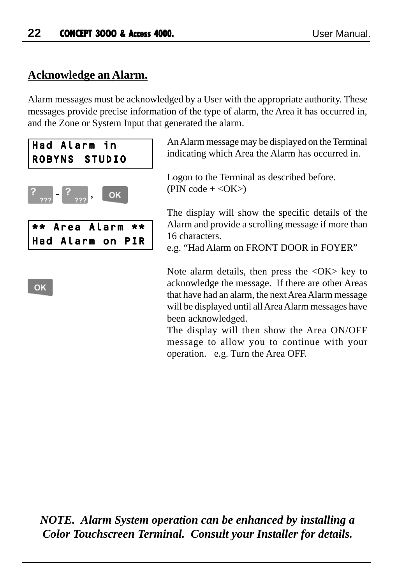### **Acknowledge an Alarm.**

Alarm messages must be acknowledged by a User with the appropriate authority. These messages provide precise information of the type of alarm, the Area it has occurred in, and the Zone or System Input that generated the alarm.



An Alarm message may be displayed on the Terminal indicating which Area the Alarm has occurred in.

Logon to the Terminal as described before.  $(PIN \text{ code } + <\text{OK}>)$ 

The display will show the specific details of the Alarm and provide a scrolling message if more than 16 characters.

e.g. "Had Alarm on FRONT DOOR in FOYER"

Note alarm details, then press the  $\langle OK \rangle$  key to acknowledge the message. If there are other Areas that have had an alarm, the next Area Alarm message will be displayed until all Area Alarm messages have been acknowledged.

The display will then show the Area ON/OFF message to allow you to continue with your operation. e.g. Turn the Area OFF.

*NOTE. Alarm System operation can be enhanced by installing a Color Touchscreen Terminal. Consult your Installer for details.*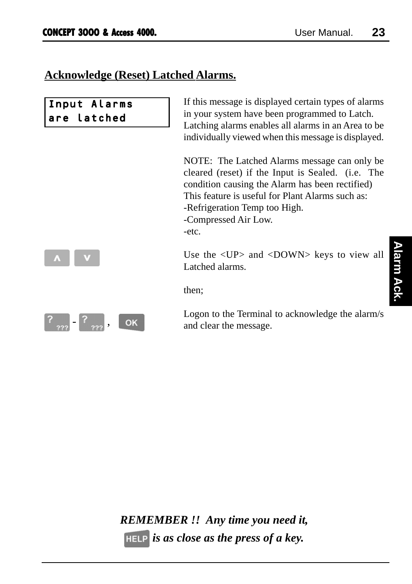### **Acknowledge (Reset) Latched Alarms.**

| Input Alarms<br>are latched | If this message is displayed certain types of alarms<br>in your system have been programmed to Latch.<br>Latching alarms enables all alarms in an Area to be<br>individually viewed when this message is displayed.                                                        |
|-----------------------------|----------------------------------------------------------------------------------------------------------------------------------------------------------------------------------------------------------------------------------------------------------------------------|
|                             | NOTE: The Latched Alarms message can only be<br>cleared (reset) if the Input is Sealed. (i.e. The<br>condition causing the Alarm has been rectified)<br>This feature is useful for Plant Alarms such as:<br>-Refrigeration Temp too High.<br>-Compressed Air Low.<br>-etc. |
|                             | Use the <up> and <down> keys to view all<br/>Latched alarms.</down></up>                                                                                                                                                                                                   |
|                             | then;                                                                                                                                                                                                                                                                      |
|                             |                                                                                                                                                                                                                                                                            |

 $\left[ ? \right._{222} - \left[ ? \right._{222}, \left[ \right. \right]$  OK

Logon to the Terminal to acknowledge the alarm/s and clear the message.

*REMEMBER !! Any time you need it, is as close as the press of a key.*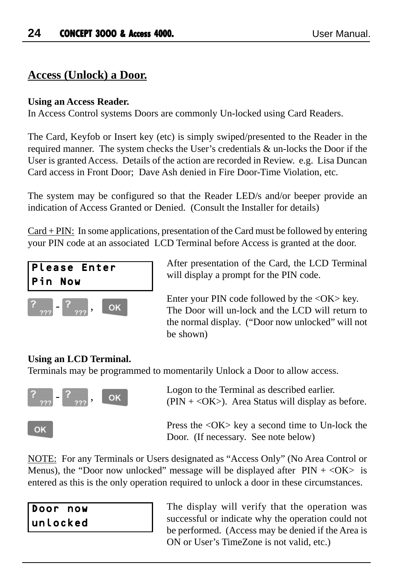### **Access (Unlock) a Door.**

### **Using an Access Reader.**

In Access Control systems Doors are commonly Un-locked using Card Readers.

The Card, Keyfob or Insert key (etc) is simply swiped/presented to the Reader in the required manner. The system checks the User's credentials & un-locks the Door if the User is granted Access. Details of the action are recorded in Review. e.g. Lisa Duncan Card access in Front Door; Dave Ash denied in Fire Door-Time Violation, etc.

The system may be configured so that the Reader LED/s and/or beeper provide an indication of Access Granted or Denied. (Consult the Installer for details)

Card + PIN: In some applications, presentation of the Card must be followed by entering your PIN code at an associated LCD Terminal before Access is granted at the door.



After presentation of the Card, the LCD Terminal will display a prompt for the PIN code.

Enter your PIN code followed by the <OK> key. The Door will un-lock and the LCD will return to the normal display. ("Door now unlocked" will not be shown)

### **Using an LCD Terminal.**

Terminals may be programmed to momentarily Unlock a Door to allow access.



Logon to the Terminal as described earlier. ( $\text{PIN} + \text{). Area Status will display as before.$ 

Press the <OK> key a second time to Un-lock the Door. (If necessary. See note below)

NOTE: For any Terminals or Users designated as "Access Only" (No Area Control or Menus), the "Door now unlocked" message will be displayed after  $PIN + < OK$  is entered as this is the only operation required to unlock a door in these circumstances.

| Door now |  |
|----------|--|
| unlocked |  |

The display will verify that the operation was successful or indicate why the operation could not be performed. (Access may be denied if the Area is ON or User's TimeZone is not valid, etc.)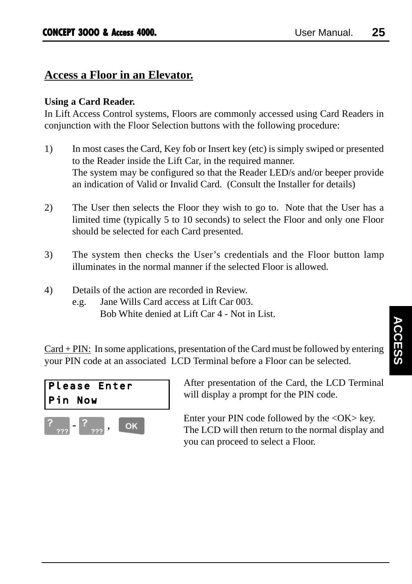### **Access a Floor in an Elevator.**

### **Using a Card Reader.**

In Lift Access Control systems, Floors are commonly accessed using Card Readers in conjunction with the Floor Selection buttons with the following procedure:

- 1) In most cases the Card, Key fob or Insert key (etc) is simply swiped or presented to the Reader inside the Lift Car, in the required manner. The system may be configured so that the Reader LED/s and/or beeper provide an indication of Valid or Invalid Card. (Consult the Installer for details)
- 2) The User then selects the Floor they wish to go to. Note that the User has a limited time (typically 5 to 10 seconds) to select the Floor and only one Floor should be selected for each Card presented.
- 3) The system then checks the User's credentials and the Floor button lamp illuminates in the normal manner if the selected Floor is allowed.
- 4) Details of the action are recorded in Review.
	- e.g. Jane Wills Card access at Lift Car 003. Bob White denied at Lift Car 4 - Not in List.

 $Card + PIN$ : In some applications, presentation of the Card must be followed by entering your PIN code at an associated LCD Terminal before a Floor can be selected.



After presentation of the Card, the LCD Terminal will display a prompt for the PIN code.

Enter your PIN code followed by the  $\langle OK \rangle$  key. The LCD will then return to the normal display and you can proceed to select a Floor.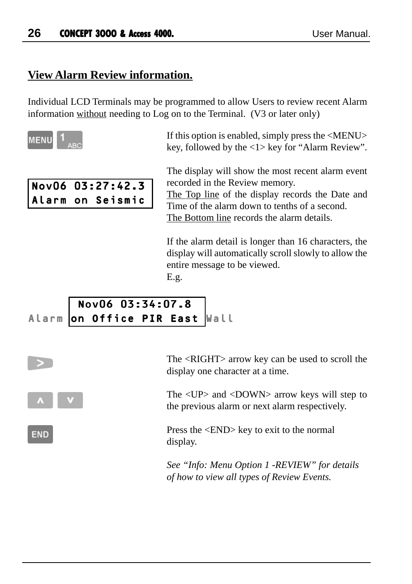### **View Alarm Review information.**

Individual LCD Terminals may be programmed to allow Users to review recent Alarm information without needing to Log on to the Terminal. (V3 or later only)



**END** 

If this option is enabled, simply press the <MENU> key, followed by the <1> key for "Alarm Review".

| Nov06 03:27:42.3 |  |
|------------------|--|
| Alarm on Seismic |  |

The display will show the most recent alarm event recorded in the Review memory.

The Top line of the display records the Date and Time of the alarm down to tenths of a second. The Bottom line records the alarm details.

If the alarm detail is longer than 16 characters, the display will automatically scroll slowly to allow the entire message to be viewed.

E.g.

### Nov06 03:34:07.8 Alarm on Office PIR East Wall

The <RIGHT> arrow key can be used to scroll the display one character at a time.

The <UP> and <DOWN> arrow keys will step to the previous alarm or next alarm respectively.

Press the <END> key to exit to the normal display.

*See "Info: Menu Option 1 -REVIEW" for details of how to view all types of Review Events.*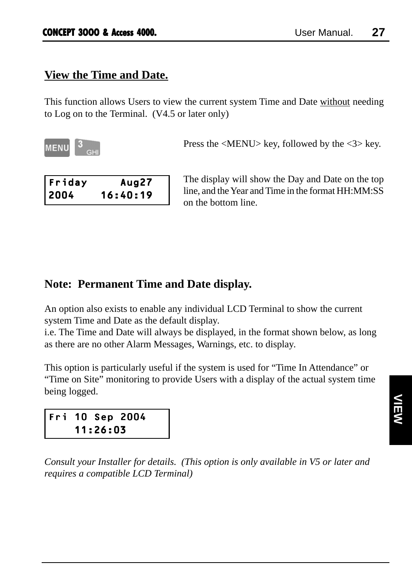### **View the Time and Date.**

This function allows Users to view the current system Time and Date without needing to Log on to the Terminal. (V4.5 or later only)

**MENU** 

Press the <MENU> key, followed by the <3> key.

| Friday | Aug27    |
|--------|----------|
| 2004   | 16:40:19 |

The display will show the Day and Date on the top line, and the Year and Time in the format HH:MM:SS on the bottom line.

### **Note: Permanent Time and Date display.**

An option also exists to enable any individual LCD Terminal to show the current system Time and Date as the default display.

i.e. The Time and Date will always be displayed, in the format shown below, as long as there are no other Alarm Messages, Warnings, etc. to display.

This option is particularly useful if the system is used for "Time In Attendance" or "Time on Site" monitoring to provide Users with a display of the actual system time being logged.



*Consult your Installer for details. (This option is only available in V5 or later and requires a compatible LCD Terminal)*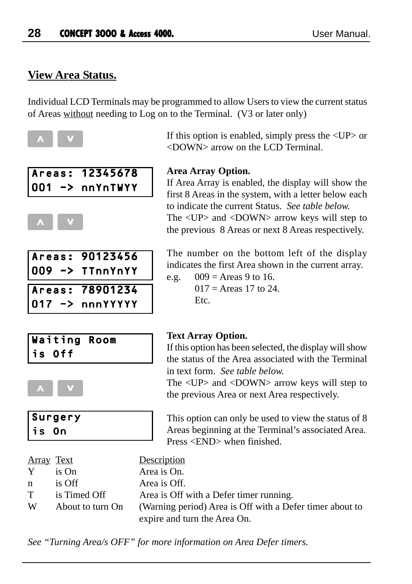### **View Area Status.**

Areas: 12345678 001 -> nnYnTWYY

Areas: 90123456 009 -> TTnnYnYY Areas: 78901234 017 -> nnnYYYYY

Individual LCD Terminals may be programmed to allow Users to view the current status of Areas without needing to Log on to the Terminal. (V3 or later only)



### If this option is enabled, simply press the  $\langle UP \rangle$  or <DOWN> arrow on the LCD Terminal.

### **Area Array Option.**

If Area Array is enabled, the display will show the first 8 Areas in the system, with a letter below each to indicate the current Status. *See table below.* The <UP> and <DOWN> arrow keys will step to the previous 8 Areas or next 8 Areas respectively.

The number on the bottom left of the display indicates the first Area shown in the current array.

e.g.  $009 = \text{Areas } 9 \text{ to } 16.$  $017 =$  Areas 17 to 24. Etc.





| Surgery<br> is On |
|-------------------|

### **Text Array Option.**

If this option has been selected, the display will show the status of the Area associated with the Terminal in text form. *See table below.*

The <UP> and <DOWN> arrow keys will step to the previous Area or next Area respectively.

This option can only be used to view the status of 8 Areas beginning at the Terminal's associated Area. Press <END> when finished.

| <u>Array Text</u> |                  | Description                                              |
|-------------------|------------------|----------------------------------------------------------|
| Y.                | is On            | Area is On.                                              |
| n.                | is Off           | Area is Off.                                             |
| T .               | is Timed Off     | Area is Off with a Defer timer running.                  |
| W                 | About to turn On | (Warning period) Area is Off with a Defer timer about to |
|                   |                  | expire and turn the Area On.                             |

*See "Turning Area/s OFF" for more information on Area Defer timers.*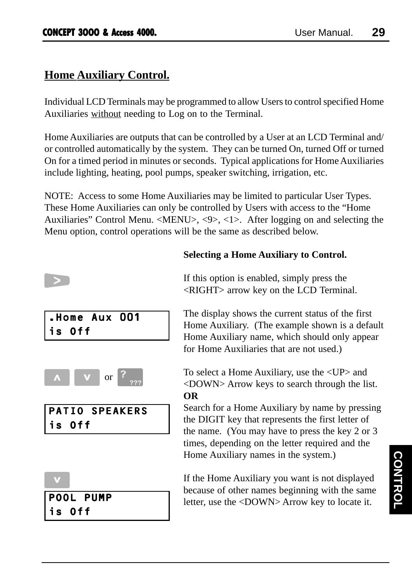### **Home Auxiliary Control.**

Individual LCD Terminals may be programmed to allow Users to control specified Home Auxiliaries without needing to Log on to the Terminal.

Home Auxiliaries are outputs that can be controlled by a User at an LCD Terminal and/ or controlled automatically by the system. They can be turned On, turned Off or turned On for a timed period in minutes or seconds. Typical applications for Home Auxiliaries include lighting, heating, pool pumps, speaker switching, irrigation, etc.

NOTE: Access to some Home Auxiliaries may be limited to particular User Types. These Home Auxiliaries can only be controlled by Users with access to the "Home Auxiliaries" Control Menu. <MENU>, <9>, <1>. After logging on and selecting the Menu option, control operations will be the same as described below.

| is Off | $\vert$ .Home Aux 001 |  |
|--------|-----------------------|--|
|        | <b>or</b>             |  |



POOL PUMP

### is Off

### **Selecting a Home Auxiliary to Control.**

If this option is enabled, simply press the <RIGHT> arrow key on the LCD Terminal.

The display shows the current status of the first Home Auxiliary. (The example shown is a default Home Auxiliary name, which should only appear for Home Auxiliaries that are not used.)

To select a Home Auxiliary, use the <UP> and <DOWN> Arrow keys to search through the list. **OR**

Search for a Home Auxiliary by name by pressing the DIGIT key that represents the first letter of the name. (You may have to press the key 2 or 3 times, depending on the letter required and the Home Auxiliary names in the system.)

If the Home Auxiliary you want is not displayed because of other names beginning with the same letter, use the <DOWN> Arrow key to locate it.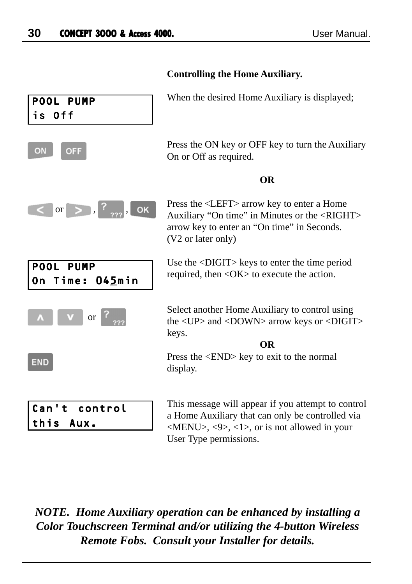| POOL PUMP<br>is Off                    | When the desired Home Auxiliary is displayed;                                                                                                                                                                                      |
|----------------------------------------|------------------------------------------------------------------------------------------------------------------------------------------------------------------------------------------------------------------------------------|
| <b>OFF</b><br>ON                       | Press the ON key or OFF key to turn the Auxiliary<br>On or Off as required.                                                                                                                                                        |
|                                        | <b>OR</b>                                                                                                                                                                                                                          |
| $\sigma$ or $>$ , $\frac{?}{???}$ , ok | Press the <left> arrow key to enter a Home<br/>Auxiliary "On time" in Minutes or the <right><br/>arrow key to enter an "On time" in Seconds.<br/>(V2 or later only)</right></left>                                                 |
| POOL PUMP<br>On Time: 045min           | Use the <digit> keys to enter the time period<br/>required, then <math>\langle OK \rangle</math> to execute the action.</digit>                                                                                                    |
| or                                     | Select another Home Auxiliary to control using<br>the <up> and <down> arrow keys or <digit><br/>keys.</digit></down></up>                                                                                                          |
| <b>END</b>                             | <b>OR</b><br>Press the <end> key to exit to the normal<br/>display.</end>                                                                                                                                                          |
| Can't control<br>this<br>Aux.          | This message will appear if you attempt to control<br>a Home Auxiliary that can only be controlled via<br>$\langle \text{MEMS}, \langle 9 \rangle, \langle 1 \rangle, \text{ or is not allowed in your}$<br>User Type permissions. |

### **Controlling the Home Auxiliary.**

*NOTE. Home Auxiliary operation can be enhanced by installing a Color Touchscreen Terminal and/or utilizing the 4-button Wireless*

*Remote Fobs. Consult your Installer for details.*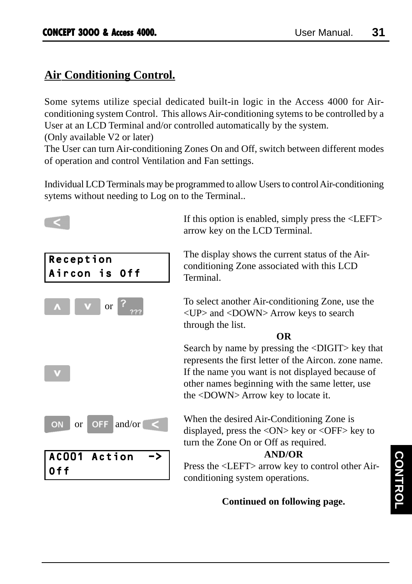### **Air Conditioning Control.**

Some sytems utilize special dedicated built-in logic in the Access 4000 for Airconditioning system Control. This allows Air-conditioning sytems to be controlled by a User at an LCD Terminal and/or controlled automatically by the system.

(Only available V2 or later)

The User can turn Air-conditioning Zones On and Off, switch between different modes of operation and control Ventilation and Fan settings.

Individual LCD Terminals may be programmed to allow Users to control Air-conditioning sytems without needing to Log on to the Terminal..



### **Continued on following page.**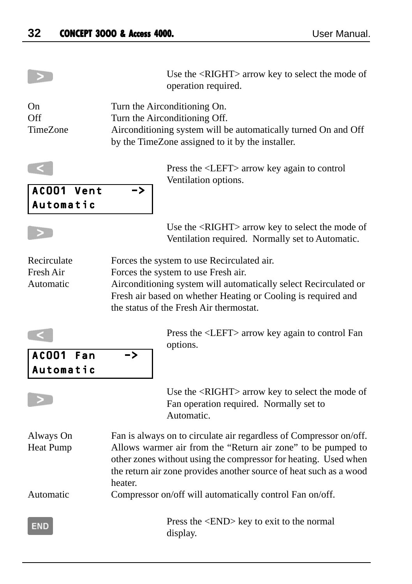|                                       | Use the <right> arrow key to select the mode of<br/>operation required.</right>                                                                                                                                                                                                        |
|---------------------------------------|----------------------------------------------------------------------------------------------------------------------------------------------------------------------------------------------------------------------------------------------------------------------------------------|
| On<br>Off<br>TimeZone                 | Turn the Airconditioning On.<br>Turn the Airconditioning Off.<br>Airconditioning system will be automatically turned On and Off<br>by the TimeZone assigned to it by the installer.                                                                                                    |
| ACOO1 Vent<br>Automatic               | Press the <left> arrow key again to control<br/>Ventilation options.<br/><math>\rightarrow</math></left>                                                                                                                                                                               |
|                                       | Use the <right> arrow key to select the mode of<br/>Ventilation required. Normally set to Automatic.</right>                                                                                                                                                                           |
| Recirculate<br>Fresh Air<br>Automatic | Forces the system to use Recirculated air.<br>Forces the system to use Fresh air.<br>Airconditioning system will automatically select Recirculated or<br>Fresh air based on whether Heating or Cooling is required and<br>the status of the Fresh Air thermostat.                      |
| AC001<br>Fan<br>Automatic             | Press the <left> arrow key again to control Fan<br/>options.<br/>-&gt;</left>                                                                                                                                                                                                          |
|                                       | Use the <right> arrow key to select the mode of<br/>Fan operation required. Normally set to<br/>Automatic.</right>                                                                                                                                                                     |
| Always On<br>Heat Pump                | Fan is always on to circulate air regardless of Compressor on/off.<br>Allows warmer air from the "Return air zone" to be pumped to<br>other zones without using the compressor for heating. Used when<br>the return air zone provides another source of heat such as a wood<br>heater. |
| Automatic                             | Compressor on/off will automatically control Fan on/off.                                                                                                                                                                                                                               |
| END                                   | Press the <end> key to exit to the normal<br/>display.</end>                                                                                                                                                                                                                           |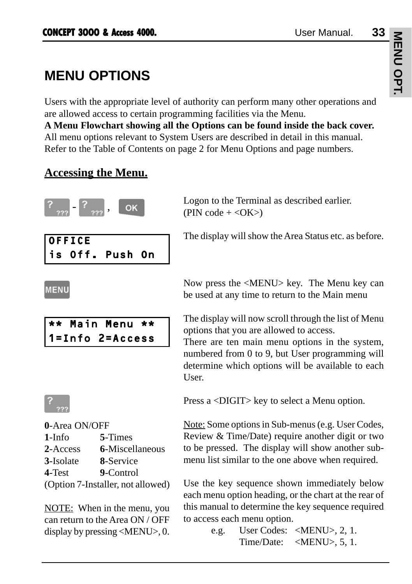# MENU OPT. **MENU OPT.**

# **MENU OPTIONS**

Users with the appropriate level of authority can perform many other operations and are allowed access to certain programming facilities via the Menu.

**A Menu Flowchart showing all the Options can be found inside the back cover.** All menu options relevant to System Users are described in detail in this manual. Refer to the Table of Contents on page 2 for Menu Options and page numbers.

### **Accessing the Menu.**



Logon to the Terminal as described earlier.  $(PIN \; code + <\!\!OK\!\!>)$ 

OFFICE is Off. Push On

The display will show the Area Status etc. as before.

### **MENU**





| 0-Area ON/OFF     |                                   |
|-------------------|-----------------------------------|
| 1-Info            | 5-Times                           |
| 2-Access          | 6-Miscellaneous                   |
| <b>3</b> -Isolate | 8-Service                         |
| 4-Test            | 9-Control                         |
|                   | (Option 7-Installer, not allowed) |
|                   |                                   |

NOTE: When in the menu, you can return to the Area ON / OFF display by pressing <MENU>, 0.

Now press the <MENU> key. The Menu key can be used at any time to return to the Main menu

The display will now scroll through the list of Menu options that you are allowed to access.

There are ten main menu options in the system, numbered from 0 to 9, but User programming will determine which options will be available to each User.

Press a <DIGIT> key to select a Menu option.

Note: Some options in Sub-menus (e.g. User Codes, Review & Time/Date) require another digit or two to be pressed. The display will show another submenu list similar to the one above when required.

Use the key sequence shown immediately below each menu option heading, or the chart at the rear of this manual to determine the key sequence required to access each menu option.

e.g. User Codes: <MENU>, 2, 1. Time/Date: <MENU>, 5, 1.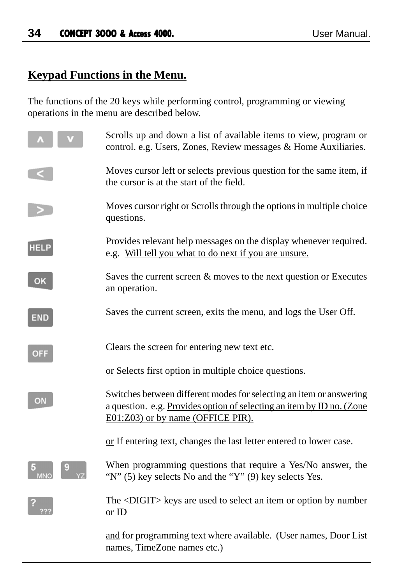### **Keypad Functions in the Menu.**

The functions of the 20 keys while performing control, programming or viewing operations in the menu are described below.

|            | Scrolls up and down a list of available items to view, program or<br>control. e.g. Users, Zones, Review messages & Home Auxiliaries.                                              |
|------------|-----------------------------------------------------------------------------------------------------------------------------------------------------------------------------------|
|            | Moves cursor left or selects previous question for the same item, if<br>the cursor is at the start of the field.                                                                  |
|            | Moves cursor right or Scrolls through the options in multiple choice<br>questions.                                                                                                |
| HEL        | Provides relevant help messages on the display whenever required.<br>e.g. Will tell you what to do next if you are unsure.                                                        |
| OK         | Saves the current screen $\&$ moves to the next question or Executes<br>an operation.                                                                                             |
| <b>END</b> | Saves the current screen, exits the menu, and logs the User Off.                                                                                                                  |
| <b>OFF</b> | Clears the screen for entering new text etc.                                                                                                                                      |
|            | or Selects first option in multiple choice questions.                                                                                                                             |
| ΟN         | Switches between different modes for selecting an item or answering<br>a question. e.g. Provides option of selecting an item by ID no. (Zone<br>E01:Z03) or by name (OFFICE PIR). |
|            | or If entering text, changes the last letter entered to lower case.                                                                                                               |
|            | When programming questions that require a Yes/No answer, the<br>"N" (5) key selects No and the "Y" (9) key selects Yes.                                                           |
|            | The <digit> keys are used to select an item or option by number<br/>or ID</digit>                                                                                                 |
|            | and for programming text where available. (User names, Door List<br>names, TimeZone names etc.)                                                                                   |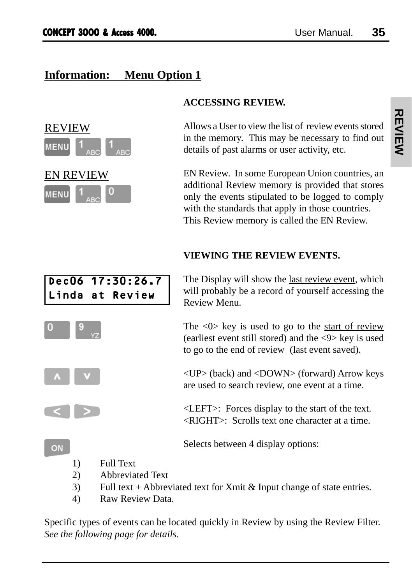# **Information: Menu Option 1**



#### **ACCESSING REVIEW.**

Allows a User to view the list of review events stored in the memory. This may be necessary to find out details of past alarms or user activity, etc.

EN Review. In some European Union countries, an additional Review memory is provided that stores only the events stipulated to be logged to comply with the standards that apply in those countries. This Review memory is called the EN Review.

#### **VIEWING THE REVIEW EVENTS.**



The Display will show the last review event, which will probably be a record of yourself accessing the Review Menu.

The  $\langle 0 \rangle$  key is used to go to the start of review (earliest event still stored) and the <9> key is used to go to the end of review (last event saved).

<UP> (back) and <DOWN> (forward) Arrow keys are used to search review, one event at a time.

<LEFT>: Forces display to the start of the text. <RIGHT>: Scrolls text one character at a time.

Selects between 4 display options:

1) Full Text

ON

- 2) Abbreviated Text
- 3) Full text + Abbreviated text for Xmit & Input change of state entries.
- 4) Raw Review Data.

Specific types of events can be located quickly in Review by using the Review Filter. *See the following page for details.*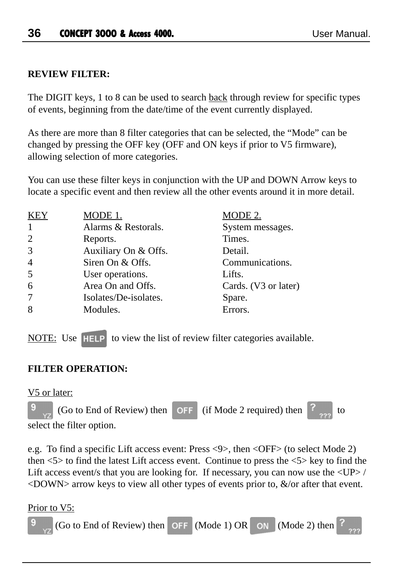#### **REVIEW FILTER:**

The DIGIT keys, 1 to 8 can be used to search back through review for specific types of events, beginning from the date/time of the event currently displayed.

As there are more than 8 filter categories that can be selected, the "Mode" can be changed by pressing the OFF key (OFF and ON keys if prior to V5 firmware), allowing selection of more categories.

You can use these filter keys in conjunction with the UP and DOWN Arrow keys to locate a specific event and then review all the other events around it in more detail.

| <b>KEY</b>     | MODE 1.               | MODE 2.              |
|----------------|-----------------------|----------------------|
| -1             | Alarms & Restorals.   | System messages.     |
| 2              | Reports.              | Times.               |
| 3              | Auxiliary On & Offs.  | Detail.              |
| $\overline{4}$ | Siren On & Offs.      | Communications.      |
| 5              | User operations.      | Lifts.               |
| 6              | Area On and Offs.     | Cards. (V3 or later) |
| 7              | Isolates/De-isolates. | Spare.               |
| 8              | Modules.              | Errors.              |

NOTE: Use **HELP** to view the list of review filter categories available.

#### **FILTER OPERATION:**

V5 or later:

(Go to End of Review) then  $\overline{OPF}$  (if Mode 2 required) then  $\overline{?}$  to select the filter option.

e.g. To find a specific Lift access event: Press <9>, then <OFF> (to select Mode 2) then  $\langle 5 \rangle$  to find the latest Lift access event. Continue to press the  $\langle 5 \rangle$  key to find the Lift access event/s that you are looking for. If necessary, you can now use the  $\langle UP \rangle$  /  $\langle$ DOWN $>$  arrow keys to view all other types of events prior to,  $\&/$  or after that event.

Prior to V5:

(Go to End of Review) then  $OF$  (Mode 1) OR (Mode 2) then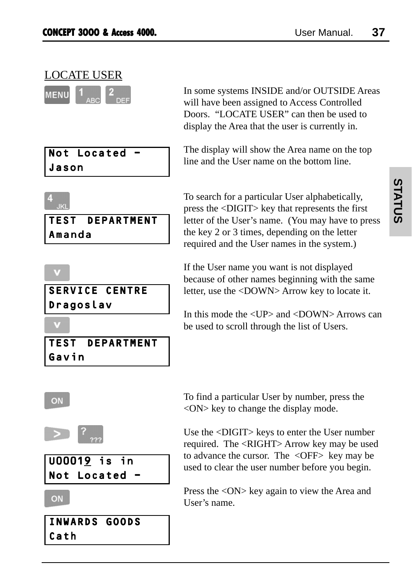# LOCATE USER

| MENU |           |  |
|------|-----------|--|
|      | TAN INCOM |  |

|       | Not Located |  |
|-------|-------------|--|
| Jason |             |  |

In some systems INSIDE and/or OUTSIDE Areas will have been assigned to Access Controlled Doors. "LOCATE USER" can then be used to display the Area that the user is currently in.

The display will show the Area name on the top line and the User name on the bottom line.

# TEST DEPARTMENT Amanda

# SERVICE CENTRE Dragoslav

|       | TEST DEPARTMENT |
|-------|-----------------|
| Gavin |                 |

To search for a particular User alphabetically, press the <DIGIT> key that represents the first letter of the User's name. (You may have to press the key 2 or 3 times, depending on the letter required and the User names in the system.)

If the User name you want is not displayed because of other names beginning with the same letter, use the <DOWN> Arrow key to locate it.

In this mode the  $\langle UP \rangle$  and  $\langle DOWN \rangle$  Arrows can be used to scroll through the list of Users.

# ON



U00019 is in Not Located -

ON

INWARDS GOODS Cath

To find a particular User by number, press the <ON> key to change the display mode.

Use the <DIGIT> keys to enter the User number required. The <RIGHT> Arrow key may be used to advance the cursor. The <OFF> key may be used to clear the user number before you begin.

Press the <ON> key again to view the Area and User's name.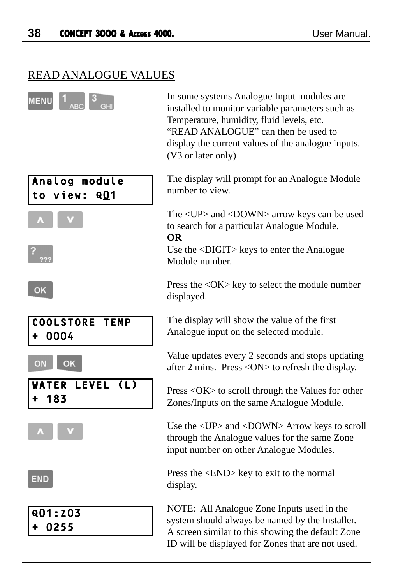# READ ANALOGUE VALUES

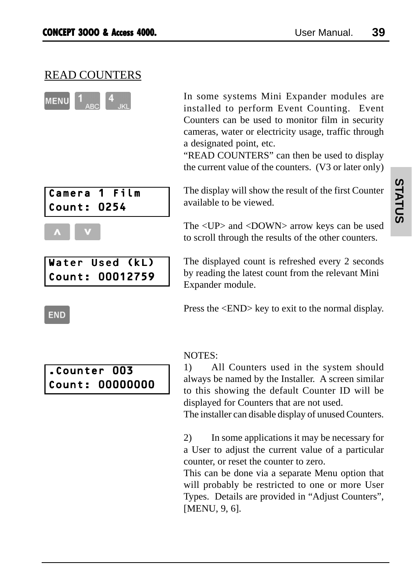# READ COUNTERS



Camera 1 Film Count: 0254



Water Used (kL) Count: 00012759 In some systems Mini Expander modules are installed to perform Event Counting. Event Counters can be used to monitor film in security cameras, water or electricity usage, traffic through a designated point, etc.

"READ COUNTERS" can then be used to display the current value of the counters. (V3 or later only)

The display will show the result of the first Counter available to be viewed.

The <UP> and <DOWN> arrow keys can be used to scroll through the results of the other counters.

The displayed count is refreshed every 2 seconds by reading the latest count from the relevant Mini Expander module.

Press the <END> key to exit to the normal display.

#### NOTES:

1) All Counters used in the system should always be named by the Installer. A screen similar to this showing the default Counter ID will be displayed for Counters that are not used.

The installer can disable display of unused Counters.

2) In some applications it may be necessary for a User to adjust the current value of a particular counter, or reset the counter to zero.

This can be done via a separate Menu option that will probably be restricted to one or more User Types. Details are provided in "Adjust Counters", [MENU, 9, 6].

#### **END**

# .Counter 003 Count: 00000000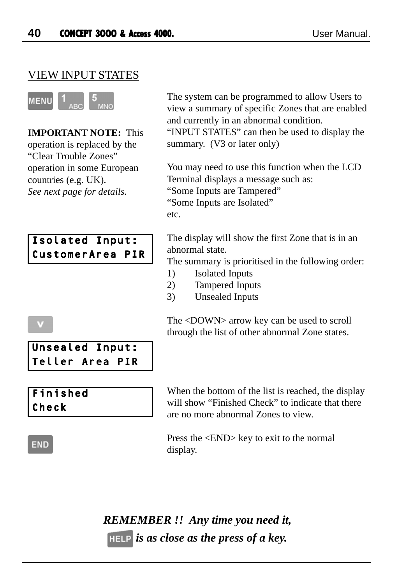# VIEW INPUT STATES



**IMPORTANT NOTE:** This operation is replaced by the "Clear Trouble Zones" operation in some European countries (e.g. UK). *See next page for details.*



Unsealed Input: Teller Area PIR The system can be programmed to allow Users to view a summary of specific Zones that are enabled and currently in an abnormal condition.

"INPUT STATES" can then be used to display the summary. (V3 or later only)

You may need to use this function when the LCD Terminal displays a message such as: "Some Inputs are Tampered" "Some Inputs are Isolated" etc.

The display will show the first Zone that is in an abnormal state.

The summary is prioritised in the following order:

- 1) Isolated Inputs
- 2) Tampered Inputs
- 3) Unsealed Inputs

The <DOWN> arrow key can be used to scroll through the list of other abnormal Zone states.

# Finished Check

When the bottom of the list is reached, the display will show "Finished Check" to indicate that there are no more abnormal Zones to view.

# **END**

Press the <END> key to exit to the normal display.

*REMEMBER !! Any time you need it, is as close as the press of a key.*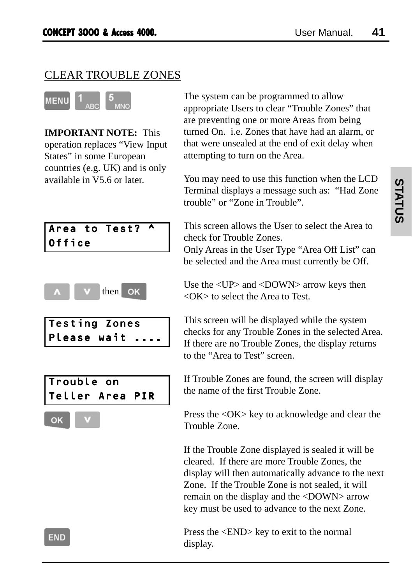# CLEAR TROUBLE ZONES



**IMPORTANT NOTE:** This operation replaces "View Input States" in some European countries (e.g. UK) and is only available in V5.6 or later.



$$
\begin{array}{|c|c|c|c|}\hline \textbf{A} & \textbf{V} & \textbf{then} & \textbf{OK} \\\hline \end{array}
$$

| Testing Zones |                     |  |
|---------------|---------------------|--|
|               | <b>Please wait </b> |  |





The system can be programmed to allow appropriate Users to clear "Trouble Zones" that are preventing one or more Areas from being turned On. i.e. Zones that have had an alarm, or that were unsealed at the end of exit delay when attempting to turn on the Area.

You may need to use this function when the LCD Terminal displays a message such as: "Had Zone trouble" or "Zone in Trouble".

This screen allows the User to select the Area to check for Trouble Zones. Only Areas in the User Type "Area Off List" can

be selected and the Area must currently be Off.

Use the <UP> and <DOWN> arrow keys then <OK> to select the Area to Test.

This screen will be displayed while the system checks for any Trouble Zones in the selected Area. If there are no Trouble Zones, the display returns to the "Area to Test" screen.

If Trouble Zones are found, the screen will display the name of the first Trouble Zone.

Press the <OK> key to acknowledge and clear the Trouble Zone.

If the Trouble Zone displayed is sealed it will be cleared. If there are more Trouble Zones, the display will then automatically advance to the next Zone. If the Trouble Zone is not sealed, it will remain on the display and the <DOWN> arrow key must be used to advance to the next Zone.

Press the <END> key to exit to the normal display.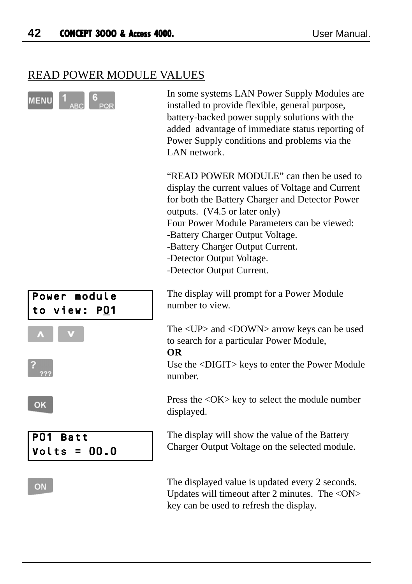# READ POWER MODULE VALUES

|                                             | In some systems LAN Power Supply Modules are<br>installed to provide flexible, general purpose,<br>battery-backed power supply solutions with the<br>added advantage of immediate status reporting of<br>Power Supply conditions and problems via the<br>LAN network.                                                                                             |
|---------------------------------------------|-------------------------------------------------------------------------------------------------------------------------------------------------------------------------------------------------------------------------------------------------------------------------------------------------------------------------------------------------------------------|
|                                             | "READ POWER MODULE" can then be used to<br>display the current values of Voltage and Current<br>for both the Battery Charger and Detector Power<br>outputs. (V4.5 or later only)<br>Four Power Module Parameters can be viewed:<br>-Battery Charger Output Voltage.<br>-Battery Charger Output Current.<br>-Detector Output Voltage.<br>-Detector Output Current. |
| Power module<br><b>P01</b><br>to view:      | The display will prompt for a Power Module<br>number to view.                                                                                                                                                                                                                                                                                                     |
|                                             | The <up> and <down> arrow keys can be used<br/>to search for a particular Power Module,<br/><b>OR</b></down></up>                                                                                                                                                                                                                                                 |
|                                             | Use the <digit> keys to enter the Power Module<br/>number.</digit>                                                                                                                                                                                                                                                                                                |
| OK                                          | Press the <ok> key to select the module number<br/>displayed.</ok>                                                                                                                                                                                                                                                                                                |
| PO 1<br><b>Batt</b><br>00.0<br>Volts<br>$=$ | The display will show the value of the Battery<br>Charger Output Voltage on the selected module.                                                                                                                                                                                                                                                                  |
| ΟN                                          | The displayed value is updated every 2 seconds.<br>Updates will timeout after 2 minutes. The <on></on>                                                                                                                                                                                                                                                            |

key can be used to refresh the display.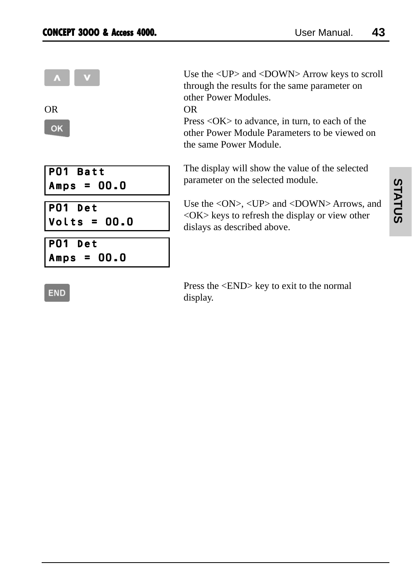| $\blacktriangle$<br><b>OR</b><br>OK | Use the $\langle$<br>through th<br>other Pow<br>OR.<br>$Press <$ OF<br>other Pow<br>the same I |
|-------------------------------------|------------------------------------------------------------------------------------------------|
| PO1 Batt<br>$ Amps = 00.0$          | The displa<br>parameter                                                                        |
| PO1 Det<br> Volts = 00.0            | Use the $\lt$<br>$\langle$ OK $>$ key<br>dislays as                                            |
| $PO1$ Det<br>Amps = 00.0            |                                                                                                |

UP> and <DOWN> Arrow keys to scroll the results for the same parameter on er Modules

 $K$  to advance, in turn, to each of the er Module Parameters to be viewed on Power Module.

ay will show the value of the selected on the selected module.

 $ON$ >,  $\langle UP \rangle$  and  $\langle DOMN \rangle$  Arrows, and ys to refresh the display or view other described above.

**END** 

Press the <END> key to exit to the normal display.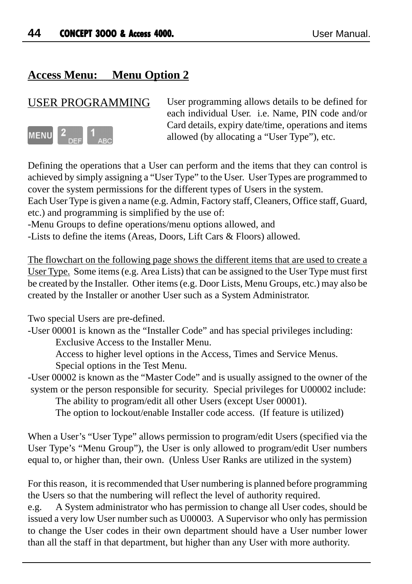# **Access Menu: Menu Option 2**

# USER PROGRAMMING



User programming allows details to be defined for each individual User. i.e. Name, PIN code and/or Card details, expiry date/time, operations and items allowed (by allocating a "User Type"), etc.

Defining the operations that a User can perform and the items that they can control is achieved by simply assigning a "User Type" to the User. User Types are programmed to cover the system permissions for the different types of Users in the system.

Each User Type is given a name (e.g. Admin, Factory staff, Cleaners, Office staff, Guard, etc.) and programming is simplified by the use of:

-Menu Groups to define operations/menu options allowed, and

-Lists to define the items (Areas, Doors, Lift Cars & Floors) allowed.

The flowchart on the following page shows the different items that are used to create a User Type. Some items (e.g. Area Lists) that can be assigned to the User Type must first be created by the Installer. Other items (e.g. Door Lists, Menu Groups, etc.) may also be created by the Installer or another User such as a System Administrator.

Two special Users are pre-defined.

-User 00001 is known as the "Installer Code" and has special privileges including: Exclusive Access to the Installer Menu.

Access to higher level options in the Access, Times and Service Menus.

Special options in the Test Menu.

-User 00002 is known as the "Master Code" and is usually assigned to the owner of the system or the person responsible for security. Special privileges for U00002 include:

The ability to program/edit all other Users (except User 00001).

The option to lockout/enable Installer code access. (If feature is utilized)

When a User's "User Type" allows permission to program/edit Users (specified via the User Type's "Menu Group"), the User is only allowed to program/edit User numbers equal to, or higher than, their own. (Unless User Ranks are utilized in the system)

For this reason, it is recommended that User numbering is planned before programming the Users so that the numbering will reflect the level of authority required.

e.g. A System administrator who has permission to change all User codes, should be issued a very low User number such as U00003. A Supervisor who only has permission to change the User codes in their own department should have a User number lower than all the staff in that department, but higher than any User with more authority.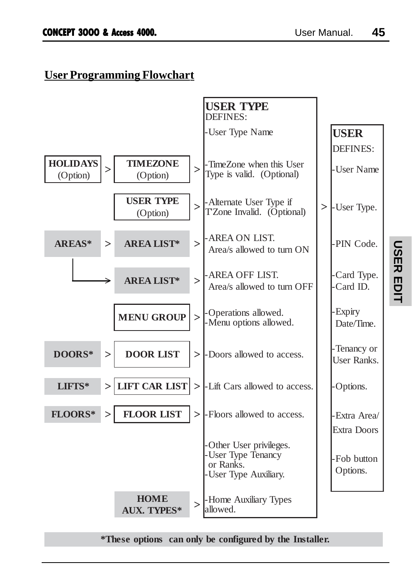# **User Programming Flowchart**



#### **\*These options can only be configured by the Installer.**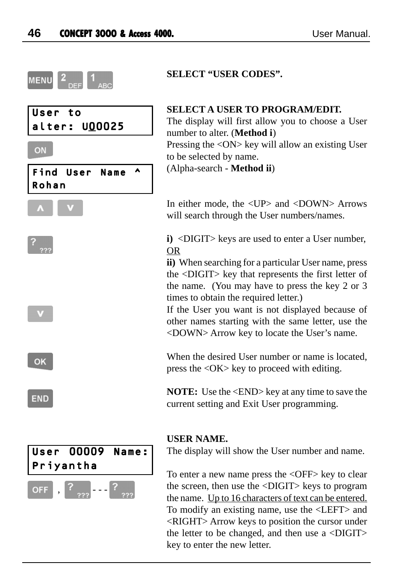

#### **SELECT "USER CODES".**

#### **SELECT A USER TO PROGRAM/EDIT.**

The display will first allow you to choose a User number to alter. (**Method i**) Pressing the <ON> key will allow an existing User to be selected by name. (Alpha-search - **Method ii**)

In either mode, the  $\langle UP \rangle$  and  $\langle DOWN \rangle$  Arrows will search through the User numbers/names.

**i)** <DIGIT> keys are used to enter a User number, OR

**ii)** When searching for a particular User name, press the <DIGIT> key that represents the first letter of the name. (You may have to press the key 2 or 3 times to obtain the required letter.)

If the User you want is not displayed because of other names starting with the same letter, use the <DOWN> Arrow key to locate the User's name.

When the desired User number or name is located. press the <OK> key to proceed with editing.

**NOTE:** Use the  $\leq$ END> key at any time to save the current setting and Exit User programming.

#### **USER NAME.**

The display will show the User number and name.

To enter a new name press the <OFF> key to clear the screen, then use the <DIGIT> keys to program the name. Up to 16 characters of text can be entered. To modify an existing name, use the <LEFT> and <RIGHT> Arrow keys to position the cursor under the letter to be changed, and then use a <DIGIT> key to enter the new letter.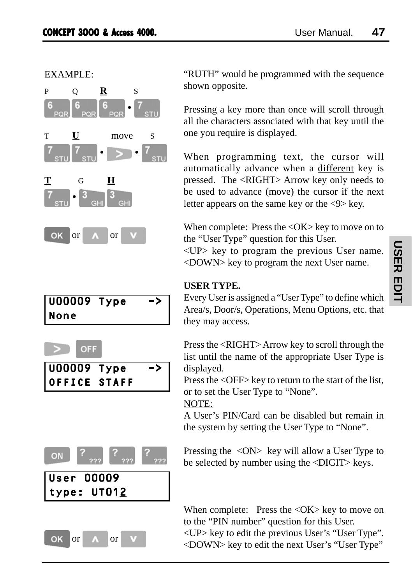EXAMPLE:



# U00009 Type -> None







"RUTH" would be programmed with the sequence shown opposite.

Pressing a key more than once will scroll through all the characters associated with that key until the one you require is displayed.

When programming text, the cursor will automatically advance when a different key is pressed. The <RIGHT> Arrow key only needs to be used to advance (move) the cursor if the next letter appears on the same key or the <9> key.

When complete: Press the  $\langle$ OK $>$  key to move on to the "User Type" question for this User.

<UP> key to program the previous User name. <DOWN> key to program the next User name.

### **USER TYPE.**

Every User is assigned a "User Type" to define which Area/s, Door/s, Operations, Menu Options, etc. that they may access.

Press the <RIGHT> Arrow key to scroll through the list until the name of the appropriate User Type is displayed.

Press the <OFF> key to return to the start of the list, or to set the User Type to "None".

#### NOTE:

A User's PIN/Card can be disabled but remain in the system by setting the User Type to "None".

Pressing the <ON> key will allow a User Type to be selected by number using the <DIGIT> keys.

When complete: Press the  $\langle$ OK $>$  key to move on to the "PIN number" question for this User. <UP> key to edit the previous User's "User Type". <DOWN> key to edit the next User's "User Type"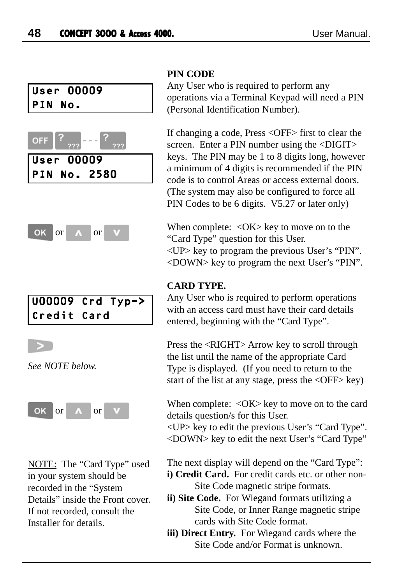# User 00009 PIN No.





# U00009 Crd Typ-> Credit Card



*See NOTE below.*



NOTE: The "Card Type" used in your system should be recorded in the "System Details" inside the Front cover. If not recorded, consult the Installer for details.

#### **PIN CODE**

Any User who is required to perform any operations via a Terminal Keypad will need a PIN (Personal Identification Number).

If changing a code, Press <OFF> first to clear the screen. Enter a PIN number using the <DIGIT> keys. The PIN may be 1 to 8 digits long, however a minimum of 4 digits is recommended if the PIN code is to control Areas or access external doors. (The system may also be configured to force all PIN Codes to be 6 digits. V5.27 or later only)

When complete:  $\langle OK \rangle$  key to move on to the "Card Type" question for this User. <UP> key to program the previous User's "PIN". <DOWN> key to program the next User's "PIN".

#### **CARD TYPE.**

Any User who is required to perform operations with an access card must have their card details entered, beginning with the "Card Type".

Press the <RIGHT> Arrow key to scroll through the list until the name of the appropriate Card Type is displayed. (If you need to return to the start of the list at any stage, press the <OFF> key)

When complete: < OK > key to move on to the card details question/s for this User.

<UP> key to edit the previous User's "Card Type". <DOWN> key to edit the next User's "Card Type"

The next display will depend on the "Card Type":

- i) Credit Card. For credit cards etc. or other non-Site Code magnetic stripe formats.
- **ii) Site Code.** For Wiegand formats utilizing a Site Code, or Inner Range magnetic stripe cards with Site Code format.
- **iii) Direct Entry.** For Wiegand cards where the Site Code and/or Format is unknown.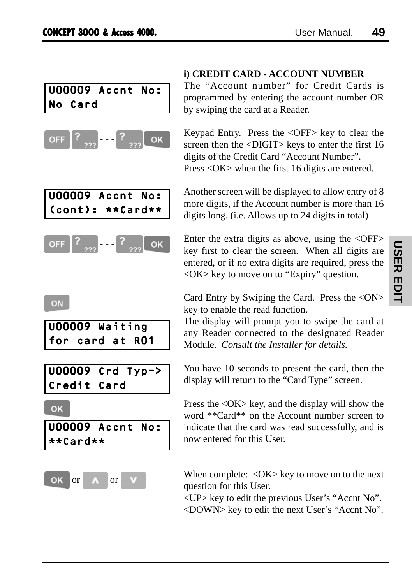# U00009 Accnt No: No Card







### ON

| U00009 Waiting  |  |  |  |
|-----------------|--|--|--|
| for card at RO1 |  |  |  |

U00009 Crd Typ-> Credit Card

#### OK





## **i) CREDIT CARD - ACCOUNT NUMBER**

The "Account number" for Credit Cards is programmed by entering the account number OR by swiping the card at a Reader.

Keypad Entry. Press the <OFF> key to clear the screen then the <DIGIT> keys to enter the first 16 digits of the Credit Card "Account Number". Press <OK> when the first 16 digits are entered.

Another screen will be displayed to allow entry of 8 more digits, if the Account number is more than 16 digits long. (i.e. Allows up to 24 digits in total)

Enter the extra digits as above, using the  $\langle$ OFF $>$ key first to clear the screen. When all digits are entered, or if no extra digits are required, press the <OK> key to move on to "Expiry" question.

Card Entry by Swiping the Card. Press the <ON> key to enable the read function.

The display will prompt you to swipe the card at any Reader connected to the designated Reader Module. *Consult the Installer for details.*

You have 10 seconds to present the card, then the display will return to the "Card Type" screen.

Press the <OK> key, and the display will show the word \*\*Card\*\* on the Account number screen to indicate that the card was read successfully, and is now entered for this User.

When complete:  $\langle OK \rangle$  key to move on to the next question for this User.

<UP> key to edit the previous User's "Accnt No". <DOWN> key to edit the next User's "Accnt No".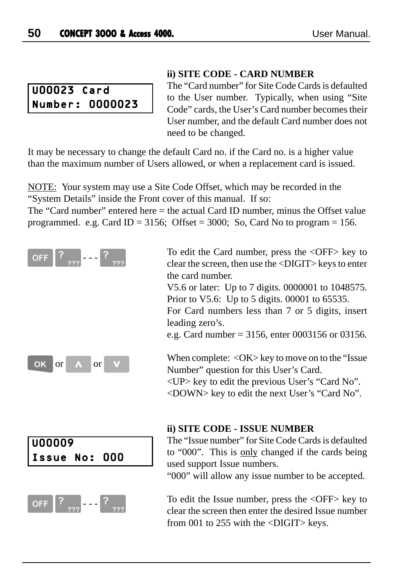# U00023 Card Number: 0000023

#### **ii) SITE CODE - CARD NUMBER**

The "Card number" for Site Code Cards is defaulted to the User number. Typically, when using "Site Code" cards, the User's Card number becomes their User number, and the default Card number does not need to be changed.

It may be necessary to change the default Card no. if the Card no. is a higher value than the maximum number of Users allowed, or when a replacement card is issued.

NOTE: Your system may use a Site Code Offset, which may be recorded in the "System Details" inside the Front cover of this manual. If so:

The "Card number" entered here = the actual Card ID number, minus the Offset value programmed. e.g. Card ID = 3156; Offset = 3000; So, Card No to program = 156.

| <b>OFF</b> | $\left  \right $ | 722       | ?<br>$\left  \cdot \right $ | ??? |
|------------|------------------|-----------|-----------------------------|-----|
| OK or      |                  | $\Lambda$ | or                          | V   |





To edit the Card number, press the <OFF> key to clear the screen, then use the <DIGIT> keys to enter the card number.

V5.6 or later: Up to 7 digits. 0000001 to 1048575. Prior to V5.6: Up to 5 digits. 00001 to 65535.

For Card numbers less than 7 or 5 digits, insert leading zero's.

e.g. Card number = 3156, enter 0003156 or 03156.

When complete: < $OK$ > key to move on to the "Issue Number" question for this User's Card. <UP> key to edit the previous User's "Card No". <DOWN> key to edit the next User's "Card No".

#### **ii) SITE CODE - ISSUE NUMBER**

The "Issue number" for Site Code Cards is defaulted to "000". This is only changed if the cards being used support Issue numbers.

"000" will allow any issue number to be accepted.

To edit the Issue number, press the <OFF> key to clear the screen then enter the desired Issue number from 001 to 255 with the <DIGIT> keys.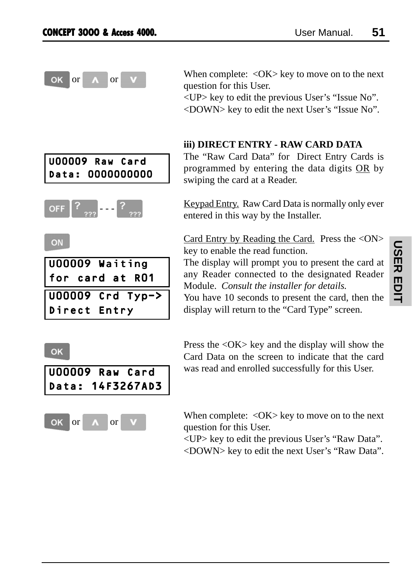OK

or  $\alpha$  or  $\alpha$  When complete:  $\langle OK \rangle$  key to move on to the next question for this User.

> <UP> key to edit the previous User's "Issue No". <DOWN> key to edit the next User's "Issue No".

#### **iii) DIRECT ENTRY - RAW CARD DATA**

The "Raw Card Data" for Direct Entry Cards is programmed by entering the data digits OR by swiping the card at a Reader.

Keypad Entry. Raw Card Data is normally only ever entered in this way by the Installer.

Card Entry by Reading the Card. Press the <ON> key to enable the read function.

The display will prompt you to present the card at any Reader connected to the designated Reader Module. *Consult the installer for details.*

You have 10 seconds to present the card, then the display will return to the "Card Type" screen.

Press the <OK> key and the display will show the Card Data on the screen to indicate that the card was read and enrolled successfully for this User.

When complete:  $\langle OK \rangle$  key to move on to the next question for this User.

<UP> key to edit the previous User's "Raw Data". <DOWN> key to edit the next User's "Raw Data".

**USER EDIT USER EDIT**



Data: 0000000000



ON



### OK



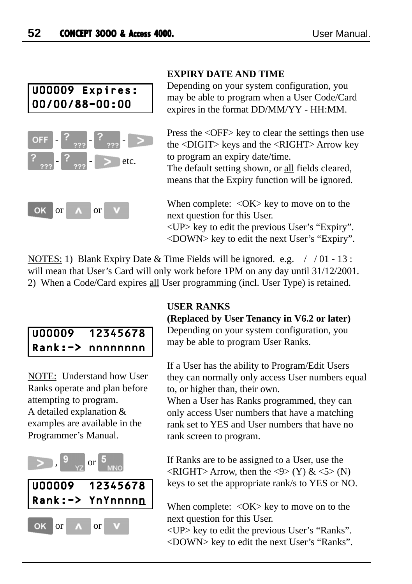

## **EXPIRY DATE AND TIME**

Depending on your system configuration, you may be able to program when a User Code/Card expires in the format DD/MM/YY - HH:MM.

Press the <OFF> key to clear the settings then use the <DIGIT> keys and the <RIGHT> Arrow key to program an expiry date/time. The default setting shown, or all fields cleared, means that the Expiry function will be ignored.

When complete:  $\langle OK \rangle$  key to move on to the next question for this User. <UP> key to edit the previous User's "Expiry". <DOWN> key to edit the next User's "Expiry".

NOTES: 1) Blank Expiry Date & Time Fields will be ignored. e.g.  $\frac{1}{10}$  - 13 : will mean that User's Card will only work before 1PM on any day until 31/12/2001. 2) When a Code/Card expires all User programming (incl. User Type) is retained.

# U00009 12345678 Rank:-> nnnnnnnn

NOTE: Understand how User Ranks operate and plan before attempting to program. A detailed explanation & examples are available in the Programmer's Manual.



#### **USER RANKS**

**(Replaced by User Tenancy in V6.2 or later)**

Depending on your system configuration, you may be able to program User Ranks.

If a User has the ability to Program/Edit Users they can normally only access User numbers equal to, or higher than, their own.

When a User has Ranks programmed, they can only access User numbers that have a matching rank set to YES and User numbers that have no rank screen to program.

If Ranks are to be assigned to a User, use the  $\langle$ RIGHT> Arrow, then the  $\langle 9 \rangle$  (Y) &  $\langle 5 \rangle$  (N) keys to set the appropriate rank/s to YES or NO.

When complete:  $\langle OK \rangle$  key to move on to the next question for this User.

<UP> key to edit the previous User's "Ranks". <DOWN> key to edit the next User's "Ranks".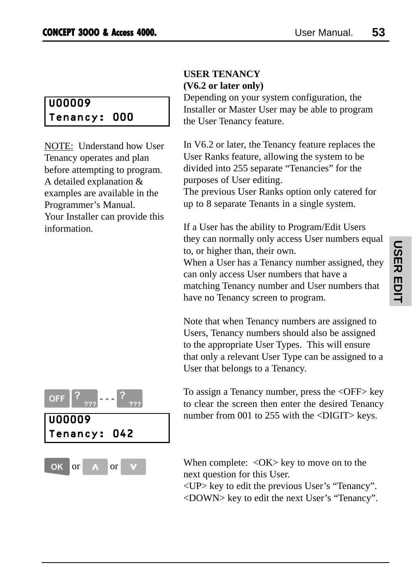# U00009 Tenancy: 000

NOTE: Understand how User Tenancy operates and plan before attempting to program. A detailed explanation & examples are available in the Programmer's Manual. Your Installer can provide this information.

# **USER TENANCY (V6.2 or later only)**

Depending on your system configuration, the Installer or Master User may be able to program the User Tenancy feature.

In V6.2 or later, the Tenancy feature replaces the User Ranks feature, allowing the system to be divided into 255 separate "Tenancies" for the purposes of User editing.

The previous User Ranks option only catered for up to 8 separate Tenants in a single system.

If a User has the ability to Program/Edit Users they can normally only access User numbers equal to, or higher than, their own.

When a User has a Tenancy number assigned, they can only access User numbers that have a matching Tenancy number and User numbers that have no Tenancy screen to program.

Note that when Tenancy numbers are assigned to Users, Tenancy numbers should also be assigned to the appropriate User Types. This will ensure that only a relevant User Type can be assigned to a User that belongs to a Tenancy.



To assign a Tenancy number, press the <OFF> key to clear the screen then enter the desired Tenancy number from 001 to 255 with the <DIGIT> keys.

When complete:  $\langle OK \rangle$  key to move on to the next question for this User.

<UP> key to edit the previous User's "Tenancy". <DOWN> key to edit the next User's "Tenancy".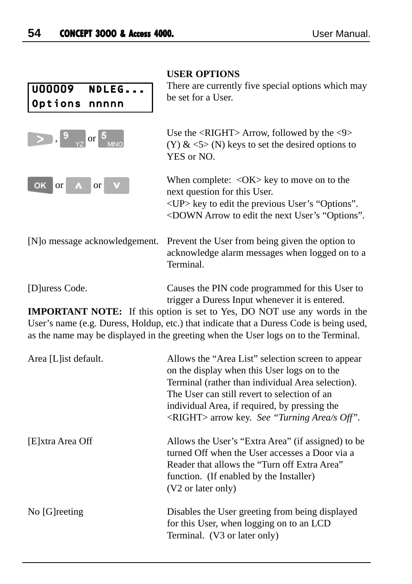|                                              | <b>USER OPTIONS</b>                                                                                                                                                                                                                      |
|----------------------------------------------|------------------------------------------------------------------------------------------------------------------------------------------------------------------------------------------------------------------------------------------|
| <b>U00009</b><br>NDLEG<br>Options<br>nnnnn   | There are currently five special options which may<br>be set for a User.                                                                                                                                                                 |
| $>$ , $9\overline{)}$ or $5\overline{)}$ MNO | Use the $\langle$ RIGHT> Arrow, followed by the $\langle$ 9><br>(Y) & $\leq$ 5> (N) keys to set the desired options to<br>YES or NO.                                                                                                     |
| <b>or</b><br>OK<br><b>or</b>                 | When complete: $\langle OK \rangle$ key to move on to the<br>next question for this User.<br><up> key to edit the previous User's "Options".<br/><down "options".<="" arrow="" edit="" next="" td="" the="" to="" user's=""></down></up> |
| [N] o message acknowledgement.               | Prevent the User from being given the option to<br>acknowledge alarm messages when logged on to a<br>Terminal.                                                                                                                           |
| [D]uress Code.                               | Causes the PIN code programmed for this User to<br>trigger a Duress Input whenever it is entered.                                                                                                                                        |
|                                              | <b>IMPORTANT NOTE:</b> If this option is set to Yes, DO NOT use any words in the                                                                                                                                                         |
|                                              | User's name (e.g. Duress, Holdup, etc.) that indicate that a Duress Code is being used,<br>as the name may be displayed in the greeting when the User logs on to the Terminal.                                                           |
| A noo II Lot defoult                         | $\Lambda$ lloriathe $\Lambda$ nee Liet" colection concente canoen                                                                                                                                                                        |

| Area [L] ist default. | Allows the "Area List" selection screen to appear<br>on the display when this User logs on to the<br>Terminal (rather than individual Area selection).<br>The User can still revert to selection of an<br>individual Area, if required, by pressing the<br>$\langle$ RIGHT> arrow key. <i>See "Turning Area/s Off"</i> . |
|-----------------------|--------------------------------------------------------------------------------------------------------------------------------------------------------------------------------------------------------------------------------------------------------------------------------------------------------------------------|
| [E]xtra Area Off      | Allows the User's "Extra Area" (if assigned) to be<br>turned Off when the User accesses a Door via a<br>Reader that allows the "Turn off Extra Area"<br>function. (If enabled by the Installer)<br>(V2 or later only)                                                                                                    |
| No [G] reeting        | Disables the User greeting from being displayed<br>for this User, when logging on to an LCD<br>Terminal. (V3 or later only)                                                                                                                                                                                              |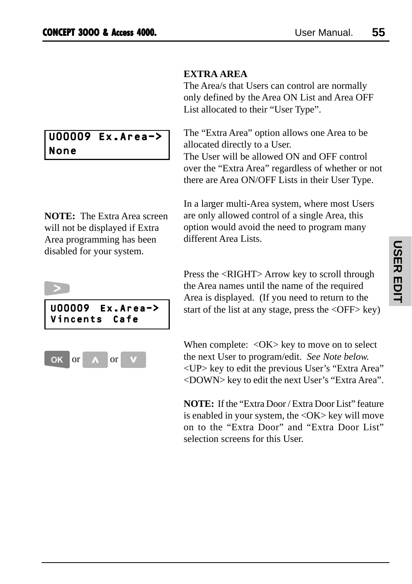#### **EXTRA AREA**

The Area/s that Users can control are normally only defined by the Area ON List and Area OFF List allocated to their "User Type".

The "Extra Area" option allows one Area to be allocated directly to a User. The User will be allowed ON and OFF control over the "Extra Area" regardless of whether or not there are Area ON/OFF Lists in their User Type.

**NOTE:** The Extra Area screen will not be displayed if Extra Area programming has been disabled for your system.

U00009 Ex.Area->

None

In a larger multi-Area system, where most Users are only allowed control of a single Area, this option would avoid the need to program many different Area Lists.



or or

OK

Press the <RIGHT> Arrow key to scroll through the Area names until the name of the required Area is displayed. (If you need to return to the start of the list at any stage, press the <OFF> key)

When complete: < $OK$  key to move on to select the next User to program/edit. *See Note below.* <UP> key to edit the previous User's "Extra Area" <DOWN> key to edit the next User's "Extra Area".

**NOTE:** If the "Extra Door / Extra Door List" feature is enabled in your system, the <OK> key will move on to the "Extra Door" and "Extra Door List" selection screens for this User.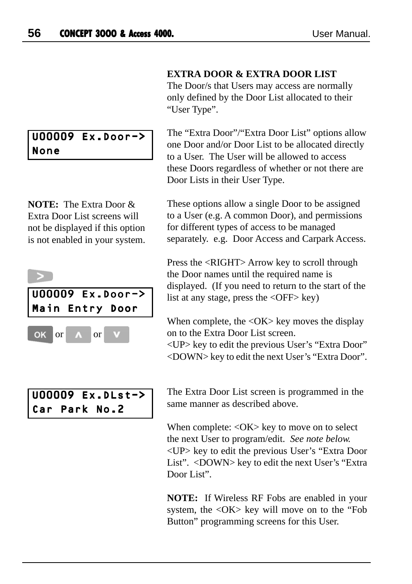U00009 Ex.Door->

**NOTE:** The Extra Door & Extra Door List screens will not be displayed if this option is not enabled in your system.

None

# **EXTRA DOOR & EXTRA DOOR LIST**

The Door/s that Users may access are normally only defined by the Door List allocated to their "User Type".

The "Extra Door"/"Extra Door List" options allow one Door and/or Door List to be allocated directly to a User. The User will be allowed to access these Doors regardless of whether or not there are Door Lists in their User Type.

These options allow a single Door to be assigned to a User (e.g. A common Door), and permissions for different types of access to be managed separately. e.g. Door Access and Carpark Access.

Press the <RIGHT> Arrow key to scroll through the Door names until the required name is displayed. (If you need to return to the start of the list at any stage, press the <OFF> key)

When complete, the  $\langle$ OK $>$  key moves the display on to the Extra Door List screen. <UP> key to edit the previous User's "Extra Door" <DOWN> key to edit the next User's "Extra Door".

U00009 Ex.DLst-> Car Park No.2

U00009 Ex.Door-> Main Entry Door

or or

OK

The Extra Door List screen is programmed in the same manner as described above.

When complete: < $OK$ > key to move on to select the next User to program/edit. *See note below.* <UP> key to edit the previous User's "Extra Door List". <DOWN> key to edit the next User's "Extra Door List".

**NOTE:** If Wireless RF Fobs are enabled in your system, the <OK> key will move on to the "Fob Button" programming screens for this User.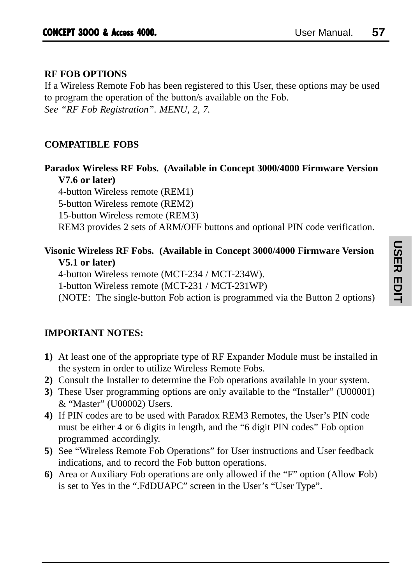# **RF FOB OPTIONS**

If a Wireless Remote Fob has been registered to this User, these options may be used to program the operation of the button/s available on the Fob. *See "RF Fob Registration". MENU, 2, 7.*

# **COMPATIBLE FOBS**

**Paradox Wireless RF Fobs. (Available in Concept 3000/4000 Firmware Version V7.6 or later)**

4-button Wireless remote (REM1) 5-button Wireless remote (REM2) 15-button Wireless remote (REM3) REM3 provides 2 sets of ARM/OFF buttons and optional PIN code verification.

# **Visonic Wireless RF Fobs. (Available in Concept 3000/4000 Firmware Version V5.1 or later)**

4-button Wireless remote (MCT-234 / MCT-234W).

1-button Wireless remote (MCT-231 / MCT-231WP)

(NOTE: The single-button Fob action is programmed via the Button 2 options)

# **IMPORTANT NOTES:**

- **1)** At least one of the appropriate type of RF Expander Module must be installed in the system in order to utilize Wireless Remote Fobs.
- **2)** Consult the Installer to determine the Fob operations available in your system.
- **3)** These User programming options are only available to the "Installer" (U00001) & "Master" (U00002) Users.
- **4)** If PIN codes are to be used with Paradox REM3 Remotes, the User's PIN code must be either 4 or 6 digits in length, and the "6 digit PIN codes" Fob option programmed accordingly.
- **5)** See "Wireless Remote Fob Operations" for User instructions and User feedback indications, and to record the Fob button operations.
- **6)** Area or Auxiliary Fob operations are only allowed if the "F" option (Allow **F**ob) is set to Yes in the ".FdDUAPC" screen in the User's "User Type".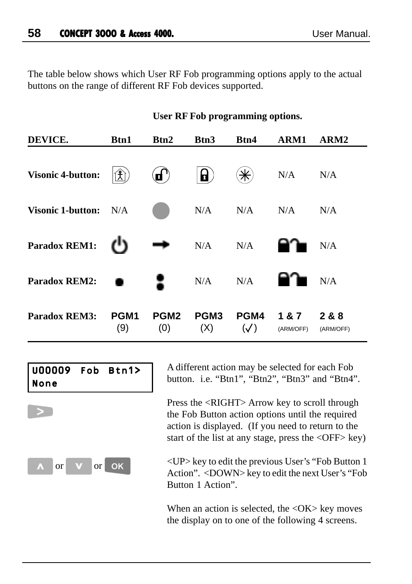The table below shows which User RF Fob programming options apply to the actual buttons on the range of different RF Fob devices supported.

| DEVICE.                      | <b>Btn1</b>                                                                                                                                                                                                                                                                                                                                                                                                                                                                                                              | Btn2                    | Btn3                    | Btn4                  | ARM1             | ARM2             |
|------------------------------|--------------------------------------------------------------------------------------------------------------------------------------------------------------------------------------------------------------------------------------------------------------------------------------------------------------------------------------------------------------------------------------------------------------------------------------------------------------------------------------------------------------------------|-------------------------|-------------------------|-----------------------|------------------|------------------|
| <b>Visonic 4-button:</b>     | $\mathbf{\widehat{\mathfrak{X}}}% =\mathbf{\widehat{\mathfrak{X}}}= \mathbf{\widehat{\mathfrak{X}}}% =\mathbf{\widehat{\mathfrak{X}}}% =\mathbf{\widehat{\mathfrak{X}}}% =\mathbf{\widehat{\mathfrak{X}}}% =\mathbf{\widehat{\mathfrak{X}}}% =\mathbf{\widehat{\mathfrak{X}}}% =\mathbf{\widehat{\mathfrak{X}}}% =\mathbf{\widehat{\mathfrak{X}}}% =\mathbf{\widehat{\mathfrak{X}}}% =\mathbf{\widehat{\mathfrak{X}}}% =\mathbf{\widehat{\mathfrak{X}}}% =\mathbf{\widehat{\mathfrak{X}}}% =\mathbf{\widehat{\mathfrak{$ | $\bf d$ )               | 8                       | *                     | N/A              | N/A              |
| <b>Visonic 1-button:</b> N/A |                                                                                                                                                                                                                                                                                                                                                                                                                                                                                                                          |                         | N/A                     | N/A                   | N/A              | N/A              |
| <b>Paradox REM1:</b>         |                                                                                                                                                                                                                                                                                                                                                                                                                                                                                                                          |                         | N/A                     | N/A                   |                  | N/A              |
| <b>Paradox REM2:</b>         |                                                                                                                                                                                                                                                                                                                                                                                                                                                                                                                          | ₹                       | N/A                     | N/A                   |                  | N/A              |
| <b>Paradox REM3:</b>         | PGM <sub>1</sub><br>(9)                                                                                                                                                                                                                                                                                                                                                                                                                                                                                                  | PGM <sub>2</sub><br>(0) | PGM <sub>3</sub><br>(X) | PGM4<br>$(\sqrt{ } )$ | 1&7<br>(ARM/OFF) | 2&8<br>(ARM/OFF) |

#### **User RF Fob programming options.**



A different action may be selected for each Fob button. i.e. "Btn1", "Btn2", "Btn3" and "Btn4".

Press the <RIGHT> Arrow key to scroll through the Fob Button action options until the required action is displayed. (If you need to return to the start of the list at any stage, press the <OFF> key)

<UP> key to edit the previous User's "Fob Button 1 Action". <DOWN> key to edit the next User's "Fob Button 1 Action".

When an action is selected, the <OK> key moves the display on to one of the following 4 screens.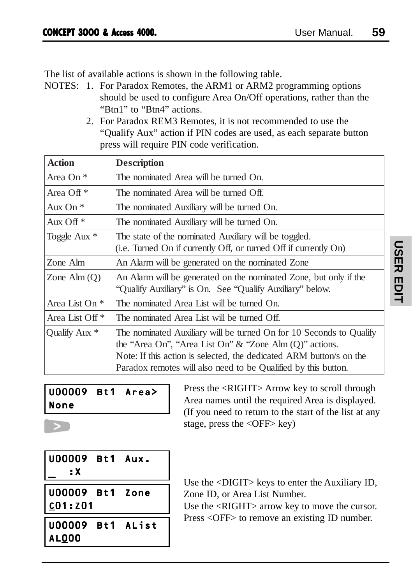The list of available actions is shown in the following table.

- NOTES: 1. For Paradox Remotes, the ARM1 or ARM2 programming options should be used to configure Area On/Off operations, rather than the "Btn1" to "Btn4" actions.
	- 2. For Paradox REM3 Remotes, it is not recommended to use the "Qualify Aux" action if PIN codes are used, as each separate button press will require PIN code verification.

| <b>Action</b>              | <b>Description</b>                                                                                                                                                                                                                                                         |
|----------------------------|----------------------------------------------------------------------------------------------------------------------------------------------------------------------------------------------------------------------------------------------------------------------------|
| Area On <sup>*</sup>       | The nominated Area will be turned On.                                                                                                                                                                                                                                      |
| Area Off <sup>*</sup>      | The nominated Area will be turned Off.                                                                                                                                                                                                                                     |
| Aux On $*$                 | The nominated Auxiliary will be turned On.                                                                                                                                                                                                                                 |
| Aux Off $*$                | The nominated Auxiliary will be turned On.                                                                                                                                                                                                                                 |
| Toggle Aux *               | The state of the nominated Auxiliary will be toggled.<br>(i.e. Turned On if currently Off, or turned Off if currently On)                                                                                                                                                  |
| Zone Alm                   | An Alarm will be generated on the nominated Zone                                                                                                                                                                                                                           |
| Zone Alm $(Q)$             | An Alarm will be generated on the nominated Zone, but only if the<br>"Qualify Auxiliary" is On. See "Qualify Auxiliary" below.                                                                                                                                             |
| Area List On *             | The nominated Area List will be turned On.                                                                                                                                                                                                                                 |
| Area List Off <sup>*</sup> | The nominated Area List will be turned Off.                                                                                                                                                                                                                                |
| Qualify Aux *              | The nominated Auxiliary will be turned On for 10 Seconds to Qualify<br>the "Area On", "Area List On" $\&$ "Zone Alm (Q)" actions.<br>Note: If this action is selected, the dedicated ARM button's on the<br>Paradox remotes will also need to be Qualified by this button. |

# U00009 Bt1 Area> None

Press the <RIGHT> Arrow key to scroll through Area names until the required Area is displayed. (If you need to return to the start of the list at any stage, press the  $\langle$ OFF $>$  key)

| U00009 Bt1 Aux.<br>: X                 |  |
|----------------------------------------|--|
| U00009 Bt1 Zone<br>  <u>C</u> O1 : ZO1 |  |
| U00009 Bt1 AList<br>AL000              |  |

Use the <DIGIT> keys to enter the Auxiliary ID, Zone ID, or Area List Number.

Use the <RIGHT> arrow key to move the cursor. Press <OFF> to remove an existing ID number.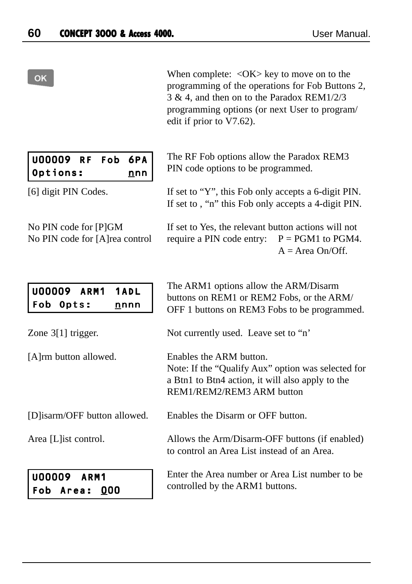#### OK

When complete:  $\langle OK \rangle$  key to move on to the programming of the operations for Fob Buttons 2, 3 & 4, and then on to the Paradox REM1/2/3 programming options (or next User to program/ edit if prior to V7.62).

The RF Fob options allow the Paradox REM3

PIN code options to be programmed.

| U00009 RF Fob 6PA |  |     |  |
|-------------------|--|-----|--|
| Options:          |  | nnn |  |

[6] digit PIN Codes.

No PIN code for [P]GM No PIN code for [A]rea control If set to , "n" this Fob only accepts a 4-digit PIN. If set to Yes, the relevant button actions will not require a PIN code entry:  $P = PGM1$  to PGM4.  $A = Area On/Off$ 

If set to "Y", this Fob only accepts a 6-digit PIN.

U00009 ARM1 1ADL Fob Opts: nnnn

The ARM1 options allow the ARM/Disarm buttons on REM1 or REM2 Fobs, or the ARM/ OFF 1 buttons on REM3 Fobs to be programmed.

Not currently used. Leave set to "n'

Enables the ARM button. Note: If the "Qualify Aux" option was selected for a Btn1 to Btn4 action, it will also apply to the REM1/REM2/REM3 ARM button

Enables the Disarm or OFF button.

Allows the Arm/Disarm-OFF buttons (if enabled) to control an Area List instead of an Area.

Enter the Area number or Area List number to be controlled by the ARM1 buttons.

|  |  | [D] isarm/OFF button allowed. |  |
|--|--|-------------------------------|--|

Area [L]ist control.

Zone 3[1] trigger.

[A]rm button allowed.

| <b>U00009</b> | ARM1 |     |
|---------------|------|-----|
| Fob Area:     |      | 000 |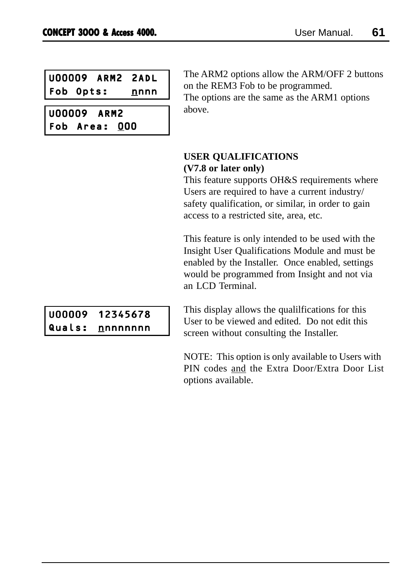|           | <b>U00009 ARM2 2ADL</b> |      |
|-----------|-------------------------|------|
| Fob Opts: |                         | nnnn |

U00009 ARM2 Fob Area: 000 The ARM2 options allow the ARM/OFF 2 buttons on the REM3 Fob to be programmed.

The options are the same as the ARM1 options above.

### **USER QUALIFICATIONS (V7.8 or later only)**

This feature supports OH&S requirements where Users are required to have a current industry/ safety qualification, or similar, in order to gain access to a restricted site, area, etc.

This feature is only intended to be used with the Insight User Qualifications Module and must be enabled by the Installer. Once enabled, settings would be programmed from Insight and not via an LCD Terminal.

U00009 12345678 Quals: nnnnnnnn

This display allows the qualilfications for this User to be viewed and edited. Do not edit this screen without consulting the Installer.

NOTE: This option is only available to Users with PIN codes and the Extra Door/Extra Door List options available.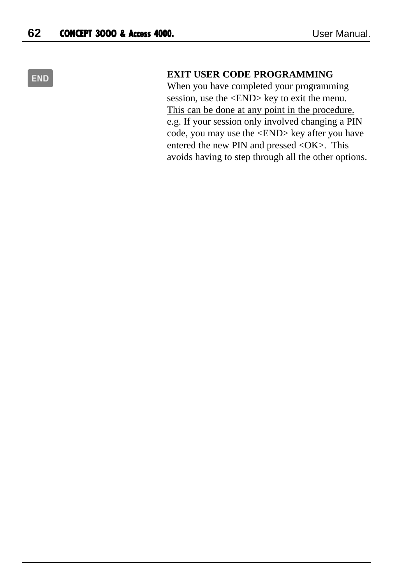# **END**

#### **EXIT USER CODE PROGRAMMING**

When you have completed your programming session, use the <END> key to exit the menu. This can be done at any point in the procedure. e.g. If your session only involved changing a PIN code, you may use the <END> key after you have entered the new PIN and pressed <OK>. This avoids having to step through all the other options.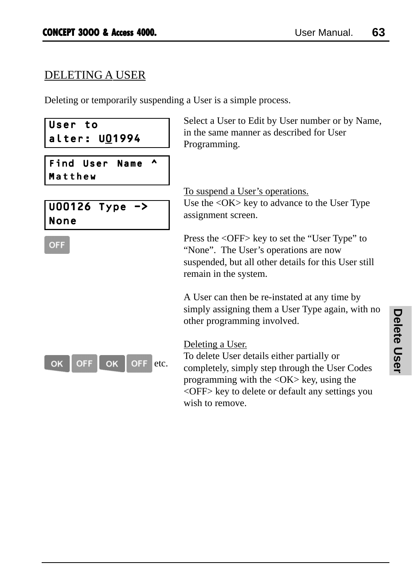# DELETING A USER

Deleting or temporarily suspending a User is a simple process.

| User to<br>alter: UO1994             | Select a User to Edit by User number or by Name,<br>in the same manner as described for User<br>Programming.                                                                                                                          |  |
|--------------------------------------|---------------------------------------------------------------------------------------------------------------------------------------------------------------------------------------------------------------------------------------|--|
| Find<br>User<br>ㅅ<br>Name<br>Matthew |                                                                                                                                                                                                                                       |  |
| U00126 Type<br>-><br>None            | <u>To suspend a User's operations.</u><br>Use the <ok> key to advance to the User Type<br/>assignment screen.</ok>                                                                                                                    |  |
| <b>OFF</b>                           | Press the <off> key to set the "User Type" to<br/>"None". The User's operations are now<br/>suspended, but all other details for this User still<br/>remain in the system.</off>                                                      |  |
|                                      | A User can then be re-instated at any time by<br>simply assigning them a User Type again, with no<br>other programming involved.                                                                                                      |  |
| OK<br>OFF<br>etc.<br>OK<br>OFF       | Deleting a User.<br>To delete User details either partially or<br>completely, simply step through the User Codes<br>programming with the $\langle OK \rangle$ key, using the<br><off> key to delete or default any settings you</off> |  |

wish to remove.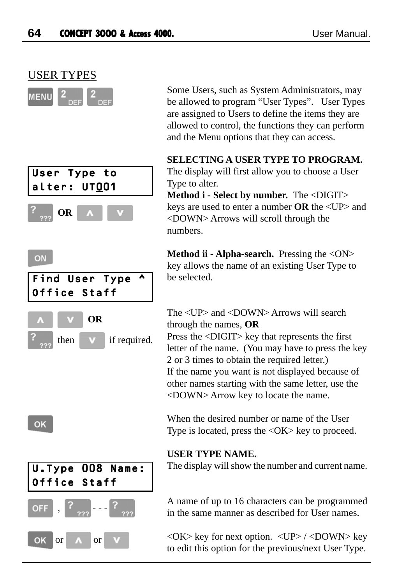









 Some Users, such as System Administrators, may be allowed to program "User Types". User Types are assigned to Users to define the items they are allowed to control, the functions they can perform and the Menu options that they can access.

#### **SELECTING A USER TYPE TO PROGRAM.**

The display will first allow you to choose a User Type to alter.

**Method i - Select by number.** The <DIGIT> keys are used to enter a number **OR** the <UP> and <DOWN> Arrows will scroll through the numbers.

**Method ii - Alpha-search.** Pressing the <ON> key allows the name of an existing User Type to be selected.

The <UP> and <DOWN> Arrows will search through the names, **OR** Press the <DIGIT> key that represents the first letter of the name. (You may have to press the key 2 or 3 times to obtain the required letter.) If the name you want is not displayed because of other names starting with the same letter, use the <DOWN> Arrow key to locate the name.

When the desired number or name of the User Type is located, press the  $\langle OK \rangle$  key to proceed.

### **USER TYPE NAME.**

The display will show the number and current name.

A name of up to 16 characters can be programmed in the same manner as described for User names.

 $\langle$ OK $>$  key for next option.  $\langle$ UP $>$  / $\langle$ DOWN $>$  key to edit this option for the previous/next User Type.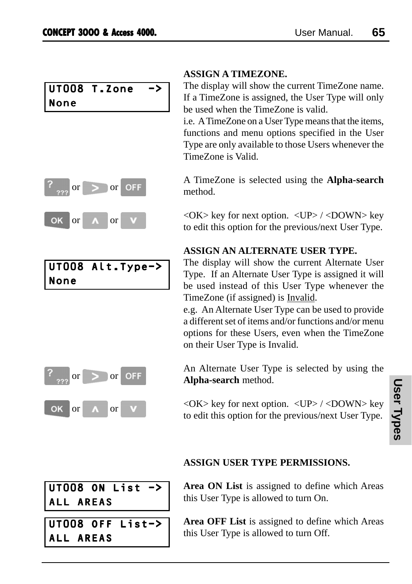# UT008 T.Zone -> None



|      | UT008 Alt.Type-> |
|------|------------------|
| None |                  |



# **ASSIGN A TIMEZONE.**

The display will show the current TimeZone name. If a TimeZone is assigned, the User Type will only be used when the TimeZone is valid.

i.e. A TimeZone on a User Type means that the items, functions and menu options specified in the User Type are only available to those Users whenever the TimeZone is Valid.

A TimeZone is selected using the **Alpha-search** method.

 $\langle$ OK $>$  key for next option.  $\langle$ UP $>$ / $\langle$ DOWN $>$  key to edit this option for the previous/next User Type.

### **ASSIGN AN ALTERNATE USER TYPE.**

The display will show the current Alternate User Type. If an Alternate User Type is assigned it will be used instead of this User Type whenever the TimeZone (if assigned) is Invalid.

e.g. An Alternate User Type can be used to provide a different set of items and/or functions and/or menu options for these Users, even when the TimeZone on their User Type is Invalid.

An Alternate User Type is selected by using the **Alpha-search** method.

 $\langle$ OK $>$  key for next option.  $\langle$ UP $>$  / $\langle$ DOWN $>$  key to edit this option for the previous/next User Type.

# $UT008$  ON List  $-$ > ALL AREAS

UT008 OFF List-> ALL AREAS

### **ASSIGN USER TYPE PERMISSIONS.**

**Area ON List** is assigned to define which Areas this User Type is allowed to turn On.

**Area OFF List** is assigned to define which Areas this User Type is allowed to turn Off.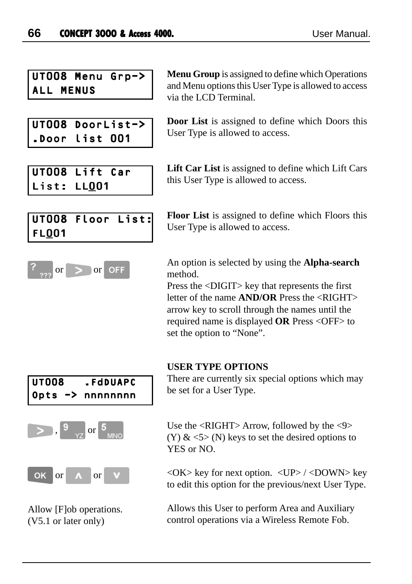UT008 Menu Grp-> ALL MENUS

UT008 DoorList-> .Door list 001

UT008 Lift Car List: LL001

**Menu Group** is assigned to define which Operations and Menu options this User Type is allowed to access via the LCD Terminal.

**Door List** is assigned to define which Doors this User Type is allowed to access.

**Lift Car List** is assigned to define which Lift Cars this User Type is allowed to access.

# UT008 Floor List: FL001



**Floor List** is assigned to define which Floors this User Type is allowed to access.

An option is selected by using the **Alpha-search** method.

Press the <DIGIT> key that represents the first letter of the name **AND/OR** Press the <RIGHT> arrow key to scroll through the names until the required name is displayed **OR** Press <OFF> to set the option to "None".

#### **USER TYPE OPTIONS**

UT008 .FdDUAPC Opts -> nnnnnnnn  $\frac{9}{2}$ ,  $\frac{9}{2}$  or  $\frac{5}{2}$ OK or or

Allow [F]ob operations. (V5.1 or later only)

There are currently six special options which may be set for a User Type.

Use the  $\langle$ RIGHT $>$ Arrow, followed by the  $\langle$ 9 $\rangle$ (Y)  $\&$  <5> (N) keys to set the desired options to YES or NO.

 $\langle$ OK $>$  key for next option.  $\langle$ UP $>$  / $\langle$ DOWN $>$  key to edit this option for the previous/next User Type.

Allows this User to perform Area and Auxiliary control operations via a Wireless Remote Fob.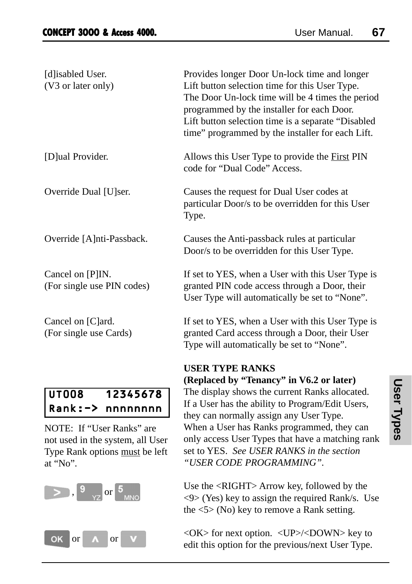$\begin{bmatrix} 9 \\ 2 \end{bmatrix}$ ,  $\begin{bmatrix} 9 \\ 2 \end{bmatrix}$  or  $\begin{bmatrix} 5 \\ 5 \end{bmatrix}$  MNO

OK or A or V

| [d]isabled User.<br>(V3 or later only)                                                                      | Provides longer Door Un-lock time and longer<br>Lift button selection time for this User Type.<br>The Door Un-lock time will be 4 times the period<br>programmed by the installer for each Door.<br>Lift button selection time is a separate "Disabled<br>time" programmed by the installer for each Lift. |
|-------------------------------------------------------------------------------------------------------------|------------------------------------------------------------------------------------------------------------------------------------------------------------------------------------------------------------------------------------------------------------------------------------------------------------|
| [D]ual Provider.                                                                                            | Allows this User Type to provide the First PIN<br>code for "Dual Code" Access.                                                                                                                                                                                                                             |
| Override Dual [U]ser.                                                                                       | Causes the request for Dual User codes at<br>particular Door/s to be overridden for this User<br>Type.                                                                                                                                                                                                     |
| Override [A]nti-Passback.                                                                                   | Causes the Anti-passback rules at particular<br>Door/s to be overridden for this User Type.                                                                                                                                                                                                                |
| Cancel on [P]IN.<br>(For single use PIN codes)                                                              | If set to YES, when a User with this User Type is<br>granted PIN code access through a Door, their<br>User Type will automatically be set to "None".                                                                                                                                                       |
| Cancel on [C]ard.<br>(For single use Cards)                                                                 | If set to YES, when a User with this User Type is<br>granted Card access through a Door, their User<br>Type will automatically be set to "None".                                                                                                                                                           |
|                                                                                                             | <b>USER TYPE RANKS</b><br>(Replaced by "Tenancy" in V6.2 or later)                                                                                                                                                                                                                                         |
| <b>UT008</b><br>12345678<br>$Rank:->$<br>nnnnnnnn                                                           | The display shows the current Ranks allocated.<br>If a User has the ability to Program/Edit Users,<br>they can normally assign any User Type.                                                                                                                                                              |
| NOTE: If "User Ranks" are<br>not used in the system, all User<br>Type Rank options must be left<br>at "No". | When a User has Ranks programmed, they can<br>only access User Types that have a matching rank<br>set to YES. See USER RANKS in the section<br>"USER CODE PROGRAMMING".                                                                                                                                    |

Use the <RIGHT> Arrow key, followed by the  $\langle 9 \rangle$  (Yes) key to assign the required Rank/s. Use the <5> (No) key to remove a Rank setting.

<OK> for next option. <UP>/<DOWN> key to edit this option for the previous/next User Type.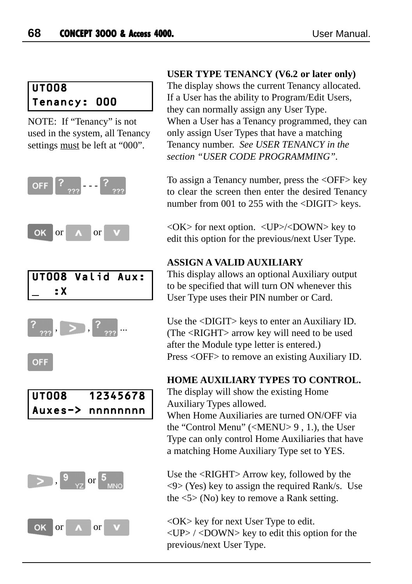# UT008 Tenancy: 000

NOTE: If "Tenancy" is not used in the system, all Tenancy settings must be left at "000".



#### **USER TYPE TENANCY (V6.2 or later only)**

The display shows the current Tenancy allocated. If a User has the ability to Program/Edit Users, they can normally assign any User Type. When a User has a Tenancy programmed, they can only assign User Types that have a matching Tenancy number. *See USER TENANCY in the section "USER CODE PROGRAMMING".*

To assign a Tenancy number, press the <OFF> key to clear the screen then enter the desired Tenancy number from 001 to 255 with the <DIGIT> keys.

 $\langle$ OK $>$  for next option.  $\langle$ UP $>$ / $\langle$ DOWN $>$  key to edit this option for the previous/next User Type.

### **ASSIGN A VALID AUXILIARY**

This display allows an optional Auxiliary output to be specified that will turn ON whenever this User Type uses their PIN number or Card.

Use the <DIGIT> keys to enter an Auxiliary ID. (The <RIGHT> arrow key will need to be used after the Module type letter is entered.) Press <OFF> to remove an existing Auxiliary ID.

### **HOME AUXILIARY TYPES TO CONTROL.**

The display will show the existing Home Auxiliary Types allowed.

When Home Auxiliaries are turned ON/OFF via the "Control Menu" (<MENU> 9 , 1.), the User Type can only control Home Auxiliaries that have a matching Home Auxiliary Type set to YES.

Use the <RIGHT> Arrow key, followed by the  $\langle 9 \rangle$  (Yes) key to assign the required Rank/s. Use the  $\langle 5 \rangle$  (No) key to remove a Rank setting.

<OK> key for next User Type to edit. <UP> / <DOWN> key to edit this option for the previous/next User Type.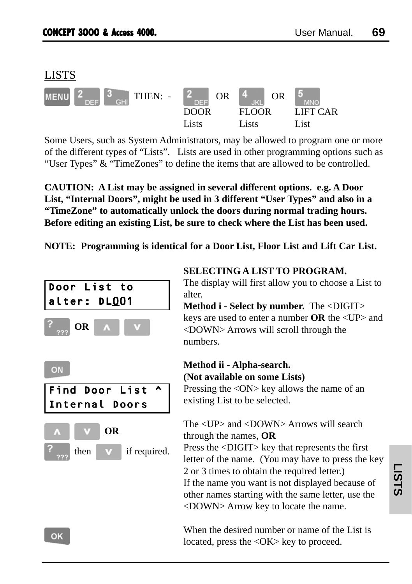

Some Users, such as System Administrators, may be allowed to program one or more of the different types of "Lists". Lists are used in other programming options such as "User Types" & "TimeZones" to define the items that are allowed to be controlled.

**CAUTION: A List may be assigned in several different options. e.g. A Door List, "Internal Doors", might be used in 3 different "User Types" and also in a "TimeZone" to automatically unlock the doors during normal trading hours. Before editing an existing List, be sure to check where the List has been used.**

**NOTE: Programming is identical for a Door List, Floor List and Lift Car List.**



#### **SELECTING A LIST TO PROGRAM.**

The display will first allow you to choose a List to alter.

**Method i - Select by number.** The <DIGIT> keys are used to enter a number **OR** the <UP> and <DOWN> Arrows will scroll through the numbers.

# **Method ii - Alpha-search. (Not available on some Lists)**

Pressing the <ON> key allows the name of an existing List to be selected.

# The <UP> and <DOWN> Arrows will search through the names, **OR**

Press the <DIGIT> key that represents the first letter of the name. (You may have to press the key 2 or 3 times to obtain the required letter.) If the name you want is not displayed because of other names starting with the same letter, use the <DOWN> Arrow key to locate the name.

When the desired number or name of the List is located, press the <OK> key to proceed.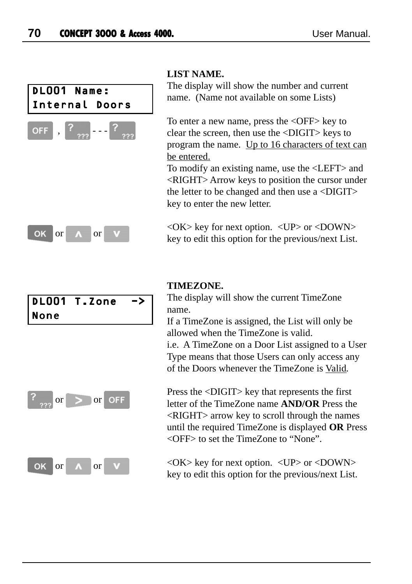

#### **LIST NAME.**

The display will show the number and current name. (Name not available on some Lists)

To enter a new name, press the <OFF> key to clear the screen, then use the <DIGIT> keys to program the name. Up to 16 characters of text can be entered.

To modify an existing name, use the <LEFT> and <RIGHT> Arrow keys to position the cursor under the letter to be changed and then use a  $\langle$ DIGIT $\rangle$ key to enter the new letter.

 $\langle$ OK $>$  key for next option.  $\langle$ UP $>$  or  $\langle$ DOWN $>$ key to edit this option for the previous/next List.

# DL001 T.Zone -> None



**TIMEZONE.**

The display will show the current TimeZone name.

If a TimeZone is assigned, the List will only be allowed when the TimeZone is valid. i.e. A TimeZone on a Door List assigned to a User

Type means that those Users can only access any of the Doors whenever the TimeZone is Valid.

Press the <DIGIT> key that represents the first letter of the TimeZone name **AND/OR** Press the <RIGHT> arrow key to scroll through the names until the required TimeZone is displayed **OR** Press <OFF> to set the TimeZone to "None".

 $\langle$ OK $>$  key for next option.  $\langle$ UP $>$  or  $\langle$ DOWN $>$ key to edit this option for the previous/next List.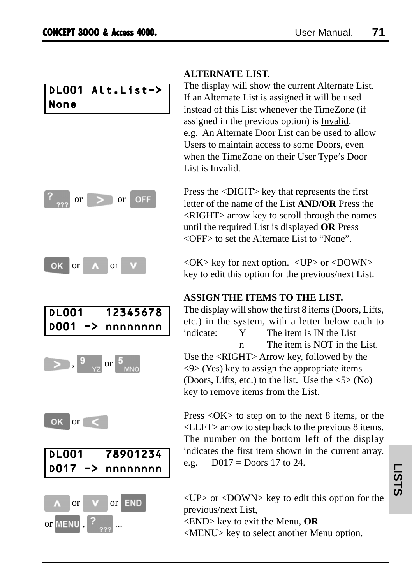## DL001 Alt.List-> None















### **ALTERNATE LIST.**

The display will show the current Alternate List. If an Alternate List is assigned it will be used instead of this List whenever the TimeZone (if assigned in the previous option) is Invalid. e.g. An Alternate Door List can be used to allow Users to maintain access to some Doors, even when the TimeZone on their User Type's Door List is Invalid.

Press the <DIGIT> key that represents the first letter of the name of the List **AND/OR** Press the <RIGHT> arrow key to scroll through the names until the required List is displayed **OR** Press <OFF> to set the Alternate List to "None".

 $\langle$ OK $>$  key for next option.  $\langle$ UP $>$  or  $\langle$ DOWN $>$ key to edit this option for the previous/next List.

## **ASSIGN THE ITEMS TO THE LIST.**

The display will show the first 8 items (Doors, Lifts, etc.) in the system, with a letter below each to indicate: Y The item is IN the List n The item is NOT in the List. Use the <RIGHT> Arrow key, followed by the <9> (Yes) key to assign the appropriate items (Doors, Lifts, etc.) to the list. Use the  $\langle 5 \rangle$  (No) key to remove items from the List.

Press <OK> to step on to the next 8 items, or the <LEFT> arrow to step back to the previous 8 items. The number on the bottom left of the display indicates the first item shown in the current array. e.g.  $D017 = Doors 17$  to 24.

 $\langle$ UP $>$  or  $\langle$ DOWN $>$  key to edit this option for the previous/next List,

<END> key to exit the Menu, **OR**

<MENU> key to select another Menu option.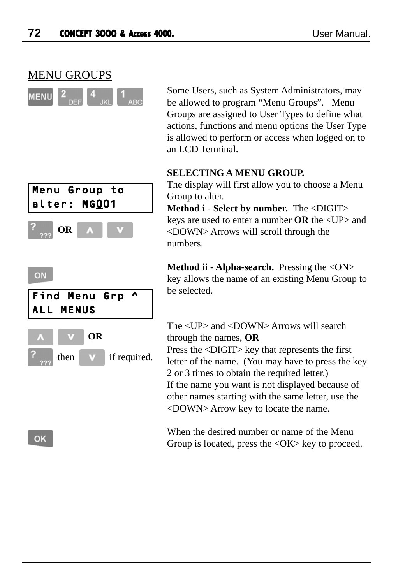

 Some Users, such as System Administrators, may be allowed to program "Menu Groups". Menu Groups are assigned to User Types to define what actions, functions and menu options the User Type is allowed to perform or access when logged on to an LCD Terminal.

#### **SELECTING A MENU GROUP.**

The display will first allow you to choose a Menu Group to alter.

**Method i - Select by number.** The <DIGIT> keys are used to enter a number **OR** the <UP> and <DOWN> Arrows will scroll through the numbers.

**Method ii - Alpha-search.** Pressing the <ON> key allows the name of an existing Menu Group to be selected.

The <UP> and <DOWN> Arrows will search through the names, **OR** Press the <DIGIT> key that represents the first letter of the name. (You may have to press the key 2 or 3 times to obtain the required letter.) If the name you want is not displayed because of other names starting with the same letter, use the <DOWN> Arrow key to locate the name.

When the desired number or name of the Menu Group is located, press the  $\langle OK \rangle$  key to proceed.



#### ON



OK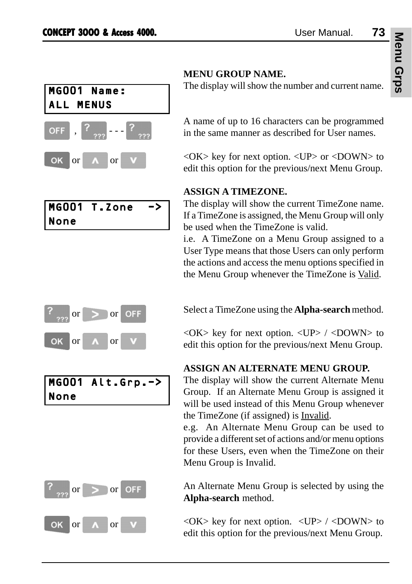

|      | MGOO1 T.Zone | -> |
|------|--------------|----|
| None |              |    |



MG001 Alt.Grp.-> None



## **MENU GROUP NAME.**

The display will show the number and current name.

A name of up to 16 characters can be programmed in the same manner as described for User names.

<OK> key for next option. <UP> or <DOWN> to edit this option for the previous/next Menu Group.

## **ASSIGN A TIMEZONE.**

The display will show the current TimeZone name. If a TimeZone is assigned, the Menu Group will only be used when the TimeZone is valid.

i.e. A TimeZone on a Menu Group assigned to a User Type means that those Users can only perform the actions and access the menu options specified in the Menu Group whenever the TimeZone is Valid.

Select a TimeZone using the **Alpha-search** method.

 $\langle$ OK $>$  key for next option.  $\langle$ UP $>$  /  $\langle$ DOWN $>$  to edit this option for the previous/next Menu Group.

## **ASSIGN AN ALTERNATE MENU GROUP.**

The display will show the current Alternate Menu Group. If an Alternate Menu Group is assigned it will be used instead of this Menu Group whenever the TimeZone (if assigned) is Invalid.

e.g. An Alternate Menu Group can be used to provide a different set of actions and/or menu options for these Users, even when the TimeZone on their Menu Group is Invalid.

An Alternate Menu Group is selected by using the **Alpha-search** method.

 $\langle$ OK $>$  key for next option.  $\langle$ UP $>$  / $\langle$ DOWN $>$  to edit this option for the previous/next Menu Group.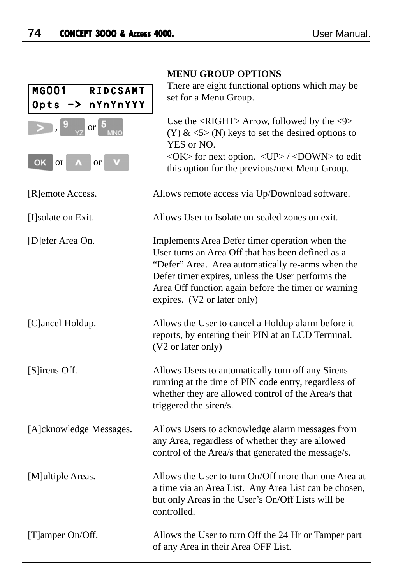|                                              | MENU GROUP OPTIONS                                                                                                                                                                                                                                                                                  |
|----------------------------------------------|-----------------------------------------------------------------------------------------------------------------------------------------------------------------------------------------------------------------------------------------------------------------------------------------------------|
| MG001<br><b>RIDCSAMT</b><br>Opts -> nYnYnYYY | There are eight functional options which may be<br>set for a Menu Group.                                                                                                                                                                                                                            |
| or $\overline{5}$                            | Use the <right> Arrow, followed by the &lt;9&gt;<br/>(Y) &amp; <math>\langle</math> 5&gt; (N) keys to set the desired options to<br/>YES or NO.</right>                                                                                                                                             |
| <b>OK</b><br><b>or</b><br><b>or</b>          | <ok> for next option. <up> / <down> to edit<br/>this option for the previous/next Menu Group.</down></up></ok>                                                                                                                                                                                      |
| [R]emote Access.                             | Allows remote access via Up/Download software.                                                                                                                                                                                                                                                      |
| [I] solate on Exit.                          | Allows User to Isolate un-sealed zones on exit.                                                                                                                                                                                                                                                     |
| [D]efer Area On.                             | Implements Area Defer timer operation when the<br>User turns an Area Off that has been defined as a<br>"Defer" Area. Area automatically re-arms when the<br>Defer timer expires, unless the User performs the<br>Area Off function again before the timer or warning<br>expires. (V2 or later only) |
| [C]ancel Holdup.                             | Allows the User to cancel a Holdup alarm before it<br>reports, by entering their PIN at an LCD Terminal.<br>(V2 or later only)                                                                                                                                                                      |
| [S]irens Off.                                | Allows Users to automatically turn off any Sirens<br>running at the time of PIN code entry, regardless of<br>whether they are allowed control of the Area/s that<br>triggered the siren/s.                                                                                                          |
| [A]cknowledge Messages.                      | Allows Users to acknowledge alarm messages from<br>any Area, regardless of whether they are allowed<br>control of the Area/s that generated the message/s.                                                                                                                                          |
| [M]ultiple Areas.                            | Allows the User to turn On/Off more than one Area at<br>a time via an Area List. Any Area List can be chosen,<br>but only Areas in the User's On/Off Lists will be<br>controlled.                                                                                                                   |
| [T]amper On/Off.                             | Allows the User to turn Off the 24 Hr or Tamper part<br>of any Area in their Area OFF List.                                                                                                                                                                                                         |

## **MENU GROUP OPTIONS**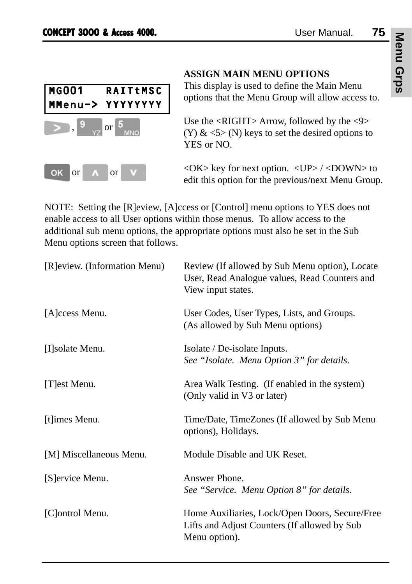

## **ASSIGN MAIN MENU OPTIONS**

This display is used to define the Main Menu options that the Menu Group will allow access to.

Use the <RIGHT> Arrow, followed by the <9> (Y)  $\&$  <5> (N) keys to set the desired options to YES or NO.

 $\langle$ OK $>$  key for next option.  $\langle$ UP $>$  / $\langle$ DOWN $>$  to edit this option for the previous/next Menu Group.

NOTE: Setting the [R]eview, [A]ccess or [Control] menu options to YES does not enable access to all User options within those menus. To allow access to the additional sub menu options, the appropriate options must also be set in the Sub Menu options screen that follows.

| [R]eview. (Information Menu) | Review (If allowed by Sub Menu option), Locate<br>User, Read Analogue values, Read Counters and<br>View input states. |
|------------------------------|-----------------------------------------------------------------------------------------------------------------------|
| [A]ccess Menu.               | User Codes, User Types, Lists, and Groups.<br>(As allowed by Sub Menu options)                                        |
| [I] solate Menu.             | Isolate / De-isolate Inputs.<br>See "Isolate. Menu Option 3" for details.                                             |
| [T]est Menu.                 | Area Walk Testing. (If enabled in the system)<br>(Only valid in V3 or later)                                          |
| [t]imes Menu.                | Time/Date, TimeZones (If allowed by Sub Menu<br>options), Holidays.                                                   |
| [M] Miscellaneous Menu.      | Module Disable and UK Reset.                                                                                          |
| [S] ervice Menu.             | Answer Phone.<br>See "Service. Menu Option 8" for details.                                                            |
| [C]ontrol Menu.              | Home Auxiliaries, Lock/Open Doors, Secure/Free<br>Lifts and Adjust Counters (If allowed by Sub<br>Menu option).       |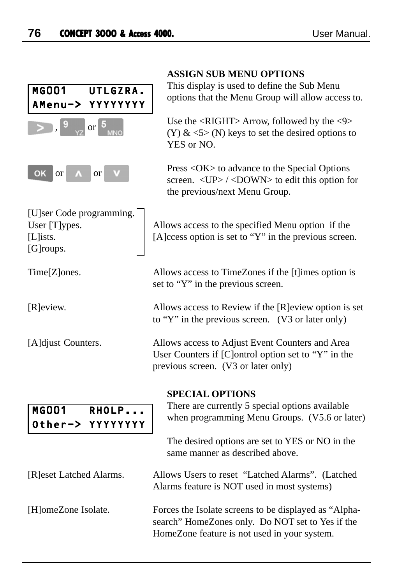|                                                                       | <b>ASSIGN SUB MENU OPTIONS</b>                                                                                                                                                |
|-----------------------------------------------------------------------|-------------------------------------------------------------------------------------------------------------------------------------------------------------------------------|
| MG001<br>UTLGZRA.<br>YYYYYYYY<br>AMenu->                              | This display is used to define the Sub Menu<br>options that the Menu Group will allow access to.                                                                              |
| <b>or</b>                                                             | Use the <right> Arrow, followed by the &lt;9&gt;<br/>(Y) &amp; <math>\langle</math> 5&gt; (N) keys to set the desired options to<br/>YES or NO.</right>                       |
| ок<br>or<br><b>or</b>                                                 | Press < OK > to advance to the Special Options<br>screen. < UP> /< DOWN> to edit this option for<br>the previous/next Menu Group.                                             |
| [U]ser Code programming.<br>User [T]ypes.<br>$[L]$ ists.<br>[G]roups. | Allows access to the specified Menu option if the<br>[A]ccess option is set to "Y" in the previous screen.                                                                    |
| Time[Z]ones.                                                          | Allows access to TimeZones if the [t]imes option is<br>set to "Y" in the previous screen.                                                                                     |
| [R]eview.                                                             | Allows access to Review if the [R]eview option is set<br>to "Y" in the previous screen. (V3 or later only)                                                                    |
| [A]djust Counters.                                                    | Allows access to Adjust Event Counters and Area<br>User Counters if [C]ontrol option set to "Y" in the<br>previous screen. (V3 or later only)                                 |
| <b>MG001</b><br>RHOLP<br>YYYYYYYY<br>Other->                          | <b>SPECIAL OPTIONS</b><br>There are currently 5 special options available<br>when programming Menu Groups. (V5.6 or later)<br>The desired options are set to YES or NO in the |
|                                                                       | same manner as described above.                                                                                                                                               |
| [R]eset Latched Alarms.                                               | Allows Users to reset "Latched Alarms". (Latched<br>Alarms feature is NOT used in most systems)                                                                               |
| [H]omeZone Isolate.                                                   | Forces the Isolate screens to be displayed as "Alpha-<br>search" HomeZones only. Do NOT set to Yes if the<br>HomeZone feature is not used in your system.                     |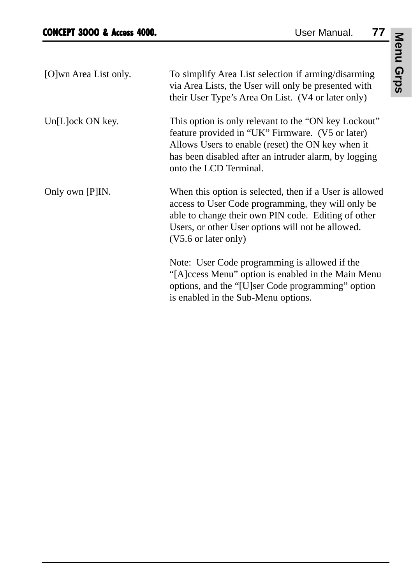| [O]wn Area List only. | To simplify Area List selection if arming/disarming<br>via Area Lists, the User will only be presented with<br>their User Type's Area On List. (V4 or later only)                                                                                 |
|-----------------------|---------------------------------------------------------------------------------------------------------------------------------------------------------------------------------------------------------------------------------------------------|
| Un[L]ock ON key.      | This option is only relevant to the "ON key Lockout"<br>feature provided in "UK" Firmware. (V5 or later)<br>Allows Users to enable (reset) the ON key when it<br>has been disabled after an intruder alarm, by logging<br>onto the LCD Terminal.  |
| Only own [P]IN.       | When this option is selected, then if a User is allowed<br>access to User Code programming, they will only be<br>able to change their own PIN code. Editing of other<br>Users, or other User options will not be allowed.<br>(V5.6 or later only) |
|                       | Note: User Code programming is allowed if the<br>"[A]ccess Menu" option is enabled in the Main Menu<br>options, and the "[U]ser Code programming" option<br>is enabled in the Sub-Menu options.                                                   |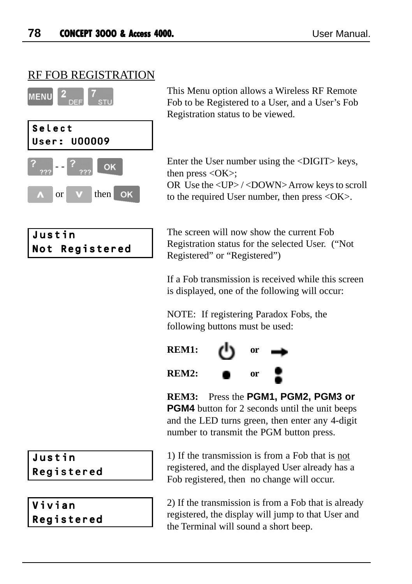## RF FOB REGISTRATION



| Justin |                |
|--------|----------------|
|        | Not Registered |

This Menu option allows a Wireless RF Remote Fob to be Registered to a User, and a User's Fob Registration status to be viewed.

Enter the User number using the <DIGIT> keys, then press  $\langle OK \rangle$ ; OR Use the <UP> / <DOWN> Arrow keys to scroll to the required User number, then press <OK>.

The screen will now show the current Fob Registration status for the selected User. ("Not Registered" or "Registered")

If a Fob transmission is received while this screen is displayed, one of the following will occur:

NOTE: If registering Paradox Fobs, the following buttons must be used:



**REM3:** Press the **PGM1, PGM2, PGM3 or PGM4** button for 2 seconds until the unit beeps and the LED turns green, then enter any 4-digit number to transmit the PGM button press.

1) If the transmission is from a Fob that is not registered, and the displayed User already has a Fob registered, then no change will occur.

2) If the transmission is from a Fob that is already registered, the display will jump to that User and the Terminal will sound a short beep.

## Justin Registered

Vivian Registered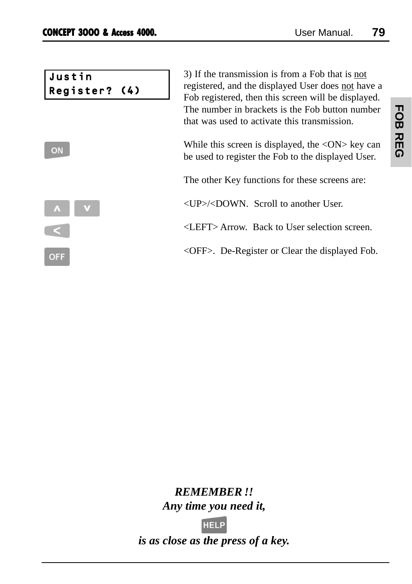| Justin<br>Register? (4) | 3) If the transmission is from a Fob that is not<br>registered, and the displayed User does not have a<br>Fob registered, then this screen will be displayed.<br>The number in brackets is the Fob button number<br>that was used to activate this transmission. |
|-------------------------|------------------------------------------------------------------------------------------------------------------------------------------------------------------------------------------------------------------------------------------------------------------|
| ON                      | While this screen is displayed, the $\langle ON \rangle$ key can<br>be used to register the Fob to the displayed User.                                                                                                                                           |
|                         | The other Key functions for these screens are:                                                                                                                                                                                                                   |
|                         | $\langle$ UP> $\langle$ DOWN. Scroll to another User.                                                                                                                                                                                                            |
|                         | <left> Arrow. Back to User selection screen.</left>                                                                                                                                                                                                              |
| <b>OFF</b>              | $\langle$ OFF $>$ . De-Register or Clear the displayed Fob.                                                                                                                                                                                                      |

# *REMEMBER !! Any time you need it,*



*is as close as the press of a key.*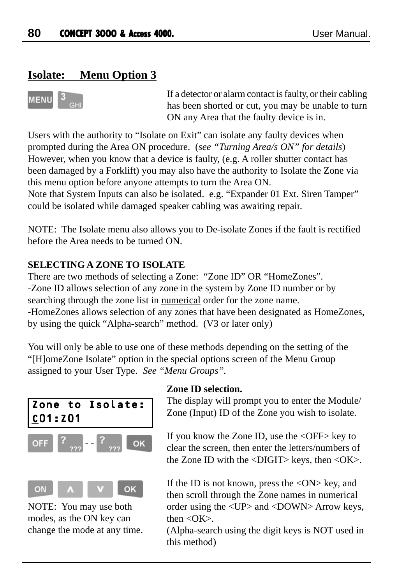## **Isolate: Menu Option 3**



If a detector or alarm contact is faulty, or their cabling has been shorted or cut, you may be unable to turn ON any Area that the faulty device is in.

Users with the authority to "Isolate on Exit" can isolate any faulty devices when prompted during the Area ON procedure. (*see "Turning Area/s ON" for details*) However, when you know that a device is faulty, (e.g. A roller shutter contact has been damaged by a Forklift) you may also have the authority to Isolate the Zone via this menu option before anyone attempts to turn the Area ON.

Note that System Inputs can also be isolated. e.g. "Expander 01 Ext. Siren Tamper" could be isolated while damaged speaker cabling was awaiting repair.

NOTE: The Isolate menu also allows you to De-isolate Zones if the fault is rectified before the Area needs to be turned ON.

## **SELECTING A ZONE TO ISOLATE**

There are two methods of selecting a Zone: "Zone ID" OR "HomeZones". -Zone ID allows selection of any zone in the system by Zone ID number or by searching through the zone list in numerical order for the zone name. -HomeZones allows selection of any zones that have been designated as HomeZones, by using the quick "Alpha-search" method. (V3 or later only)

You will only be able to use one of these methods depending on the setting of the "[H]omeZone Isolate" option in the special options screen of the Menu Group assigned to your User Type. *See "Menu Groups".*





NOTE: You may use both modes, as the ON key can change the mode at any time.

#### **Zone ID selection.**

The display will prompt you to enter the Module/ Zone (Input) ID of the Zone you wish to isolate.

If you know the Zone ID, use the <OFF> key to clear the screen, then enter the letters/numbers of the Zone ID with the  $\langle \text{Diff} \rangle$  keys, then  $\langle \text{OK} \rangle$ .

If the ID is not known, press the  $\langle ON \rangle$  key, and then scroll through the Zone names in numerical order using the <UP> and <DOWN> Arrow keys, then  $\langle$ OK $>$ .

(Alpha-search using the digit keys is NOT used in this method)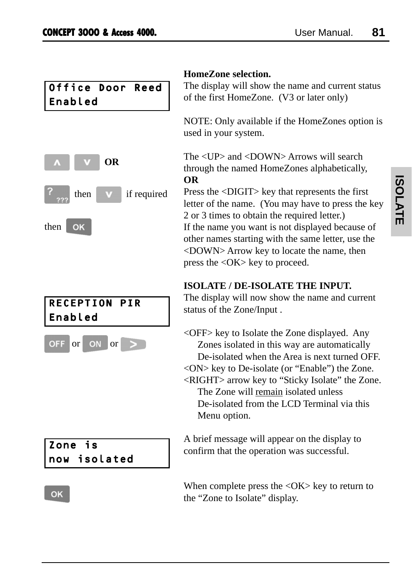| Office Door Reed |  |
|------------------|--|
| Enabled          |  |



# RECEPTION PIR Enabled



## Zone is now isolated

#### OK

## **HomeZone selection.**

The display will show the name and current status of the first HomeZone. (V3 or later only)

NOTE: Only available if the HomeZones option is used in your system.

The <UP> and <DOWN> Arrows will search through the named HomeZones alphabetically, **OR**

Press the <DIGIT> key that represents the first letter of the name. (You may have to press the key 2 or 3 times to obtain the required letter.) If the name you want is not displayed because of other names starting with the same letter, use the <DOWN> Arrow key to locate the name, then press the <OK> key to proceed.

## **ISOLATE / DE-ISOLATE THE INPUT.**

The display will now show the name and current status of the Zone/Input .

<OFF> key to Isolate the Zone displayed. Any Zones isolated in this way are automatically De-isolated when the Area is next turned OFF. <ON> key to De-isolate (or "Enable") the Zone. <RIGHT> arrow key to "Sticky Isolate" the Zone. The Zone will remain isolated unless De-isolated from the LCD Terminal via this Menu option.

A brief message will appear on the display to confirm that the operation was successful.

When complete press the  $\langle$ OK $>$  key to return to the "Zone to Isolate" display.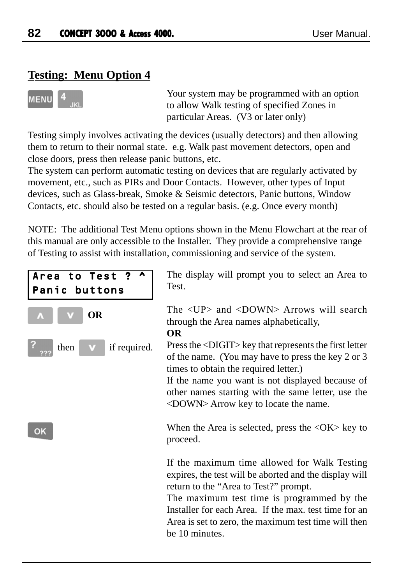## **Testing: Menu Option 4**



Your system may be programmed with an option to allow Walk testing of specified Zones in particular Areas. (V3 or later only)

Testing simply involves activating the devices (usually detectors) and then allowing them to return to their normal state. e.g. Walk past movement detectors, open and close doors, press then release panic buttons, etc.

The system can perform automatic testing on devices that are regularly activated by movement, etc., such as PIRs and Door Contacts. However, other types of Input devices, such as Glass-break, Smoke & Seismic detectors, Panic buttons, Window Contacts, etc. should also be tested on a regular basis. (e.g. Once every month)

NOTE: The additional Test Menu options shown in the Menu Flowchart at the rear of this manual are only accessible to the Installer. They provide a comprehensive range of Testing to assist with installation, commissioning and service of the system.



be 10 minutes.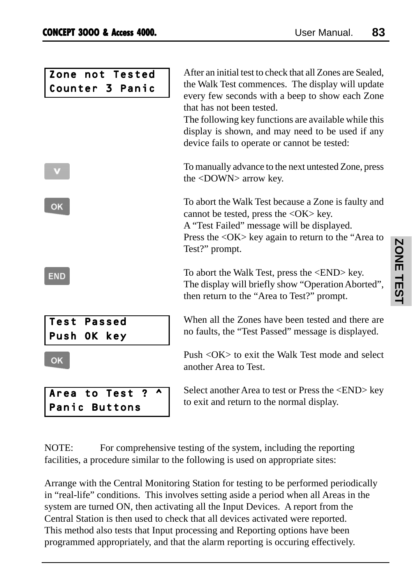| Zone not Tested<br>Counter 3 Panic        | After an initial test to check that all Zones are Sealed,<br>the Walk Test commences. The display will update<br>every few seconds with a beep to show each Zone<br>that has not been tested.<br>The following key functions are available while this<br>display is shown, and may need to be used if any<br>device fails to operate or cannot be tested: |
|-------------------------------------------|-----------------------------------------------------------------------------------------------------------------------------------------------------------------------------------------------------------------------------------------------------------------------------------------------------------------------------------------------------------|
|                                           | To manually advance to the next untested Zone, press<br>the $\langle$ DOWN $>$ arrow key.                                                                                                                                                                                                                                                                 |
| OK                                        | To abort the Walk Test because a Zone is faulty and<br>cannot be tested, press the $\langle OK \rangle$ key.<br>A "Test Failed" message will be displayed.<br>Press the <ok> key again to return to the "Area to<br/>Test?" prompt.</ok>                                                                                                                  |
| EMD                                       | To abort the Walk Test, press the <end> key.<br/>The display will briefly show "Operation Aborted",<br/>then return to the "Area to Test?" prompt.</end>                                                                                                                                                                                                  |
| <b>Test Passed</b><br>Push OK key         | When all the Zones have been tested and there are<br>no faults, the "Test Passed" message is displayed.                                                                                                                                                                                                                                                   |
| <b>OK</b>                                 | Push $\langle$ OK $>$ to exit the Walk Test mode and select<br>another Area to Test.                                                                                                                                                                                                                                                                      |
| Area to Test<br>?<br><b>Panic Buttons</b> | Select another Area to test or Press the <end> key<br/>to exit and return to the normal display.</end>                                                                                                                                                                                                                                                    |

NOTE: For comprehensive testing of the system, including the reporting facilities, a procedure similar to the following is used on appropriate sites:

Arrange with the Central Monitoring Station for testing to be performed periodically in "real-life" conditions. This involves setting aside a period when all Areas in the system are turned ON, then activating all the Input Devices. A report from the Central Station is then used to check that all devices activated were reported. This method also tests that Input processing and Reporting options have been programmed appropriately, and that the alarm reporting is occuring effectively.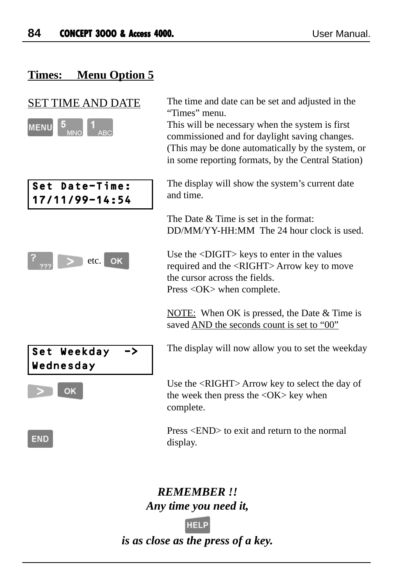## **Times: Menu Option 5**



Set Date-Time: 17/11/99-14:54



Set Weekday -> Wednesday

OK

**END** 

SET TIME AND DATE The time and date can be set and adjusted in the "Times" menu.

> This will be necessary when the system is first commissioned and for daylight saving changes. (This may be done automatically by the system, or in some reporting formats, by the Central Station)

The display will show the system's current date and time.

The Date & Time is set in the format: DD/MM/YY-HH:MM The 24 hour clock is used.

Use the <DIGIT> keys to enter in the values required and the <RIGHT> Arrow key to move the cursor across the fields. Press <OK> when complete.

NOTE: When OK is pressed, the Date & Time is saved AND the seconds count is set to "00"

The display will now allow you to set the weekday

Use the <RIGHT> Arrow key to select the day of the week then press the <OK> key when complete.

Press <END> to exit and return to the normal display.

## *REMEMBER !! Any time you need it,*

*is as close as the press of a key.*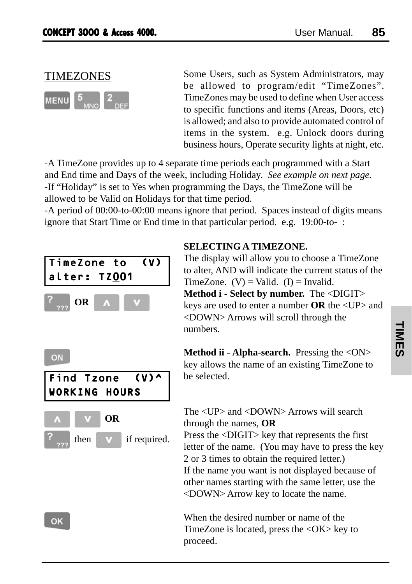# TIMEZONES



Some Users, such as System Administrators, may be allowed to program/edit "TimeZones". TimeZones may be used to define when User access to specific functions and items (Areas, Doors, etc) is allowed; and also to provide automated control of items in the system. e.g. Unlock doors during business hours, Operate security lights at night, etc.

-A TimeZone provides up to 4 separate time periods each programmed with a Start and End time and Days of the week, including Holiday. *See example on next page.* -If "Holiday" is set to Yes when programming the Days, the TimeZone will be allowed to be Valid on Holidays for that time period.

-A period of 00:00-to-00:00 means ignore that period. Spaces instead of digits means ignore that Start Time or End time in that particular period. e.g. 19:00-to- :



## **SELECTING A TIMEZONE.**

The display will allow you to choose a TimeZone to alter, AND will indicate the current status of the TimeZone.  $(V) =$ Valid.  $(I) =$ Invalid. **Method i - Select by number.** The <DIGIT> keys are used to enter a number **OR** the <UP> and <DOWN> Arrows will scroll through the numbers.

**Method ii - Alpha-search.** Pressing the <ON> key allows the name of an existing TimeZone to be selected.

The <UP> and <DOWN> Arrows will search through the names, **OR** Press the <DIGIT> key that represents the first

letter of the name. (You may have to press the key 2 or 3 times to obtain the required letter.) If the name you want is not displayed because of other names starting with the same letter, use the <DOWN> Arrow key to locate the name.

When the desired number or name of the TimeZone is located, press the <OK> key to proceed.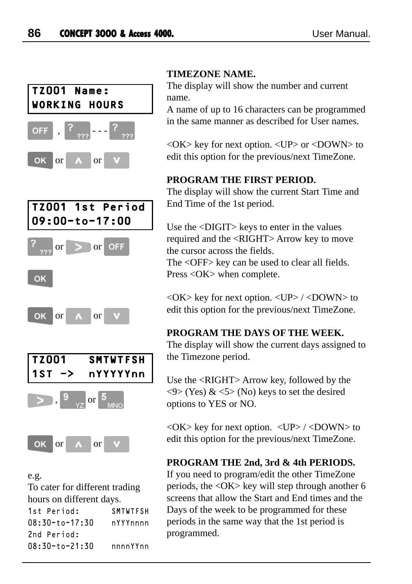

#### e.g. To cater for different trading hours on different days. 1st Period: SMTWTFSH 08:30-to-17:30 nYYYnnnn 2nd Period: 08:30-to-21:30 nnnnYYnn

#### **TIMEZONE NAME.**

The display will show the number and current name.

A name of up to 16 characters can be programmed in the same manner as described for User names.

<OK> key for next option. <UP> or <DOWN> to edit this option for the previous/next TimeZone.

#### **PROGRAM THE FIRST PERIOD.**

The display will show the current Start Time and End Time of the 1st period.

Use the <DIGIT> keys to enter in the values required and the <RIGHT> Arrow key to move the cursor across the fields.

The <OFF> key can be used to clear all fields. Press <OK> when complete.

 $\langle$ OK $>$  key for next option.  $\langle$ UP $>$  / $\langle$ DOWN $>$  to edit this option for the previous/next TimeZone.

#### **PROGRAM THE DAYS OF THE WEEK.**

The display will show the current days assigned to the Timezone period.

Use the <RIGHT> Arrow key, followed by the  $\langle 9 \rangle$  (Yes) &  $\langle 5 \rangle$  (No) keys to set the desired options to YES or NO.

 $\langle$ OK $>$  key for next option.  $\langle$ UP $>$  / $\langle$ DOWN $>$  to edit this option for the previous/next TimeZone.

## **PROGRAM THE 2nd, 3rd & 4th PERIODS.**

If you need to program/edit the other TimeZone periods, the  $\langle OK \rangle$  key will step through another 6 screens that allow the Start and End times and the Days of the week to be programmed for these periods in the same way that the 1st period is programmed.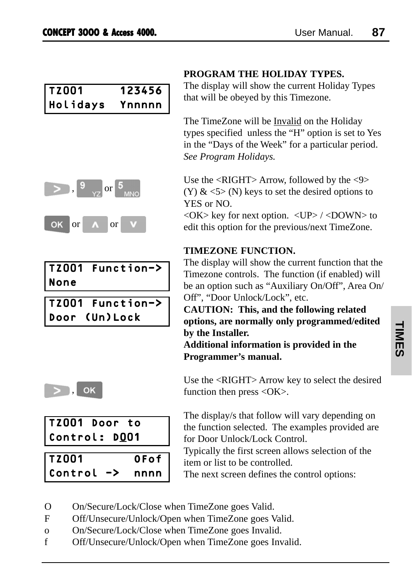| <b>TZ001</b> | 123456 |
|--------------|--------|
| Holidays     | Ynnnnn |



|      | TZ001 Function-> |
|------|------------------|
| None |                  |

| TZ001 Function-> |
|------------------|
| Door (Un) Lock   |



| TZ001 Door to |  |  |
|---------------|--|--|
| Control: DOO1 |  |  |
|               |  |  |

| TZ001   |               | 0Fof |
|---------|---------------|------|
| Control | $\rightarrow$ | nnnn |

## **PROGRAM THE HOLIDAY TYPES.**

The display will show the current Holiday Types that will be obeyed by this Timezone.

The TimeZone will be Invalid on the Holiday types specified unless the "H" option is set to Yes in the "Days of the Week" for a particular period. *See Program Holidays.*

Use the <RIGHT> Arrow, followed by the <9>  $(Y)$  &  $\leq$  5  $\geq$  (N) keys to set the desired options to YES or NO.

 $\langle$ OK $>$  key for next option.  $\langle$ UP $>$ / $\langle$ DOWN $>$  to edit this option for the previous/next TimeZone.

## **TIMEZONE FUNCTION.**

The display will show the current function that the Timezone controls. The function (if enabled) will be an option such as "Auxiliary On/Off", Area On/ Off", "Door Unlock/Lock", etc.

**CAUTION: This, and the following related options, are normally only programmed/edited by the Installer.**

**Additional information is provided in the Programmer's manual.**

Use the <RIGHT> Arrow key to select the desired function then press  $\langle OK \rangle$ .

The display/s that follow will vary depending on the function selected. The examples provided are for Door Unlock/Lock Control.

Typically the first screen allows selection of the item or list to be controlled.

The next screen defines the control options:

- O On/Secure/Lock/Close when TimeZone goes Valid.
- F Off/Unsecure/Unlock/Open when TimeZone goes Valid.
- o On/Secure/Lock/Close when TimeZone goes Invalid.
- f Off/Unsecure/Unlock/Open when TimeZone goes Invalid.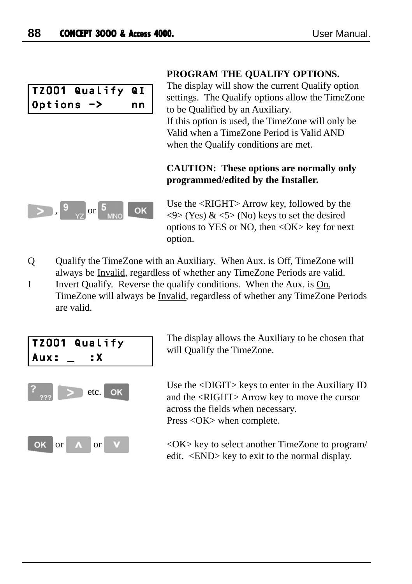|            | TZ001 Qualify QI |    |
|------------|------------------|----|
| Options -> |                  | nn |

#### **PROGRAM THE QUALIFY OPTIONS.**

The display will show the current Qualify option settings. The Qualify options allow the TimeZone to be Qualified by an Auxiliary. If this option is used, the TimeZone will only be Valid when a TimeZone Period is Valid AND when the Qualify conditions are met.

#### **CAUTION: These options are normally only programmed/edited by the Installer.**



Use the <RIGHT> Arrow key, followed by the  $\langle 9 \rangle$  (Yes) &  $\langle 5 \rangle$  (No) keys to set the desired options to YES or NO, then <OK> key for next option.

- Q Qualify the TimeZone with an Auxiliary. When Aux. is Off, TimeZone will always be Invalid, regardless of whether any TimeZone Periods are valid.
- I Invert Qualify. Reverse the qualify conditions. When the Aux. is On, TimeZone will always be Invalid, regardless of whether any TimeZone Periods are valid.



The display allows the Auxiliary to be chosen that will Qualify the TimeZone.

Use the <DIGIT> keys to enter in the Auxiliary ID and the <RIGHT> Arrow key to move the cursor across the fields when necessary. Press <OK> when complete.

<OK> key to select another TimeZone to program/ edit. <END> key to exit to the normal display.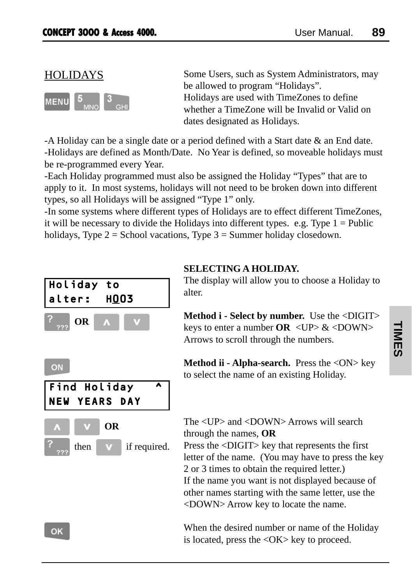## HOLIDAYS



Some Users, such as System Administrators, may be allowed to program "Holidays". Holidays are used with TimeZones to define whether a TimeZone will be Invalid or Valid on dates designated as Holidays.

-A Holiday can be a single date or a period defined with a Start date & an End date. -Holidays are defined as Month/Date. No Year is defined, so moveable holidays must be re-programmed every Year.

-Each Holiday programmed must also be assigned the Holiday "Types" that are to apply to it. In most systems, holidays will not need to be broken down into different types, so all Holidays will be assigned "Type 1" only.

-In some systems where different types of Holidays are to effect different TimeZones, it will be necessary to divide the Holidays into different types. e.g. Type  $1 =$  Public holidays, Type  $2 =$  School vacations, Type  $3 =$  Summer holiday closedown.



ON Find Holiday ^ NEW YEARS DAY **OR** then **v** if required.

## **SELECTING A HOLIDAY.**

The display will allow you to choose a Holiday to alter.

**Method i - Select by number.** Use the <DIGIT> keys to enter a number  $OR < UP > \& <$ DOWN $>$ Arrows to scroll through the numbers.

**Method ii - Alpha-search.** Press the <ON> key to select the name of an existing Holiday.

The <UP> and <DOWN> Arrows will search through the names, **OR** Press the <DIGIT> key that represents the first letter of the name. (You may have to press the key 2 or 3 times to obtain the required letter.) If the name you want is not displayed because of other names starting with the same letter, use the <DOWN> Arrow key to locate the name.

When the desired number or name of the Holiday is located, press the <OK> key to proceed.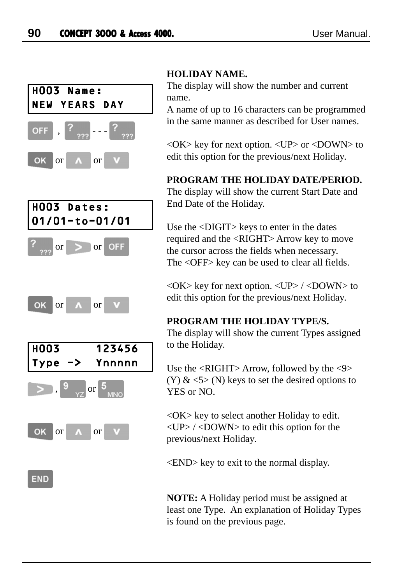

## **HOLIDAY NAME.**

The display will show the number and current name.

A name of up to 16 characters can be programmed in the same manner as described for User names.

 $\langle$ OK $>$  key for next option.  $\langle$ UP $>$  or  $\langle$ DOWN $>$  to edit this option for the previous/next Holiday.

## **PROGRAM THE HOLIDAY DATE/PERIOD.**

The display will show the current Start Date and End Date of the Holiday.

Use the <DIGIT> keys to enter in the dates required and the <RIGHT> Arrow key to move the cursor across the fields when necessary. The <OFF> key can be used to clear all fields.

 $\langle$ OK $>$  key for next option.  $\langle$ UP $>$  / $\langle$ DOWN $>$  to edit this option for the previous/next Holiday.

## **PROGRAM THE HOLIDAY TYPE/S.**

The display will show the current Types assigned to the Holiday.

Use the <RIGHT> Arrow, followed by the <9> (Y)  $\&$  <5> (N) keys to set the desired options to YES or NO.

<OK> key to select another Holiday to edit.  $\langle$ UP> $\rangle$   $\langle$ DOWN> to edit this option for the previous/next Holiday.

<END> key to exit to the normal display.

**NOTE:** A Holiday period must be assigned at least one Type. An explanation of Holiday Types is found on the previous page.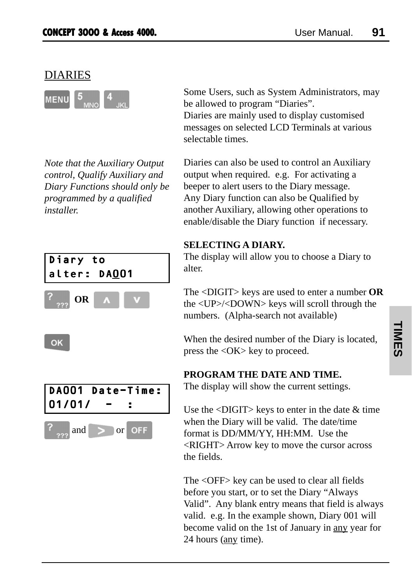## DIARIES



*Note that the Auxiliary Output control, Qualify Auxiliary and Diary Functions should only be programmed by a qualified installer.*



Some Users, such as System Administrators, may be allowed to program "Diaries". Diaries are mainly used to display customised messages on selected LCD Terminals at various selectable times.

Diaries can also be used to control an Auxiliary output when required. e.g. For activating a beeper to alert users to the Diary message. Any Diary function can also be Qualified by another Auxiliary, allowing other operations to enable/disable the Diary function if necessary.

## **SELECTING A DIARY.**

The display will allow you to choose a Diary to alter.

The <DIGIT> keys are used to enter a number **OR** the <UP>/<DOWN> keys will scroll through the numbers. (Alpha-search not available)

When the desired number of the Diary is located, press the <OK> key to proceed.

## **PROGRAM THE DATE AND TIME.**

The display will show the current settings.

Use the  $\langle$ DIGIT $>$  keys to enter in the date  $\&$  time when the Diary will be valid. The date/time format is DD/MM/YY, HH:MM. Use the <RIGHT> Arrow key to move the cursor across the fields.

The <OFF> key can be used to clear all fields before you start, or to set the Diary "Always Valid". Any blank entry means that field is always valid. e.g. In the example shown, Diary 001 will become valid on the 1st of January in any year for 24 hours (any time).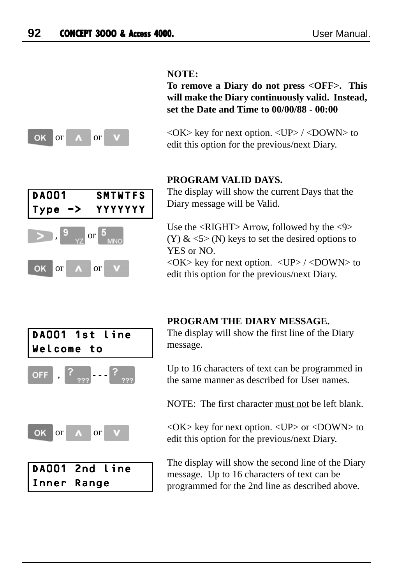#### **NOTE:**

**To remove a Diary do not press <OFF>. This will make the Diary continuously valid. Instead, set the Date and Time to 00/00/88 - 00:00**



 $\langle$ OK $>$  key for next option.  $\langle$ UP $>$  / $\langle$ DOWN $>$  to edit this option for the previous/next Diary.

## **PROGRAM VALID DAYS.**

DA001 SMTWTFS Type -> YYYYYYY , or OK or  $\Lambda$  or

The display will show the current Days that the Diary message will be Valid.

Use the  $\langle$ RIGHT $\rangle$  Arrow, followed by the  $\langle$ 9 $\rangle$  $(Y)$  &  $\leq$  5  $\geq$  (N) keys to set the desired options to YES or NO.

 $\langle$ OK $>$  key for next option.  $\langle$ UP $>$  / $\langle$ DOWN $>$  to edit this option for the previous/next Diary.



#### **PROGRAM THE DIARY MESSAGE.**

The display will show the first line of the Diary message.

Up to 16 characters of text can be programmed in the same manner as described for User names.

NOTE: The first character must not be left blank.

<OK> key for next option. <UP> or <DOWN> to edit this option for the previous/next Diary.

The display will show the second line of the Diary message. Up to 16 characters of text can be programmed for the 2nd line as described above.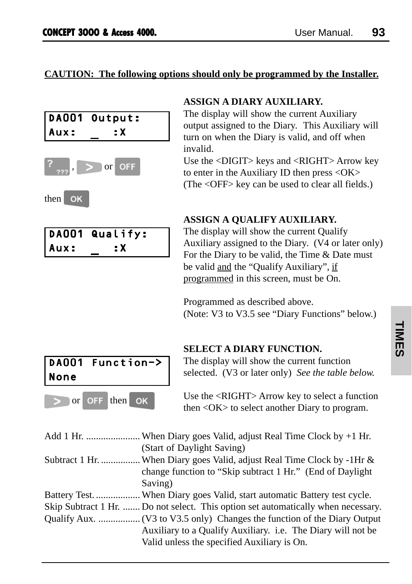#### **CAUTION: The following options should only be programmed by the Installer.**





then **OK** 

|      | DA001 Qualify: |
|------|----------------|
| Aux: | : X            |

### **ASSIGN A DIARY AUXILIARY.**

The display will show the current Auxiliary output assigned to the Diary. This Auxiliary will turn on when the Diary is valid, and off when invalid.

Use the <DIGIT> keys and <RIGHT> Arrow key to enter in the Auxiliary ID then press <OK> (The <OFF> key can be used to clear all fields.)

## **ASSIGN A QUALIFY AUXILIARY.**

The display will show the current Qualify Auxiliary assigned to the Diary. (V4 or later only) For the Diary to be valid, the Time & Date must be valid and the "Qualify Auxiliary", if programmed in this screen, must be On.

Programmed as described above. (Note: V3 to V3.5 see "Diary Functions" below.)



#### **SELECT A DIARY FUNCTION.**

The display will show the current function selected. (V3 or later only) *See the table below.*

Use the <RIGHT> Arrow key to select a function then <OK> to select another Diary to program.

| Add 1 Hr.  When Diary goes Valid, adjust Real Time Clock by $+1$ Hr.              |
|-----------------------------------------------------------------------------------|
| (Start of Daylight Saving)                                                        |
| Subtract 1 Hr.  When Diary goes Valid, adjust Real Time Clock by -1Hr &           |
| change function to "Skip subtract 1 Hr." (End of Daylight                         |
| Saving)                                                                           |
| Battery Test.  When Diary goes Valid, start automatic Battery test cycle.         |
| Skip Subtract 1 Hr.  Do not select. This option set automatically when necessary. |
|                                                                                   |
| Auxiliary to a Qualify Auxiliary. i.e. The Diary will not be                      |
| Valid unless the specified Auxiliary is On.                                       |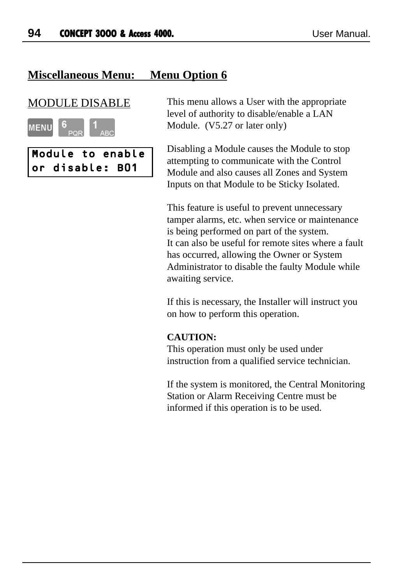## **Miscellaneous Menu: Menu Option 6**



Module to enable or disable: B01

MODULE DISABLE This menu allows a User with the appropriate level of authority to disable/enable a LAN Module. (V5.27 or later only)

> Disabling a Module causes the Module to stop attempting to communicate with the Control Module and also causes all Zones and System Inputs on that Module to be Sticky Isolated.

This feature is useful to prevent unnecessary tamper alarms, etc. when service or maintenance is being performed on part of the system. It can also be useful for remote sites where a fault has occurred, allowing the Owner or System Administrator to disable the faulty Module while awaiting service.

If this is necessary, the Installer will instruct you on how to perform this operation.

#### **CAUTION:**

This operation must only be used under instruction from a qualified service technician.

If the system is monitored, the Central Monitoring Station or Alarm Receiving Centre must be informed if this operation is to be used.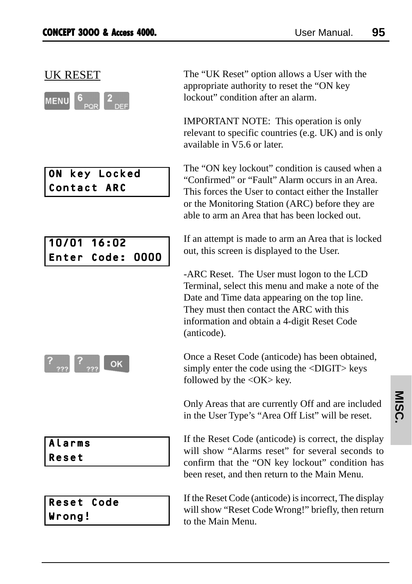| MENU |     |
|------|-----|
|      | כפו |

## ON key Locked Contact ARC

10/01 16:02 Enter Code: 0000

 $\overline{\phantom{a}}$ OK

Alarms Reset

Reset Code Wrong!

UK RESET The "UK Reset" option allows a User with the appropriate authority to reset the "ON key lockout" condition after an alarm.

> IMPORTANT NOTE: This operation is only relevant to specific countries (e.g. UK) and is only available in V5.6 or later.

> The "ON key lockout" condition is caused when a "Confirmed" or "Fault" Alarm occurs in an Area. This forces the User to contact either the Installer or the Monitoring Station (ARC) before they are able to arm an Area that has been locked out.

> If an attempt is made to arm an Area that is locked out, this screen is displayed to the User.

-ARC Reset. The User must logon to the LCD Terminal, select this menu and make a note of the Date and Time data appearing on the top line. They must then contact the ARC with this information and obtain a 4-digit Reset Code (anticode).

Once a Reset Code (anticode) has been obtained, simply enter the code using the <DIGIT> keys followed by the  $\langle$ OK $>$  key.

Only Areas that are currently Off and are included in the User Type's "Area Off List" will be reset.

If the Reset Code (anticode) is correct, the display will show "Alarms reset" for several seconds to confirm that the "ON key lockout" condition has been reset, and then return to the Main Menu.

If the Reset Code (anticode) is incorrect, The display will show "Reset Code Wrong!" briefly, then return to the Main Menu.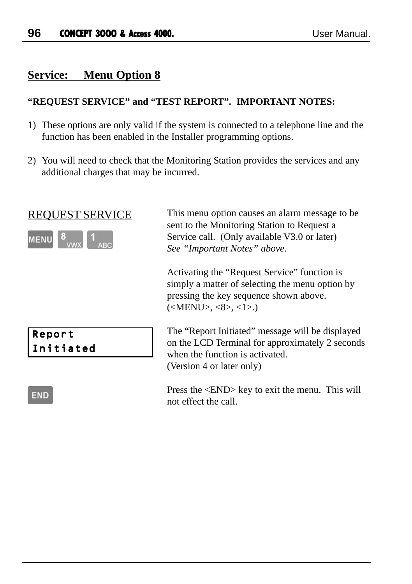## **Service: Menu Option 8**

### **"REQUEST SERVICE" and "TEST REPORT". IMPORTANT NOTES:**

- 1) These options are only valid if the system is connected to a telephone line and the function has been enabled in the Installer programming options.
- 2) You will need to check that the Monitoring Station provides the services and any additional charges that may be incurred.



REQUEST SERVICE This menu option causes an alarm message to be sent to the Monitoring Station to Request a Service call. (Only available V3.0 or later) *See "Important Notes" above.*

> Activating the "Request Service" function is simply a matter of selecting the menu option by pressing the key sequence shown above.  $(**MEM**>, <8>, <1).$

The "Report Initiated" message will be displayed on the LCD Terminal for approximately 2 seconds when the function is activated. (Version 4 or later only)

Press the <END> key to exit the menu. This will not effect the call.

#### **END**

Report Initiated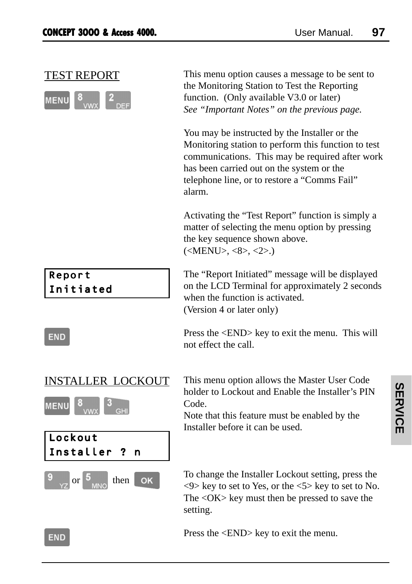|--|--|--|

TEST REPORT This menu option causes a message to be sent to the Monitoring Station to Test the Reporting function. (Only available V3.0 or later) *See "Important Notes" on the previous page.*

> You may be instructed by the Installer or the Monitoring station to perform this function to test communications. This may be required after work has been carried out on the system or the telephone line, or to restore a "Comms Fail" alarm.

Activating the "Test Report" function is simply a matter of selecting the menu option by pressing the key sequence shown above.  $(**MEMU**>, <8>, <2).$ 

The "Report Initiated" message will be displayed on the LCD Terminal for approximately 2 seconds when the function is activated. (Version 4 or later only)

Press the <END> key to exit the menu. This will not effect the call.

## INSTALLER LOCKOUT



Report Initiated

**END** 



This menu option allows the Master User Code holder to Lockout and Enable the Installer's PIN Code.

Note that this feature must be enabled by the Installer before it can be used.

To change the Installer Lockout setting, press the  $\langle 9 \rangle$  key to set to Yes, or the  $\langle 5 \rangle$  key to set to No. The <OK> key must then be pressed to save the setting.

Press the <END> key to exit the menu.

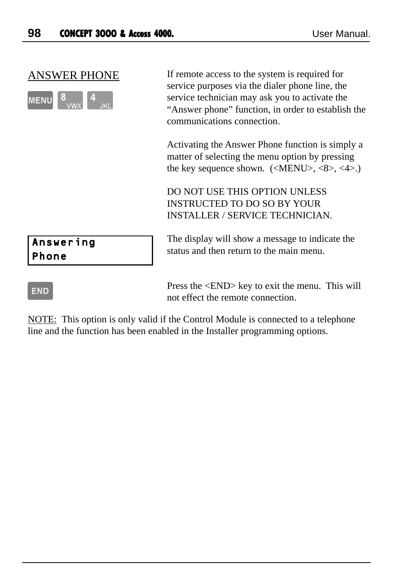| $ M  = N$ |  |
|-----------|--|
|           |  |

ANSWER PHONE If remote access to the system is required for service purposes via the dialer phone line, the service technician may ask you to activate the "Answer phone" function, in order to establish the communications connection.

> Activating the Answer Phone function is simply a matter of selecting the menu option by pressing the key sequence shown.  $(\langle \text{MENU}\rangle, \langle 8 \rangle, \langle 4 \rangle)$ .

DO NOT USE THIS OPTION UNLESS INSTRUCTED TO DO SO BY YOUR INSTALLER / SERVICE TECHNICIAN.

The display will show a message to indicate the status and then return to the main menu.

## **END**

Answering Phone

> Press the <END> key to exit the menu. This will not effect the remote connection.

NOTE: This option is only valid if the Control Module is connected to a telephone line and the function has been enabled in the Installer programming options.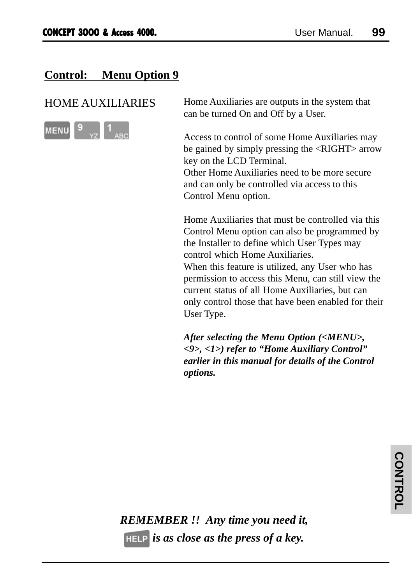## **Control: Menu Option 9**



HOME AUXILIARIES Home Auxiliaries are outputs in the system that can be turned On and Off by a User.

> Access to control of some Home Auxiliaries may be gained by simply pressing the <RIGHT> arrow key on the LCD Terminal. Other Home Auxiliaries need to be more secure and can only be controlled via access to this Control Menu option.

Home Auxiliaries that must be controlled via this Control Menu option can also be programmed by the Installer to define which User Types may control which Home Auxiliaries. When this feature is utilized, any User who has permission to access this Menu, can still view the current status of all Home Auxiliaries, but can only control those that have been enabled for their User Type.

*After selecting the Menu Option (<MENU>, <9>, <1>) refer to "Home Auxiliary Control" earlier in this manual for details of the Control options.*

*REMEMBER !! Any time you need it, is as close as the press of a key.*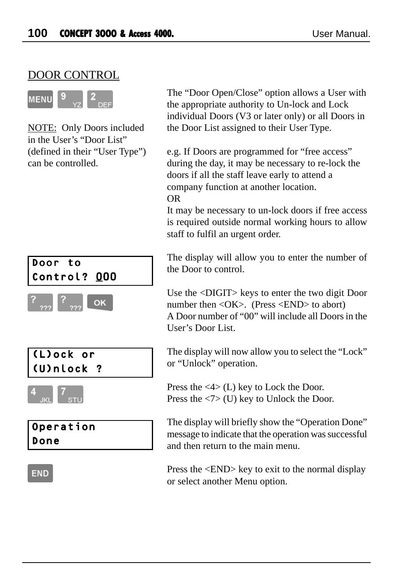## DOOR CONTROL



NOTE: Only Doors included in the User's "Door List" (defined in their "User Type") can be controlled.



The "Door Open/Close" option allows a User with the appropriate authority to Un-lock and Lock individual Doors (V3 or later only) or all Doors in the Door List assigned to their User Type.

e.g. If Doors are programmed for "free access" during the day, it may be necessary to re-lock the doors if all the staff leave early to attend a company function at another location. OR

It may be necessary to un-lock doors if free access is required outside normal working hours to allow staff to fulfil an urgent order.

The display will allow you to enter the number of the Door to control.

Use the <DIGIT> keys to enter the two digit Door number then <OK>. (Press <END> to abort) A Door number of "00" will include all Doors in the User's Door List.

The display will now allow you to select the "Lock" or "Unlock" operation.

Press the <4> (L) key to Lock the Door. Press the <7> (U) key to Unlock the Door.

The display will briefly show the "Operation Done" message to indicate that the operation was successful and then return to the main menu.

Press the <END> key to exit to the normal display or select another Menu option.

## **END**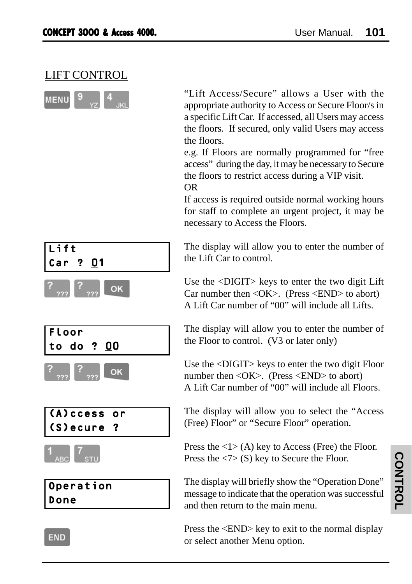## LIFT CONTROL

| <b>MENU</b> |  |
|-------------|--|
|             |  |

"Lift Access/Secure" allows a User with the appropriate authority to Access or Secure Floor/s in a specific Lift Car. If accessed, all Users may access the floors. If secured, only valid Users may access the floors.

e.g. If Floors are normally programmed for "free access" during the day, it may be necessary to Secure the floors to restrict access during a VIP visit. OR

If access is required outside normal working hours for staff to complete an urgent project, it may be necessary to Access the Floors.

The display will allow you to enter the number of the Lift Car to control.

Use the <DIGIT> keys to enter the two digit Lift Car number then <OK>. (Press <END> to abort) A Lift Car number of "00" will include all Lifts.

The display will allow you to enter the number of the Floor to control. (V3 or later only)

Use the <DIGIT> keys to enter the two digit Floor number then <OK>. (Press <END> to abort) A Lift Car number of "00" will include all Floors.

The display will allow you to select the "Access (Free) Floor" or "Secure Floor" operation.

Press the  $\langle 1 \rangle$  (A) key to Access (Free) the Floor. Press the  $\langle 7 \rangle$  (S) key to Secure the Floor.

The display will briefly show the "Operation Done" message to indicate that the operation was successful and then return to the main menu.

Press the <END> key to exit to the normal display or select another Menu option.

| Left                   |    |
|------------------------|----|
| Car ? $\underline{01}$ |    |
| ? $277$                | OK |







Operation Done

**END**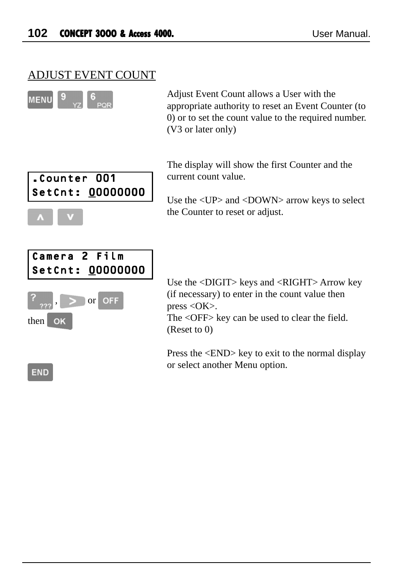## ADJUST EVENT COUNT



Adjust Event Count allows a User with the appropriate authority to reset an Event Counter (to 0) or to set the count value to the required number. (V3 or later only)



The display will show the first Counter and the current count value.

Use the <UP> and <DOWN> arrow keys to select the Counter to reset or adjust.



Use the <DIGIT> keys and <RIGHT> Arrow key (if necessary) to enter in the count value then press  $\langle OK \rangle$ .

The <OFF> key can be used to clear the field. (Reset to 0)

Press the <END> key to exit to the normal display or select another Menu option.

**END**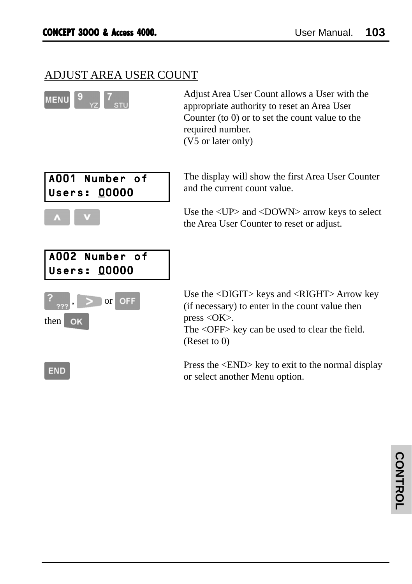## ADJUST AREA USER COUNT



Adjust Area User Count allows a User with the appropriate authority to reset an Area User Counter (to 0) or to set the count value to the required number. (V5 or later only)



 $\overline{\phantom{a}}$ 

**END** 

The display will show the first Area User Counter and the current count value.

Use the <UP> and <DOWN> arrow keys to select the Area User Counter to reset or adjust.

| A002 Number of    |
|-------------------|
| Users: 00000      |
|                   |
| $\sum$ or OFF     |
| then<br><b>OK</b> |
|                   |

Use the <DIGIT> keys and <RIGHT> Arrow key (if necessary) to enter in the count value then press  $\langle$ OK $>$ .

The <OFF> key can be used to clear the field. (Reset to 0)

Press the <END> key to exit to the normal display or select another Menu option.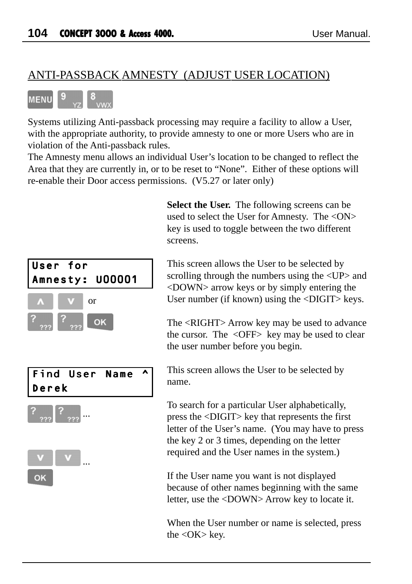## ANTI-PASSBACK AMNESTY (ADJUST USER LOCATION)



Systems utilizing Anti-passback processing may require a facility to allow a User, with the appropriate authority, to provide amnesty to one or more Users who are in violation of the Anti-passback rules.

The Amnesty menu allows an individual User's location to be changed to reflect the Area that they are currently in, or to be reset to "None". Either of these options will re-enable their Door access permissions. (V5.27 or later only)

> **Select the User.** The following screens can be used to select the User for Amnesty. The <ON> key is used to toggle between the two different screens.

User for Amnesty: U00001 or OK Find User Name ^ Derek ... ...

OK

This screen allows the User to be selected by scrolling through the numbers using the  $\langle UP \rangle$  and <DOWN> arrow keys or by simply entering the User number (if known) using the <DIGIT> keys.

The <RIGHT> Arrow key may be used to advance the cursor. The <OFF> key may be used to clear the user number before you begin.

This screen allows the User to be selected by name.

To search for a particular User alphabetically, press the <DIGIT> key that represents the first letter of the User's name. (You may have to press the key 2 or 3 times, depending on the letter required and the User names in the system.)

If the User name you want is not displayed because of other names beginning with the same letter, use the <DOWN> Arrow key to locate it.

When the User number or name is selected, press the  $\langle$ OK $>$  key.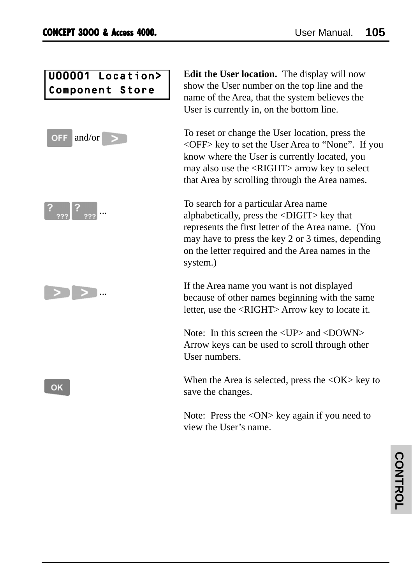U00001 Location> Component Store







OK

**Edit the User location.** The display will now show the User number on the top line and the name of the Area, that the system believes the User is currently in, on the bottom line.

To reset or change the User location, press the <OFF> key to set the User Area to "None". If you know where the User is currently located, you may also use the <RIGHT> arrow key to select that Area by scrolling through the Area names.

To search for a particular Area name alphabetically, press the <DIGIT> key that represents the first letter of the Area name. (You may have to press the key 2 or 3 times, depending on the letter required and the Area names in the system.)

If the Area name you want is not displayed because of other names beginning with the same letter, use the <RIGHT> Arrow key to locate it.

Note: In this screen the  $\langle IIP \rangle$  and  $\langle DOWN \rangle$ Arrow keys can be used to scroll through other User numbers.

When the Area is selected, press the  $\langle OK \rangle$  key to save the changes.

Note: Press the <ON> key again if you need to view the User's name.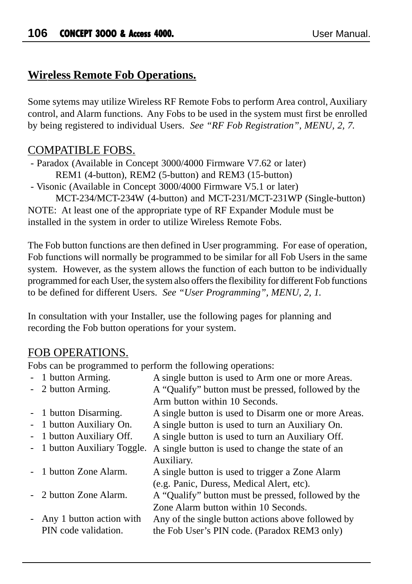## **Wireless Remote Fob Operations.**

Some sytems may utilize Wireless RF Remote Fobs to perform Area control, Auxiliary control, and Alarm functions. Any Fobs to be used in the system must first be enrolled by being registered to individual Users. *See "RF Fob Registration", MENU, 2, 7.*

## COMPATIBLE FOBS.

 - Paradox (Available in Concept 3000/4000 Firmware V7.62 or later) REM1 (4-button), REM2 (5-button) and REM3 (15-button)

- Visonic (Available in Concept 3000/4000 Firmware V5.1 or later)

MCT-234/MCT-234W (4-button) and MCT-231/MCT-231WP (Single-button) NOTE: At least one of the appropriate type of RF Expander Module must be installed in the system in order to utilize Wireless Remote Fobs.

The Fob button functions are then defined in User programming. For ease of operation, Fob functions will normally be programmed to be similar for all Fob Users in the same system. However, as the system allows the function of each button to be individually programmed for each User, the system also offers the flexibility for different Fob functions to be defined for different Users. *See "User Programming", MENU, 2, 1.*

In consultation with your Installer, use the following pages for planning and recording the Fob button operations for your system.

## FOB OPERATIONS.

Fobs can be programmed to perform the following operations:

| - 1 button Arming.           | A single button is used to Arm one or more Areas.    |
|------------------------------|------------------------------------------------------|
| - 2 button Arming.           | A "Qualify" button must be pressed, followed by the  |
|                              | Arm button within 10 Seconds.                        |
| - 1 button Disarming.        | A single button is used to Disarm one or more Areas. |
| - 1 button Auxiliary On.     | A single button is used to turn an Auxiliary On.     |
| - 1 button Auxiliary Off.    | A single button is used to turn an Auxiliary Off.    |
| - 1 button Auxiliary Toggle. | A single button is used to change the state of an    |
|                              | Auxiliary.                                           |
| - 1 button Zone Alarm.       | A single button is used to trigger a Zone Alarm      |
|                              | (e.g. Panic, Duress, Medical Alert, etc).            |
| - 2 button Zone Alarm.       | A "Qualify" button must be pressed, followed by the  |
|                              | Zone Alarm button within 10 Seconds.                 |
| - Any 1 button action with   | Any of the single button actions above followed by   |
| PIN code validation.         | the Fob User's PIN code. (Paradox REM3 only)         |
|                              |                                                      |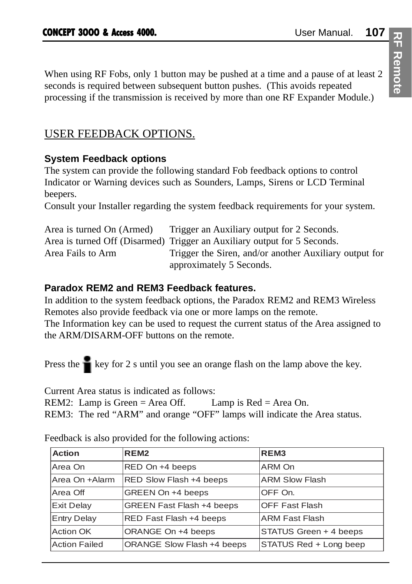When using RF Fobs, only 1 button may be pushed at a time and a pause of at least 2 seconds is required between subsequent button pushes. (This avoids repeated processing if the transmission is received by more than one RF Expander Module.)

# USER FEEDBACK OPTIONS.

## **System Feedback options**

The system can provide the following standard Fob feedback options to control Indicator or Warning devices such as Sounders, Lamps, Sirens or LCD Terminal beepers.

Consult your Installer regarding the system feedback requirements for your system.

| Area is turned On (Armed) | Trigger an Auxiliary output for 2 Seconds.                               |
|---------------------------|--------------------------------------------------------------------------|
|                           | Area is turned Off (Disarmed) Trigger an Auxiliary output for 5 Seconds. |
| Area Fails to Arm         | Trigger the Siren, and/or another Auxiliary output for                   |
|                           | approximately 5 Seconds.                                                 |

## **Paradox REM2 and REM3 Feedback features.**

In addition to the system feedback options, the Paradox REM2 and REM3 Wireless Remotes also provide feedback via one or more lamps on the remote.

The Information key can be used to request the current status of the Area assigned to the ARM/DISARM-OFF buttons on the remote.

Press the  $\bullet$  key for 2 s until you see an orange flash on the lamp above the key.

Current Area status is indicated as follows:

REM2: Lamp is Green = Area Off. Lamp is  $Red = Area$  On.

REM3: The red "ARM" and orange "OFF" lamps will indicate the Area status.

| <b>Action</b>        | REM <sub>2</sub>                 | REM <sub>3</sub>       |
|----------------------|----------------------------------|------------------------|
| Area On              | RED On +4 beeps                  | ARM On                 |
| Area On +Alarm       | RED Slow Flash +4 beeps          | <b>ARM Slow Flash</b>  |
| Area Off             | GREEN On +4 beeps                | OFF On.                |
| <b>Exit Delay</b>    | <b>GREEN Fast Flash +4 beeps</b> | <b>OFF Fast Flash</b>  |
| <b>Entry Delay</b>   | RED Fast Flash +4 beeps          | <b>ARM Fast Flash</b>  |
| <b>Action OK</b>     | ORANGE On +4 beeps               | STATUS Green + 4 beeps |
| <b>Action Failed</b> | ORANGE Slow Flash +4 beeps       | STATUS Red + Long beep |

Feedback is also provided for the following actions: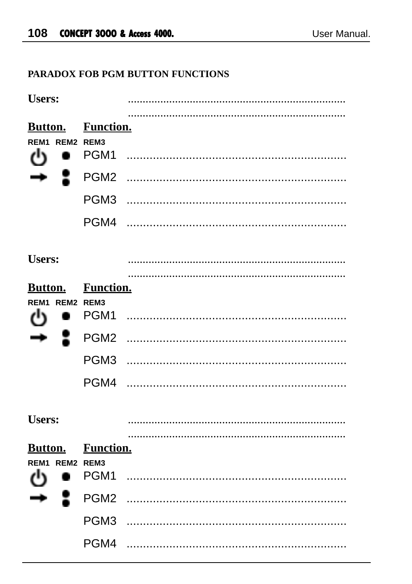# PARADOX FOB PGM BUTTON FUNCTIONS

| <b>Users:</b>                                          |                                                                          |  |
|--------------------------------------------------------|--------------------------------------------------------------------------|--|
| <b>Button.</b><br>REM <sub>1</sub><br>REM2 REM3<br>داء | <b>Function.</b><br>PGM1<br>PGM <sub>2</sub><br>PGM3<br>PGM4             |  |
| <b>Users:</b>                                          |                                                                          |  |
| <b>Button.</b><br>REM1 REM2 REM3                       | <b>Function.</b><br>PGM1<br>PGM <sub>2</sub><br>PGM <sub>3</sub><br>PGM4 |  |
| <b>Users:</b>                                          |                                                                          |  |
| <b>Button.</b><br>REM1 REM2 REM3                       | <b>Function.</b><br>PGM1<br>PGM <sub>2</sub><br>PGM3<br>PGM4             |  |
|                                                        |                                                                          |  |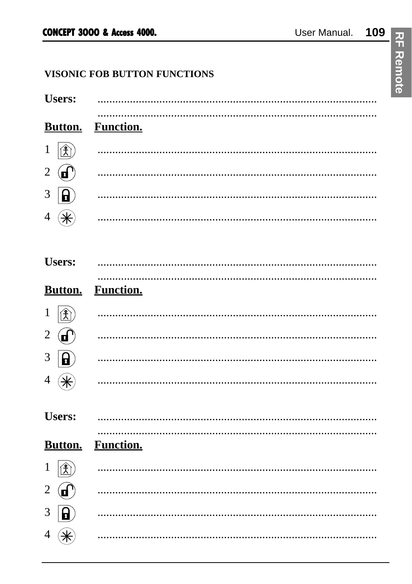# VISONIC FOB BUTTON FUNCTIONS

| <b>Users:</b>                        |                  |
|--------------------------------------|------------------|
| Button.                              | <b>Function.</b> |
| $\circledR$<br>$\mathbf{1}$          |                  |
| $\mathbf{G}$<br>$\overline{c}$       |                  |
| 8<br>3                               |                  |
| (₩<br>4                              |                  |
|                                      |                  |
| <b>Users:</b>                        |                  |
| <b>Button.</b>                       | <b>Function.</b> |
| $\mathbf{E}$<br>$\mathbf{1}$         |                  |
| $\mathbf{G}$<br>2                    |                  |
| $\mathbf{B}$<br>3                    |                  |
| 4                                    |                  |
|                                      |                  |
| <b>Users:</b>                        |                  |
| <b>Button.</b>                       | <b>Function.</b> |
| $ \mathbf{\hat{X}} $<br>$\mathbf{1}$ |                  |
| $\mathbf{F}$<br>2                    |                  |
| 3<br>ណ                               |                  |
| ⊛<br>4                               |                  |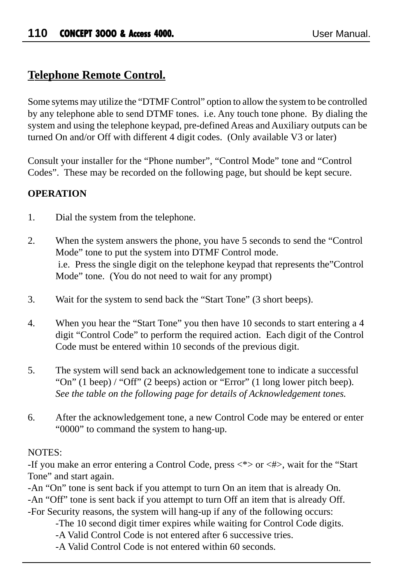# **Telephone Remote Control.**

Some sytems may utilize the "DTMF Control" option to allow the system to be controlled by any telephone able to send DTMF tones. i.e. Any touch tone phone. By dialing the system and using the telephone keypad, pre-defined Areas and Auxiliary outputs can be turned On and/or Off with different 4 digit codes. (Only available V3 or later)

Consult your installer for the "Phone number", "Control Mode" tone and "Control Codes". These may be recorded on the following page, but should be kept secure.

## **OPERATION**

- 1. Dial the system from the telephone.
- 2. When the system answers the phone, you have 5 seconds to send the "Control Mode" tone to put the system into DTMF Control mode. i.e. Press the single digit on the telephone keypad that represents the"Control Mode" tone. (You do not need to wait for any prompt)
- 3. Wait for the system to send back the "Start Tone" (3 short beeps).
- 4. When you hear the "Start Tone" you then have 10 seconds to start entering a 4 digit "Control Code" to perform the required action. Each digit of the Control Code must be entered within 10 seconds of the previous digit.
- 5. The system will send back an acknowledgement tone to indicate a successful "On" (1 beep) / "Off" (2 beeps) action or "Error" (1 long lower pitch beep). *See the table on the following page for details of Acknowledgement tones.*
- 6. After the acknowledgement tone, a new Control Code may be entered or enter "0000" to command the system to hang-up.

#### NOTES:

-If you make an error entering a Control Code, press  $\langle * \rangle$  or  $\langle * \rangle$ , wait for the "Start Tone" and start again.

-An "On" tone is sent back if you attempt to turn On an item that is already On. -An "Off" tone is sent back if you attempt to turn Off an item that is already Off. -For Security reasons, the system will hang-up if any of the following occurs:

- -The 10 second digit timer expires while waiting for Control Code digits.
- -A Valid Control Code is not entered after 6 successive tries.
- -A Valid Control Code is not entered within 60 seconds.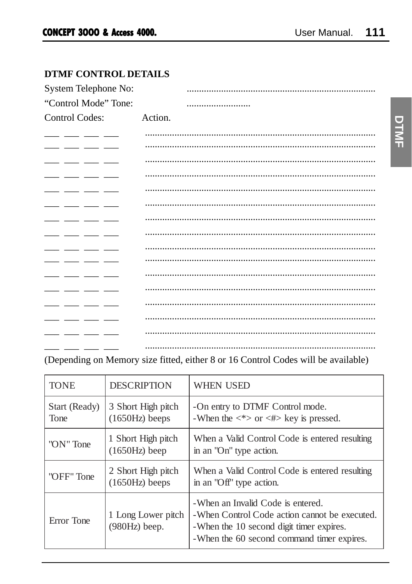# **DTMF CONTROL DETAILS**

| System Telephone No: |         |
|----------------------|---------|
| "Control Mode" Tone: |         |
| Control Codes:       | Action. |
|                      |         |
|                      |         |
|                      |         |
|                      |         |
|                      |         |
|                      |         |
|                      |         |
|                      |         |
|                      |         |
|                      |         |
|                      |         |
|                      |         |
|                      |         |
|                      |         |
|                      |         |
|                      |         |

# (Depending on Memory size fitted, either 8 or 16 Control Codes will be available)

| <b>TONE</b>           | <b>DESCRIPTION</b>                     | <b>WHEN USED</b>                                                                                                                                                             |
|-----------------------|----------------------------------------|------------------------------------------------------------------------------------------------------------------------------------------------------------------------------|
| Start (Ready)<br>Tone | 3 Short High pitch<br>$(1650Hz)$ beeps | -On entry to DTMF Control mode.<br>-When the $\langle * \rangle$ or $\langle * \rangle$ key is pressed.                                                                      |
| "ON" Tone             | 1 Short High pitch<br>$(1650Hz)$ beep  | When a Valid Control Code is entered resulting<br>in an "On" type action.                                                                                                    |
| "OFF" Tone            | 2 Short High pitch<br>$(1650Hz)$ beeps | When a Valid Control Code is entered resulting<br>in an "Off" type action.                                                                                                   |
| Error Tone            | 1 Long Lower pitch<br>$(980Hz)$ beep.  | -When an Invalid Code is entered.<br>-When Control Code action cannot be executed.<br>-When the 10 second digit timer expires.<br>-When the 60 second command timer expires. |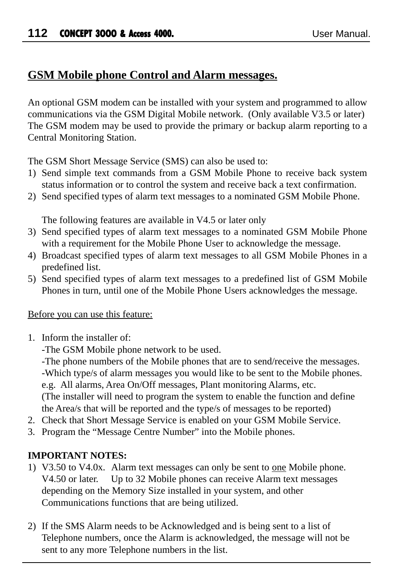# **GSM Mobile phone Control and Alarm messages.**

An optional GSM modem can be installed with your system and programmed to allow communications via the GSM Digital Mobile network. (Only available V3.5 or later) The GSM modem may be used to provide the primary or backup alarm reporting to a Central Monitoring Station.

The GSM Short Message Service (SMS) can also be used to:

- 1) Send simple text commands from a GSM Mobile Phone to receive back system status information or to control the system and receive back a text confirmation.
- 2) Send specified types of alarm text messages to a nominated GSM Mobile Phone.

The following features are available in V4.5 or later only

- 3) Send specified types of alarm text messages to a nominated GSM Mobile Phone with a requirement for the Mobile Phone User to acknowledge the message.
- 4) Broadcast specified types of alarm text messages to all GSM Mobile Phones in a predefined list.
- 5) Send specified types of alarm text messages to a predefined list of GSM Mobile Phones in turn, until one of the Mobile Phone Users acknowledges the message.

## Before you can use this feature:

1. Inform the installer of:

-The GSM Mobile phone network to be used.

-The phone numbers of the Mobile phones that are to send/receive the messages. -Which type/s of alarm messages you would like to be sent to the Mobile phones. e.g. All alarms, Area On/Off messages, Plant monitoring Alarms, etc. (The installer will need to program the system to enable the function and define the Area/s that will be reported and the type/s of messages to be reported)

- 2. Check that Short Message Service is enabled on your GSM Mobile Service.
- 3. Program the "Message Centre Number" into the Mobile phones.

## **IMPORTANT NOTES:**

- 1) V3.50 to V4.0x. Alarm text messages can only be sent to one Mobile phone. V4.50 or later. Up to 32 Mobile phones can receive Alarm text messages depending on the Memory Size installed in your system, and other Communications functions that are being utilized.
- 2) If the SMS Alarm needs to be Acknowledged and is being sent to a list of Telephone numbers, once the Alarm is acknowledged, the message will not be sent to any more Telephone numbers in the list.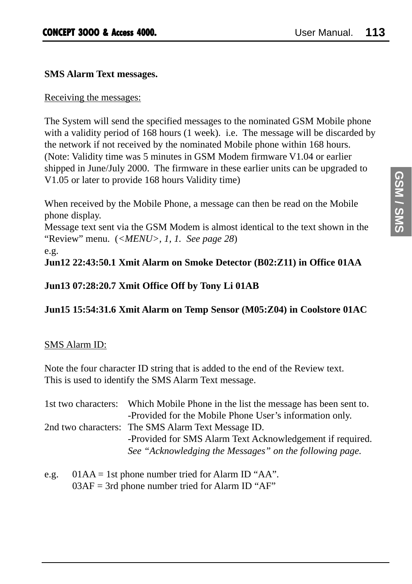#### **SMS Alarm Text messages.**

#### Receiving the messages:

The System will send the specified messages to the nominated GSM Mobile phone with a validity period of 168 hours (1 week). i.e. The message will be discarded by the network if not received by the nominated Mobile phone within 168 hours. (Note: Validity time was 5 minutes in GSM Modem firmware V1.04 or earlier shipped in June/July 2000. The firmware in these earlier units can be upgraded to V1.05 or later to provide 168 hours Validity time)

When received by the Mobile Phone, a message can then be read on the Mobile phone display.

Message text sent via the GSM Modem is almost identical to the text shown in the "Review" menu. (*<MENU>, 1, 1. See page 28*)

e.g.

## **Jun12 22:43:50.1 Xmit Alarm on Smoke Detector (B02:Z11) in Office 01AA**

#### **Jun13 07:28:20.7 Xmit Office Off by Tony Li 01AB**

**Jun15 15:54:31.6 Xmit Alarm on Temp Sensor (M05:Z04) in Coolstore 01AC**

#### SMS Alarm ID:

Note the four character ID string that is added to the end of the Review text. This is used to identify the SMS Alarm Text message.

| 1st two characters: | Which Mobile Phone in the list the message has been sent to. |
|---------------------|--------------------------------------------------------------|
|                     | -Provided for the Mobile Phone User's information only.      |
|                     | 2nd two characters: The SMS Alarm Text Message ID.           |
|                     | -Provided for SMS Alarm Text Acknowledgement if required.    |
|                     | See "Acknowledging the Messages" on the following page.      |

e.g.  $01AA = 1st$  phone number tried for Alarm ID "AA".  $03AF = 3rd$  phone number tried for Alarm ID "AF"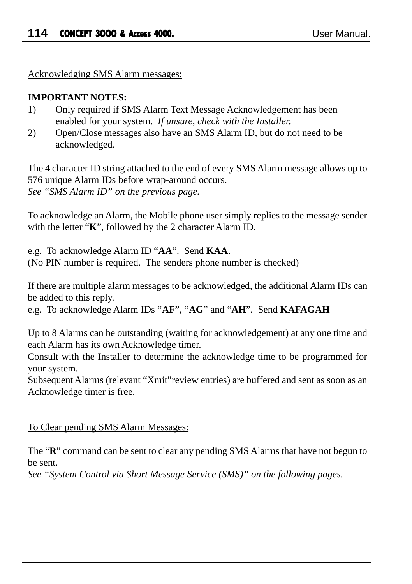Acknowledging SMS Alarm messages:

#### **IMPORTANT NOTES:**

- 1) Only required if SMS Alarm Text Message Acknowledgement has been enabled for your system. *If unsure, check with the Installer.*
- 2) Open/Close messages also have an SMS Alarm ID, but do not need to be acknowledged.

The 4 character ID string attached to the end of every SMS Alarm message allows up to 576 unique Alarm IDs before wrap-around occurs. *See "SMS Alarm ID" on the previous page.*

To acknowledge an Alarm, the Mobile phone user simply replies to the message sender with the letter "**K**", followed by the 2 character Alarm ID.

e.g. To acknowledge Alarm ID "**AA**". Send **KAA**. (No PIN number is required. The senders phone number is checked)

If there are multiple alarm messages to be acknowledged, the additional Alarm IDs can be added to this reply.

e.g. To acknowledge Alarm IDs "**AF**", "**AG**" and "**AH**". Send **KAFAGAH**

Up to 8 Alarms can be outstanding (waiting for acknowledgement) at any one time and each Alarm has its own Acknowledge timer.

Consult with the Installer to determine the acknowledge time to be programmed for your system.

Subsequent Alarms (relevant "Xmit"review entries) are buffered and sent as soon as an Acknowledge timer is free.

#### To Clear pending SMS Alarm Messages:

The "**R**" command can be sent to clear any pending SMS Alarms that have not begun to be sent.

*See "System Control via Short Message Service (SMS)" on the following pages.*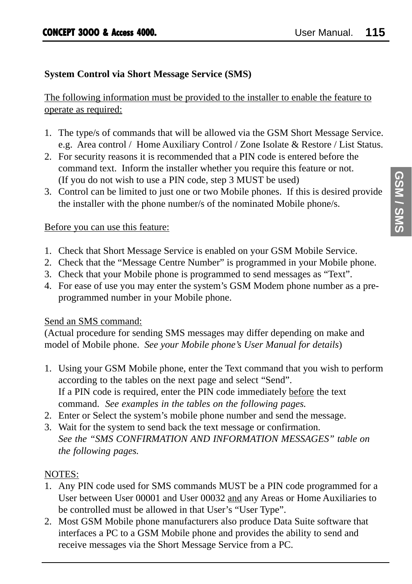## **System Control via Short Message Service (SMS)**

The following information must be provided to the installer to enable the feature to operate as required:

- 1. The type/s of commands that will be allowed via the GSM Short Message Service. e.g. Area control / Home Auxiliary Control / Zone Isolate & Restore / List Status.
- 2. For security reasons it is recommended that a PIN code is entered before the command text. Inform the installer whether you require this feature or not. (If you do not wish to use a PIN code, step 3 MUST be used)
- 3. Control can be limited to just one or two Mobile phones. If this is desired provide the installer with the phone number/s of the nominated Mobile phone/s.

#### Before you can use this feature:

- 1. Check that Short Message Service is enabled on your GSM Mobile Service.
- 2. Check that the "Message Centre Number" is programmed in your Mobile phone.
- 3. Check that your Mobile phone is programmed to send messages as "Text".
- 4. For ease of use you may enter the system's GSM Modem phone number as a preprogrammed number in your Mobile phone.

## Send an SMS command:

(Actual procedure for sending SMS messages may differ depending on make and model of Mobile phone. *See your Mobile phone's User Manual for details*)

- 1. Using your GSM Mobile phone, enter the Text command that you wish to perform according to the tables on the next page and select "Send". If a PIN code is required, enter the PIN code immediately before the text command. *See examples in the tables on the following pages.*
- 2. Enter or Select the system's mobile phone number and send the message.
- 3. Wait for the system to send back the text message or confirmation. *See the "SMS CONFIRMATION AND INFORMATION MESSAGES" table on the following pages.*

## NOTES:

- 1. Any PIN code used for SMS commands MUST be a PIN code programmed for a User between User 00001 and User 00032 and any Areas or Home Auxiliaries to be controlled must be allowed in that User's "User Type".
- 2. Most GSM Mobile phone manufacturers also produce Data Suite software that interfaces a PC to a GSM Mobile phone and provides the ability to send and receive messages via the Short Message Service from a PC.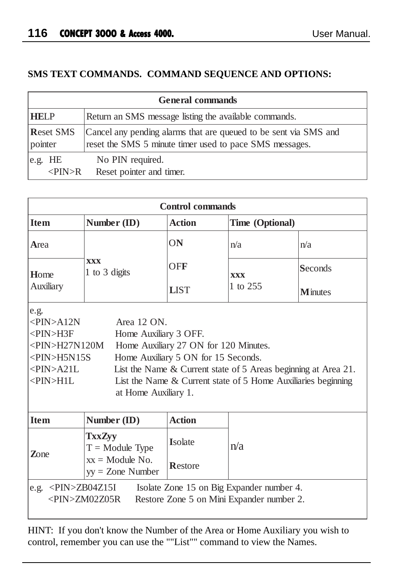## **SMS TEXT COMMANDS. COMMAND SEQUENCE AND OPTIONS:**

|                     | <b>General commands</b>                                          |
|---------------------|------------------------------------------------------------------|
| <b>HELP</b>         | Return an SMS message listing the available commands.            |
| <b>Reset SMS</b>    | Cancel any pending alarms that are queued to be sent via SMS and |
| pointer             | reset the SMS 5 minute timer used to pace SMS messages.          |
| e.g. HE             | No PIN required.                                                 |
| $\langle$ PIN $>$ R | Reset pointer and timer.                                         |

|                                                                                                                                                            |                                                              | <b>Control</b> commands                                                      |                                                                                                                                 |                 |
|------------------------------------------------------------------------------------------------------------------------------------------------------------|--------------------------------------------------------------|------------------------------------------------------------------------------|---------------------------------------------------------------------------------------------------------------------------------|-----------------|
| <b>Item</b>                                                                                                                                                | Number $(ID)$                                                | <b>Action</b>                                                                | Time (Optional)                                                                                                                 |                 |
| Area                                                                                                                                                       |                                                              | ON                                                                           | n/a                                                                                                                             | n/a             |
| Home                                                                                                                                                       | <b>XXX</b><br>1 to 3 digits                                  | OFF                                                                          | <b>XXX</b>                                                                                                                      | Seconds         |
| Auxiliary                                                                                                                                                  |                                                              | <b>LIST</b>                                                                  | 1 to 255                                                                                                                        | <b>M</b> inutes |
| e.g.<br>$\langle$ PIN $>$ A12N<br>$<$ PIN $>$ H3F<br>$\langle$ PIN>H27N120M<br>$\langle$ PIN $>$ H5N15S<br>$\langle$ PIN $>$ A21L<br>$\langle$ PIN $>$ H1L | Area 12 ON.<br>Home Auxiliary 3 OFF.<br>at Home Auxiliary 1. | Home Auxiliary 27 ON for 120 Minutes.<br>Home Auxiliary 5 ON for 15 Seconds. | List the Name & Current state of 5 Areas beginning at Area 21.<br>List the Name & Current state of 5 Home Auxiliaries beginning |                 |
| <b>Item</b>                                                                                                                                                | Number (ID)                                                  | <b>Action</b>                                                                |                                                                                                                                 |                 |
| $\mathbf{Z}$ one                                                                                                                                           | <b>TxxZyy</b><br>$T =$ Module Type                           | Isolate                                                                      | n/a                                                                                                                             |                 |
|                                                                                                                                                            | $xx =$ Module No.<br>$yy = Z$ one Number                     | Restore                                                                      |                                                                                                                                 |                 |
| e.g. $\langle$ PIN>ZB04Z15I                                                                                                                                | <pin>ZM02Z05R</pin>                                          |                                                                              | Isolate Zone 15 on Big Expander number 4.<br>Restore Zone 5 on Mini Expander number 2.                                          |                 |

HINT: If you don't know the Number of the Area or Home Auxiliary you wish to control, remember you can use the ""List"" command to view the Names.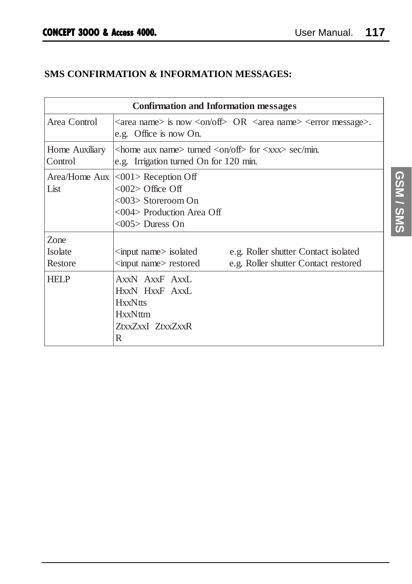# **SMS CONFIRMATION & INFORMATION MESSAGES:**

|                            | <b>Confirmation and Information messages</b>                                                                                                  |
|----------------------------|-----------------------------------------------------------------------------------------------------------------------------------------------|
| Area Control               | $\langle$ area name> is now $\langle$ on/off $\rangle$ OR $\langle$ area name> $\langle$ error message>.<br>e.g. Office is now On.            |
| Home Auxiliary<br>Control  | $\alpha$ <home aux="" name=""> turned <on off=""> for <xxx> sec/min.<br/>e.g. Irrigation turned On for 120 min.</xxx></on></home>             |
| List                       | Area/Home Aux <a> &lt;001</a> > Reception Off<br>$<$ 002> Office Off<br><003> Storeroom On<br><004> Production Area Off<br>$<$ 005> Duress On |
| Zone<br>Isolate<br>Restore | input name isolated<br>e.g. Roller shutter Contact isolated<br>e.g. Roller shutter Contact restored<br>input name restored                    |
| <b>HELP</b>                | AxxN AxxF AxxL<br>HxxN HxxF AxxL<br><b>HxxNtts</b><br><b>HxxNttm</b><br>ZtxxZxxI ZtxxZxxR<br>R                                                |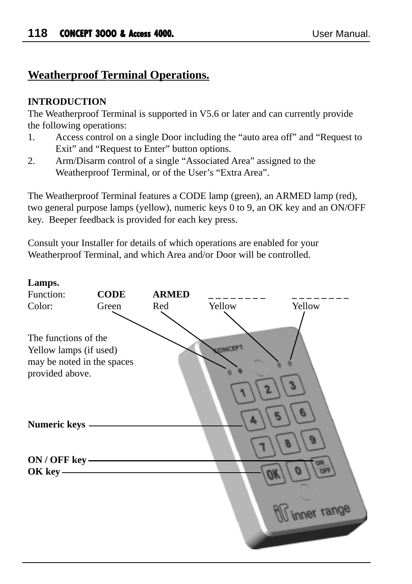# **Weatherproof Terminal Operations.**

#### **INTRODUCTION**

The Weatherproof Terminal is supported in V5.6 or later and can currently provide the following operations:

- 1. Access control on a single Door including the "auto area off" and "Request to Exit" and "Request to Enter" button options.
- 2. Arm/Disarm control of a single "Associated Area" assigned to the Weatherproof Terminal, or of the User's "Extra Area".

The Weatherproof Terminal features a CODE lamp (green), an ARMED lamp (red), two general purpose lamps (yellow), numeric keys 0 to 9, an OK key and an ON/OFF key. Beeper feedback is provided for each key press.

Consult your Installer for details of which operations are enabled for your Weatherproof Terminal, and which Area and/or Door will be controlled.

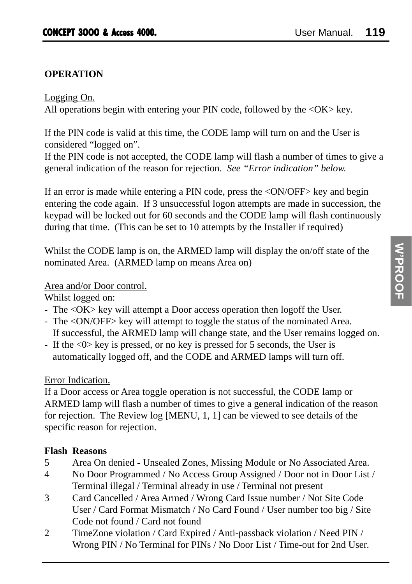## **OPERATION**

#### Logging On.

All operations begin with entering your PIN code, followed by the  $\langle OK \rangle$  key.

If the PIN code is valid at this time, the CODE lamp will turn on and the User is considered "logged on".

If the PIN code is not accepted, the CODE lamp will flash a number of times to give a general indication of the reason for rejection. *See "Error indication" below.*

If an error is made while entering a PIN code, press the <ON/OFF> key and begin entering the code again. If 3 unsuccessful logon attempts are made in succession, the keypad will be locked out for 60 seconds and the CODE lamp will flash continuously during that time. (This can be set to 10 attempts by the Installer if required)

Whilst the CODE lamp is on, the ARMED lamp will display the on/off state of the nominated Area. (ARMED lamp on means Area on)

#### Area and/or Door control.

Whilst logged on:

- The <OK> key will attempt a Door access operation then logoff the User.
- The <ON/OFF> key will attempt to toggle the status of the nominated Area. If successful, the ARMED lamp will change state, and the User remains logged on.
- If the <0> key is pressed, or no key is pressed for 5 seconds, the User is automatically logged off, and the CODE and ARMED lamps will turn off.

## Error Indication.

If a Door access or Area toggle operation is not successful, the CODE lamp or ARMED lamp will flash a number of times to give a general indication of the reason for rejection. The Review log [MENU, 1, 1] can be viewed to see details of the specific reason for rejection.

## **Flash Reasons**

- 5 Area On denied Unsealed Zones, Missing Module or No Associated Area.
- 4 No Door Programmed / No Access Group Assigned / Door not in Door List / Terminal illegal / Terminal already in use / Terminal not present
- 3 Card Cancelled / Area Armed / Wrong Card Issue number / Not Site Code User / Card Format Mismatch / No Card Found / User number too big / Site Code not found / Card not found
- 2 TimeZone violation / Card Expired / Anti-passback violation / Need PIN / Wrong PIN / No Terminal for PINs / No Door List / Time-out for 2nd User.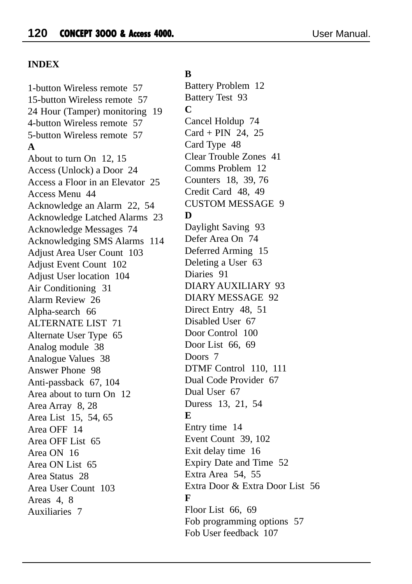#### **INDEX**

1-button Wireless remote 57 15-button Wireless remote 57 24 Hour (Tamper) monitoring 19 4-button Wireless remote 57 5-button Wireless remote 57 **A** About to turn On 12, 15 Access (Unlock) a Door 24 Access a Floor in an Elevator 25 Access Menu 44 Acknowledge an Alarm 22, 54 Acknowledge Latched Alarms 23 Acknowledge Messages 74 Acknowledging SMS Alarms 114 Adjust Area User Count 103 Adjust Event Count 102 Adjust User location 104 Air Conditioning 31 Alarm Review 26 Alpha-search 66 ALTERNATE LIST 71 Alternate User Type 65 Analog module 38 Analogue Values 38 Answer Phone 98 Anti-passback 67, 104 Area about to turn On 12 Area Array 8, 28 Area List 15, 54, 65 Area OFF 14 Area OFF List 65 Area ON 16 Area ON List 65 Area Status 28 Area User Count 103 Areas 4, 8 Auxiliaries 7

#### **B**

Battery Problem 12 Battery Test 93 **C** Cancel Holdup 74 Card + PIN 24, 25 Card Type 48 Clear Trouble Zones 41 Comms Problem 12 Counters 18, 39, 76 Credit Card 48, 49 CUSTOM MESSAGE 9 **D** Daylight Saving 93 Defer Area On 74 Deferred Arming 15 Deleting a User 63 Diaries 91 DIARY AUXILIARY 93 DIARY MESSAGE 92 Direct Entry 48, 51 Disabled User 67 Door Control 100 Door List 66, 69 Doors 7 DTMF Control 110, 111 Dual Code Provider 67 Dual User 67 Duress 13, 21, 54 **E** Entry time 14 Event Count 39, 102 Exit delay time 16 Expiry Date and Time 52 Extra Area 54, 55 Extra Door & Extra Door List 56 **F** Floor List 66, 69 Fob programming options 57 Fob User feedback 107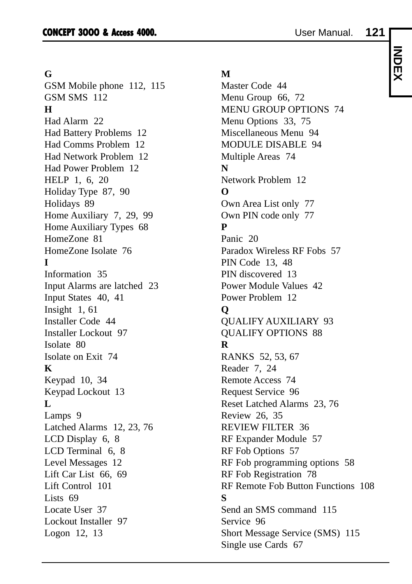# **INDEX**

#### **G**

GSM Mobile phone 112, 115 GSM SMS 112 **H** Had Alarm 22 Had Battery Problems 12 Had Comms Problem 12 Had Network Problem 12 Had Power Problem 12 HELP 1, 6, 20 Holiday Type 87, 90 Holidays 89 Home Auxiliary 7, 29, 99 Home Auxiliary Types 68 HomeZone 81 HomeZone Isolate 76 **I** Information 35 Input Alarms are latched 23 Input States 40, 41 Insight 1, 61 Installer Code 44 Installer Lockout 97 Isolate 80 Isolate on Exit 74 **K** Keypad 10, 34 Keypad Lockout 13 **L** Lamps 9 Latched Alarms 12, 23, 76 LCD Display 6, 8 LCD Terminal 6, 8 Level Messages 12 Lift Car List 66, 69 Lift Control 101 Lists 69 Locate User 37 Lockout Installer 97 Logon 12, 13

#### **M**

Master Code 44 Menu Group 66, 72 MENU GROUP OPTIONS 74 Menu Options 33, 75 Miscellaneous Menu 94 MODULE DISABLE 94 Multiple Areas 74 **N** Network Problem 12 **O** Own Area List only 77 Own PIN code only 77 **P** Panic 20 Paradox Wireless RF Fobs 57 PIN Code 13, 48 PIN discovered 13 Power Module Values 42 Power Problem 12 **Q** QUALIFY AUXILIARY 93 QUALIFY OPTIONS 88 **R** RANKS 52, 53, 67 Reader 7, 24 Remote Access 74 Request Service 96 Reset Latched Alarms 23, 76 Review 26, 35 REVIEW FILTER 36 RF Expander Module 57 RF Fob Options 57 RF Fob programming options 58 RF Fob Registration 78 RF Remote Fob Button Functions 108 **S** Send an SMS command 115 Service 96 Short Message Service (SMS) 115 Single use Cards 67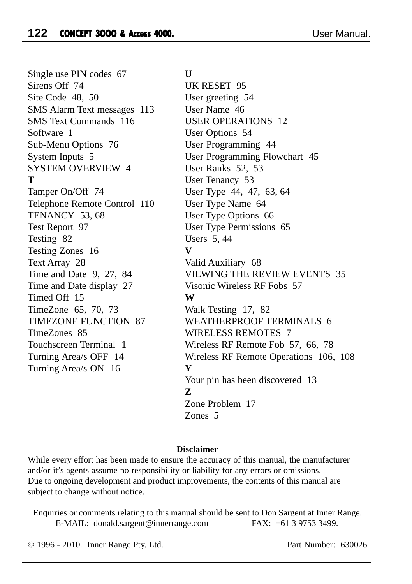Single use PIN codes 67 Sirens Off 74 Site Code 48, 50 SMS Alarm Text messages 113 SMS Text Commands 116 Software 1 Sub-Menu Options 76 System Inputs 5 SYSTEM OVERVIEW 4 **T** Tamper On/Off 74 Telephone Remote Control 110 TENANCY 53, 68 Test Report 97 Testing 82 Testing Zones 16 Text Array 28 Time and Date 9, 27, 84 Time and Date display 27 Timed Off 15 TimeZone 65, 70, 73 TIMEZONE FUNCTION 87 TimeZones 85 Touchscreen Terminal 1 Turning Area/s OFF 14 Turning Area/s ON 16

**U**

UK RESET 95 User greeting 54 User Name 46 USER OPERATIONS 12 User Options 54 User Programming 44 User Programming Flowchart 45 User Ranks 52, 53 User Tenancy 53 User Type 44, 47, 63, 64 User Type Name 64 User Type Options 66 User Type Permissions 65 Users 5, 44 **V** Valid Auxiliary 68 VIEWING THE REVIEW EVENTS 35 Visonic Wireless RF Fobs 57 **W** Walk Testing 17, 82 WEATHERPROOF TERMINALS 6 WIRELESS REMOTES 7 Wireless RF Remote Fob 57, 66, 78 Wireless RF Remote Operations 106, 108 **Y** Your pin has been discovered 13 **Z** Zone Problem 17 Zones 5

#### **Disclaimer**

While every effort has been made to ensure the accuracy of this manual, the manufacturer and/or it's agents assume no responsibility or liability for any errors or omissions. Due to ongoing development and product improvements, the contents of this manual are subject to change without notice.

Enquiries or comments relating to this manual should be sent to Don Sargent at Inner Range. E-MAIL: donald.sargent@innerrange.com FAX: +61 3 9753 3499.

© 1996 - 2010. Inner Range Pty. Ltd. Part Number: 630026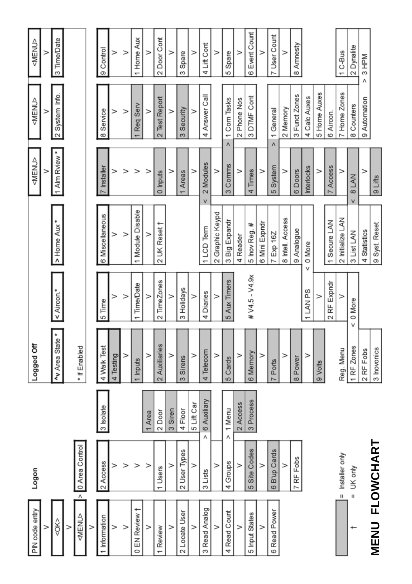| PIN code entry                       | Logon                 |                     | Logged Off                             |                  |                  | <menu></menu>         | <menu></menu>            | <menu></menu>    |
|--------------------------------------|-----------------------|---------------------|----------------------------------------|------------------|------------------|-----------------------|--------------------------|------------------|
| $\geq$                               |                       |                     |                                        |                  |                  | $\geq$                | >                        | $\geq$           |
| <<                                   |                       |                     | Av Area State *                        | < Aircon.*       | > Home Aux*      | 1 Alm Rview *         | 2 System Info.           | 3 Time/Date      |
| >                                    |                       |                     |                                        |                  |                  |                       |                          |                  |
| $\overline{\wedge}$<br><menu></menu> | Control<br>0 Area     |                     | * If Enabled                           |                  |                  |                       |                          |                  |
| $\, > \,$                            |                       |                     |                                        |                  |                  |                       |                          |                  |
| 1 Information                        | 2 Access              | 3 Isolate           | 4 Walk Test                            | 5 Time           | 6 Miscellaneous  | 7 Installer           | 8 Service                | 9 Control        |
| >                                    |                       |                     | 4 Testing                              |                  | >                | >                     | >                        | >                |
| $\rm{~}$                             |                       |                     | >                                      | >                | $\geq$           |                       | >                        | $\rm{~}$         |
| 0 EN Review t                        |                       |                     | Inputs                                 | <b>Time/Date</b> | Module Disable   | >                     | Req Serv                 | 1 Home Aux       |
| $\geq$                               |                       | 1 Area              | $\geq$                                 | $\rm{~}$         | $\geq$           | >                     | $\geq$                   | $\geq$           |
| 1 Review                             | 1 Users               | 2 Door              | Auxiliaries<br>$\overline{\mathsf{c}}$ | TimeZones        | 2 UK Reset †     | 0 Inputs              | 2 Test Report            | 2 Door Cont      |
| >                                    |                       | 3 Siren             | $\geq$                                 | $\geq$           |                  | >                     | $\geq$                   | $\geq$           |
| 2 Locate User                        | Types<br>2 User       | 4 Floor             | Sirens<br>က                            | 3 Holidays       |                  | Areas                 | Security<br>ო            | Spare<br>ო       |
| $\geq$                               |                       | 5 Lift Car          | >                                      | $\geq$           |                  | $\geq$                | $\geq$                   | $\geq$           |
| 3 Read Analog                        | 3 Lists               | 6 Auxiliary         | 4 Telecom                              | 4 Diaries        | 1 LCD Term       | 2 Modules<br>V        | 4 Answer Call            | 4 Lift Cont      |
| >                                    |                       |                     | $\geq$                                 | $\rm{~}$         | 2 Graphic Keypd  | $\geq$                |                          | $\geq$           |
| 4 Read Count                         | 4 Groups              | 1 Menu<br>$\lambda$ | 5 Cards                                | 5 Aux Timers     | 3 Big Expandr    | 3 Comms               | 1 Com Tasks<br>$\lambda$ | 5 Spare          |
| $\geq$                               |                       | 2 Access            | $\geq$                                 |                  | 4 Reader         | $\rm{>}$              | 2 Phone Nos              | $\geq$           |
| 5 Input States                       | Codes<br>5 Site C     | 3 Process           | 6 Memory                               | # V4.5 - V4.9x   | 5 Inov Reg. #    | 4 Times               | 3 DTMF Cont              | Event Count<br>ဖ |
| $\geq$                               |                       |                     | $\geq$                                 |                  | 6 Mini Expndr    | $\geq$                |                          | $\geq$           |
| 6 Read Power                         | 6 B'up Cards          |                     | Ports                                  |                  | 7 Exp 16Z        | 5 System              | 1 General<br>$\Lambda$   | 7 User Count     |
|                                      |                       |                     | >                                      |                  | 8 Intell. Access | >                     | 2 Memory                 | $\geq$           |
|                                      | 7 RF Fobs             |                     | 8 Power                                |                  | 9 Analogue       | 6 Doors               | 3 Funct Zones            | 8 Amnesty        |
|                                      |                       |                     | >                                      | 1 LAN PS         | 0 More           | Interlocks            | 4 Calc Auxes             |                  |
|                                      |                       |                     | 9 Volts                                | $\geq$           |                  | $\geq$                | 5 Home Auxes             |                  |
|                                      |                       |                     |                                        | RF Expndr<br>2   | 1 Secure LAN     | <b>7</b> Access       | 6 Aircon.                |                  |
|                                      | only<br>$=$ Installer |                     | Reg. Menu                              | $\geq$           | 2 Initialize LAN | >                     | 7 Home Zones             | 1 C-Bus          |
| ٠                                    | $=$ UK only           |                     | 1 RF Zones                             | 0 More<br>v      | 3 List LAN       | 8 LAN<br>$\checkmark$ | 8 Counters               | 2 Dynalite       |
|                                      |                       |                     | 2 RF Fobs                              |                  | 4 Statistics     | >                     | 9 Automation             | 3 HPM<br>٨       |
| <b>MENU FLOWCH</b>                   | <b>IART</b>           |                     | 3 Inovonics                            |                  | 9 Syst Reset     | 9 Lifts               |                          |                  |